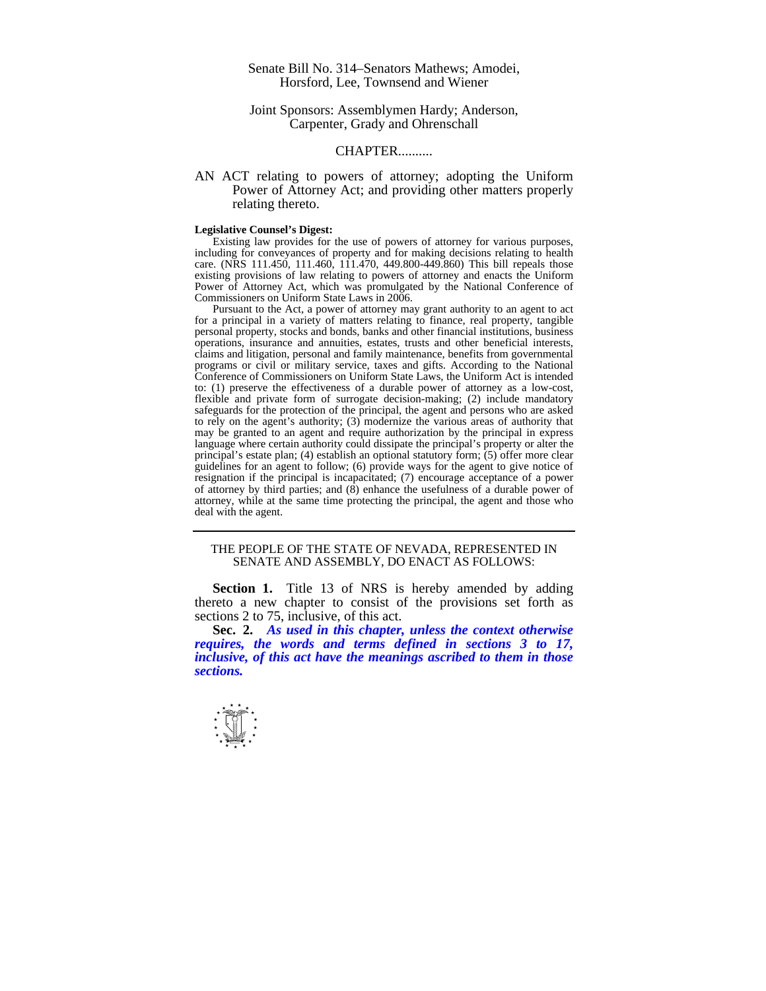#### Senate Bill No. 314–Senators Mathews; Amodei, Horsford, Lee, Townsend and Wiener

## Joint Sponsors: Assemblymen Hardy; Anderson, Carpenter, Grady and Ohrenschall

## CHAPTER..........

#### AN ACT relating to powers of attorney; adopting the Uniform Power of Attorney Act; and providing other matters properly relating thereto.

#### **Legislative Counsel's Digest:**

 Existing law provides for the use of powers of attorney for various purposes, including for conveyances of property and for making decisions relating to health care. (NRS 111.450, 111.460, 111.470, 449.800-449.860) This bill repeals those existing provisions of law relating to powers of attorney and enacts the Uniform Power of Attorney Act, which was promulgated by the National Conference of Commissioners on Uniform State Laws in 2006.

 Pursuant to the Act, a power of attorney may grant authority to an agent to act for a principal in a variety of matters relating to finance, real property, tangible personal property, stocks and bonds, banks and other financial institutions, business operations, insurance and annuities, estates, trusts and other beneficial interests, claims and litigation, personal and family maintenance, benefits from governmental programs or civil or military service, taxes and gifts. According to the National Conference of Commissioners on Uniform State Laws, the Uniform Act is intended to: (1) preserve the effectiveness of a durable power of attorney as a low-cost, flexible and private form of surrogate decision-making; (2) include mandatory safeguards for the protection of the principal, the agent and persons who are asked to rely on the agent's authority; (3) modernize the various areas of authority that may be granted to an agent and require authorization by the principal in express language where certain authority could dissipate the principal's property or alter the principal's estate plan; (4) establish an optional statutory form; (5) offer more clear guidelines for an agent to follow; (6) provide ways for the agent to give notice of resignation if the principal is incapacitated; (7) encourage acceptance of a power of attorney by third parties; and  $(\hat{8})$  enhance the usefulness of a durable power of attorney, while at the same time protecting the principal, the agent and those who deal with the agent.

#### THE PEOPLE OF THE STATE OF NEVADA, REPRESENTED IN SENATE AND ASSEMBLY, DO ENACT AS FOLLOWS:

**Section 1.** Title 13 of NRS is hereby amended by adding thereto a new chapter to consist of the provisions set forth as sections 2 to 75, inclusive, of this act.

 **Sec. 2.** *As used in this chapter, unless the context otherwise requires, the words and terms defined in sections 3 to 17, inclusive, of this act have the meanings ascribed to them in those sections.* 

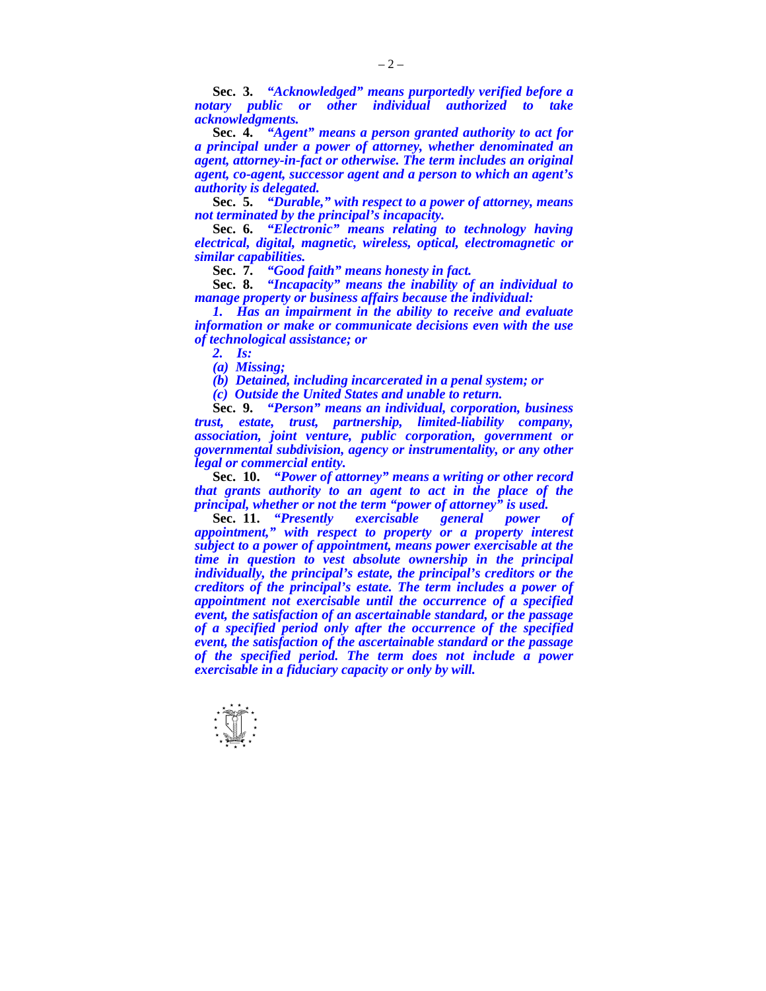**Sec. 3.** *"Acknowledged" means purportedly verified before a notary public or other individual authorized to take acknowledgments.* 

 **Sec. 4.** *"Agent" means a person granted authority to act for a principal under a power of attorney, whether denominated an agent, attorney-in-fact or otherwise. The term includes an original agent, co-agent, successor agent and a person to which an agent's authority is delegated.* 

 **Sec. 5.** *"Durable," with respect to a power of attorney, means not terminated by the principal's incapacity.*

 **Sec. 6.** *"Electronic" means relating to technology having electrical, digital, magnetic, wireless, optical, electromagnetic or similar capabilities.* 

 **Sec. 7.** *"Good faith" means honesty in fact.* 

 **Sec. 8.** *"Incapacity" means the inability of an individual to manage property or business affairs because the individual:* 

 *1. Has an impairment in the ability to receive and evaluate information or make or communicate decisions even with the use of technological assistance; or* 

 *2. Is:* 

 *(a) Missing;* 

 *(b) Detained, including incarcerated in a penal system; or* 

 *(c) Outside the United States and unable to return.*

 **Sec. 9.** *"Person" means an individual, corporation, business trust, estate, trust, partnership, limited-liability company, association, joint venture, public corporation, government or governmental subdivision, agency or instrumentality, or any other legal or commercial entity.*

 **Sec. 10.** *"Power of attorney" means a writing or other record that grants authority to an agent to act in the place of the principal, whether or not the term "power of attorney" is used.*

 **Sec. 11.** *"Presently exercisable general power of appointment," with respect to property or a property interest subject to a power of appointment, means power exercisable at the time in question to vest absolute ownership in the principal individually, the principal's estate, the principal's creditors or the creditors of the principal's estate. The term includes a power of appointment not exercisable until the occurrence of a specified event, the satisfaction of an ascertainable standard, or the passage of a specified period only after the occurrence of the specified event, the satisfaction of the ascertainable standard or the passage of the specified period. The term does not include a power exercisable in a fiduciary capacity or only by will.*

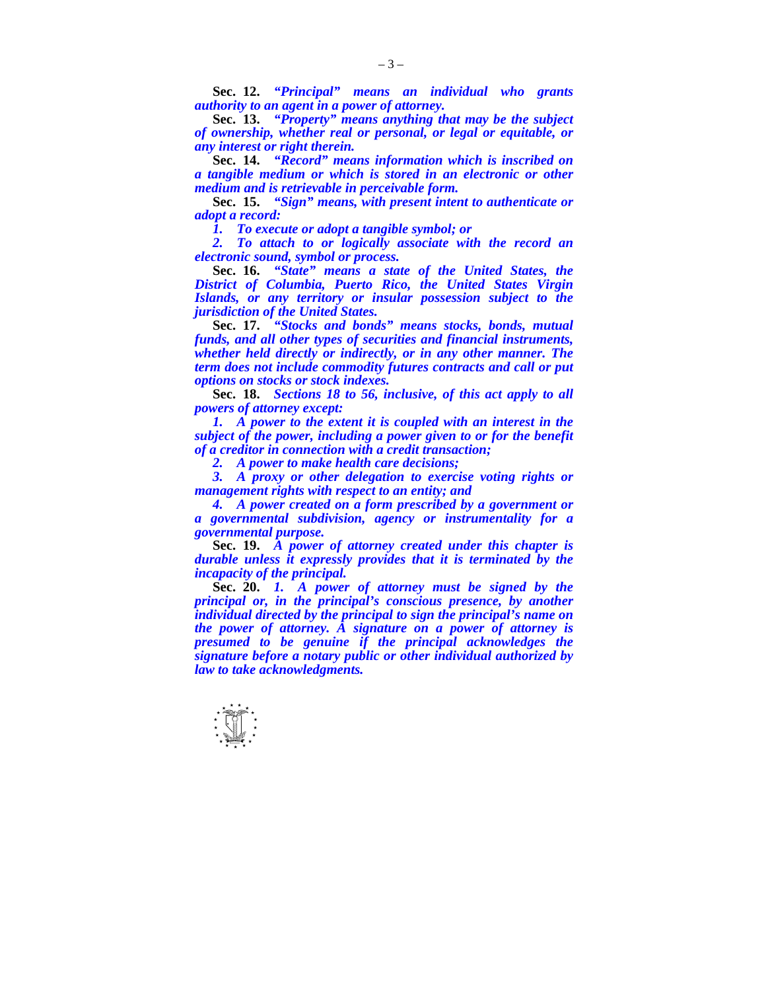**Sec. 12.** *"Principal" means an individual who grants authority to an agent in a power of attorney.* 

 **Sec. 13.** *"Property" means anything that may be the subject of ownership, whether real or personal, or legal or equitable, or any interest or right therein.* 

 **Sec. 14.** *"Record" means information which is inscribed on a tangible medium or which is stored in an electronic or other medium and is retrievable in perceivable form.* 

 **Sec. 15.** *"Sign" means, with present intent to authenticate or adopt a record:* 

 *1. To execute or adopt a tangible symbol; or* 

 *2. To attach to or logically associate with the record an electronic sound, symbol or process.*

 **Sec. 16.** *"State" means a state of the United States, the District of Columbia, Puerto Rico, the United States Virgin Islands, or any territory or insular possession subject to the jurisdiction of the United States.* 

 **Sec. 17.** *"Stocks and bonds" means stocks, bonds, mutual funds, and all other types of securities and financial instruments, whether held directly or indirectly, or in any other manner. The term does not include commodity futures contracts and call or put options on stocks or stock indexes.*

 **Sec. 18.** *Sections 18 to 56, inclusive, of this act apply to all powers of attorney except:* 

 *1. A power to the extent it is coupled with an interest in the subject of the power, including a power given to or for the benefit of a creditor in connection with a credit transaction;* 

 *2. A power to make health care decisions;* 

 *3. A proxy or other delegation to exercise voting rights or management rights with respect to an entity; and* 

 *4. A power created on a form prescribed by a government or a governmental subdivision, agency or instrumentality for a governmental purpose.*

 **Sec. 19.** *A power of attorney created under this chapter is durable unless it expressly provides that it is terminated by the incapacity of the principal.* 

 **Sec. 20.** *1. A power of attorney must be signed by the principal or, in the principal's conscious presence, by another individual directed by the principal to sign the principal's name on the power of attorney. A signature on a power of attorney is presumed to be genuine if the principal acknowledges the signature before a notary public or other individual authorized by law to take acknowledgments.* 

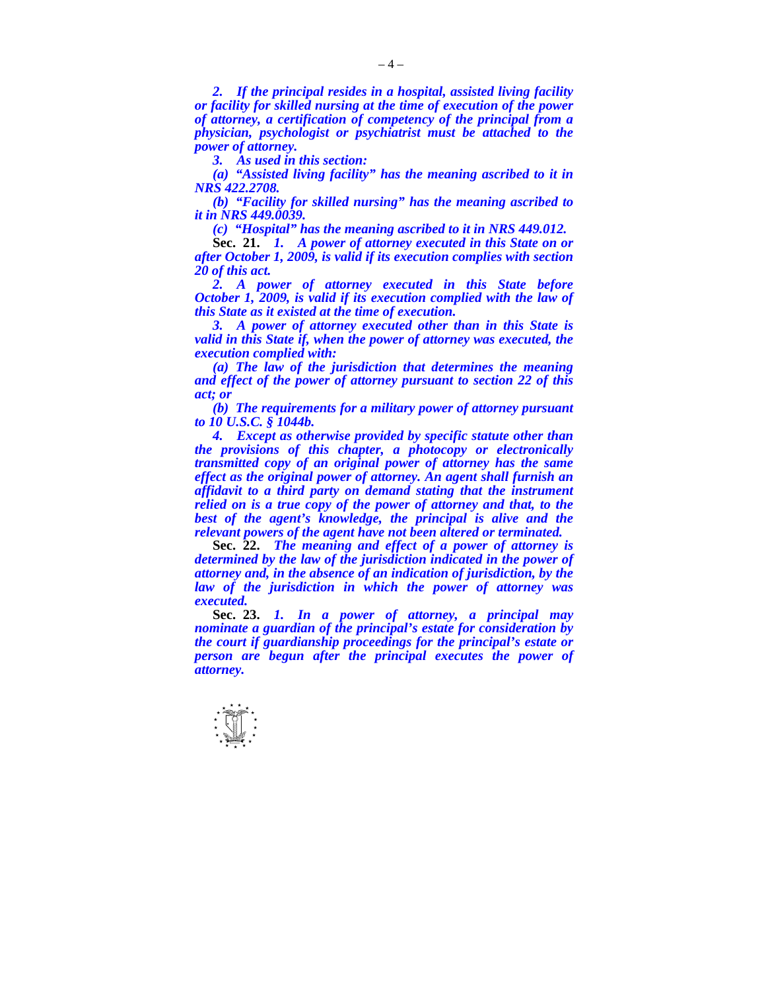*2. If the principal resides in a hospital, assisted living facility or facility for skilled nursing at the time of execution of the power of attorney, a certification of competency of the principal from a physician, psychologist or psychiatrist must be attached to the power of attorney.* 

 *3. As used in this section:* 

 *(a) "Assisted living facility" has the meaning ascribed to it in NRS 422.2708.* 

 *(b) "Facility for skilled nursing" has the meaning ascribed to it in NRS 449.0039.* 

 *(c) "Hospital" has the meaning ascribed to it in NRS 449.012.* 

 **Sec. 21.** *1. A power of attorney executed in this State on or after October 1, 2009, is valid if its execution complies with section 20 of this act.* 

 *2. A power of attorney executed in this State before October 1, 2009, is valid if its execution complied with the law of this State as it existed at the time of execution.* 

 *3. A power of attorney executed other than in this State is valid in this State if, when the power of attorney was executed, the execution complied with:* 

 *(a) The law of the jurisdiction that determines the meaning and effect of the power of attorney pursuant to section 22 of this act; or* 

 *(b) The requirements for a military power of attorney pursuant to 10 U.S.C. § 1044b.* 

 *4. Except as otherwise provided by specific statute other than the provisions of this chapter, a photocopy or electronically transmitted copy of an original power of attorney has the same effect as the original power of attorney. An agent shall furnish an affidavit to a third party on demand stating that the instrument relied on is a true copy of the power of attorney and that, to the best of the agent's knowledge, the principal is alive and the relevant powers of the agent have not been altered or terminated.* 

 **Sec. 22.** *The meaning and effect of a power of attorney is determined by the law of the jurisdiction indicated in the power of attorney and, in the absence of an indication of jurisdiction, by the law of the jurisdiction in which the power of attorney was executed.* 

 **Sec. 23.** *1. In a power of attorney, a principal may nominate a guardian of the principal's estate for consideration by the court if guardianship proceedings for the principal's estate or person are begun after the principal executes the power of attorney.* 

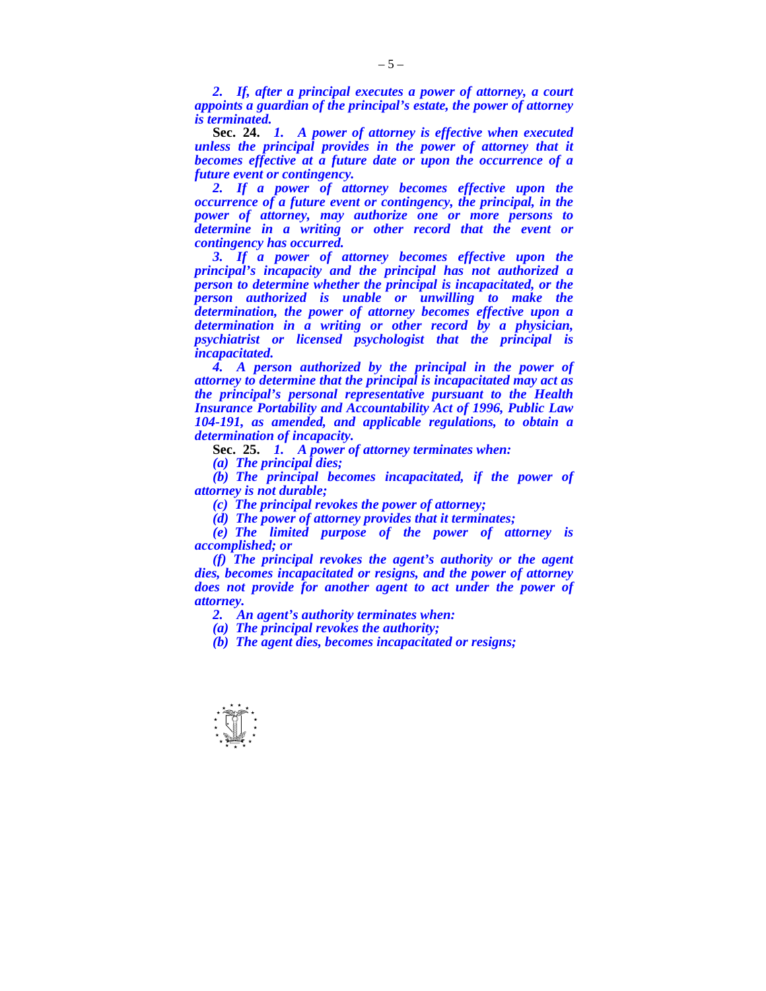*2. If, after a principal executes a power of attorney, a court appoints a guardian of the principal's estate, the power of attorney is terminated.* 

 **Sec. 24.** *1. A power of attorney is effective when executed unless the principal provides in the power of attorney that it becomes effective at a future date or upon the occurrence of a future event or contingency.* 

 *2. If a power of attorney becomes effective upon the occurrence of a future event or contingency, the principal, in the power of attorney, may authorize one or more persons to determine in a writing or other record that the event or contingency has occurred.* 

 *3. If a power of attorney becomes effective upon the principal's incapacity and the principal has not authorized a person to determine whether the principal is incapacitated, or the person authorized is unable or unwilling to make the determination, the power of attorney becomes effective upon a determination in a writing or other record by a physician, psychiatrist or licensed psychologist that the principal is incapacitated.* 

 *4. A person authorized by the principal in the power of attorney to determine that the principal is incapacitated may act as the principal's personal representative pursuant to the Health Insurance Portability and Accountability Act of 1996, Public Law 104-191, as amended, and applicable regulations, to obtain a determination of incapacity.* 

 **Sec. 25.** *1. A power of attorney terminates when:* 

 *(a) The principal dies;* 

 *(b) The principal becomes incapacitated, if the power of attorney is not durable;* 

 *(c) The principal revokes the power of attorney;* 

 *(d) The power of attorney provides that it terminates;* 

 *(e) The limited purpose of the power of attorney is accomplished; or* 

 *(f) The principal revokes the agent's authority or the agent dies, becomes incapacitated or resigns, and the power of attorney does not provide for another agent to act under the power of attorney.* 

 *2. An agent's authority terminates when:* 

 *(a) The principal revokes the authority;* 

 *(b) The agent dies, becomes incapacitated or resigns;* 

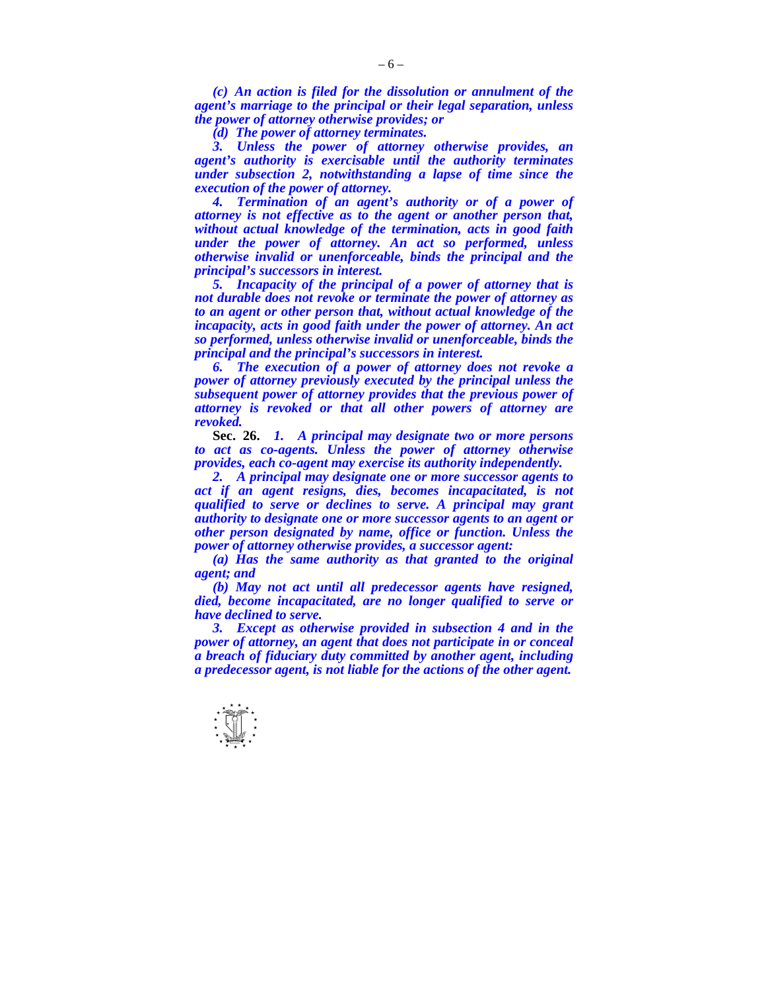*(c) An action is filed for the dissolution or annulment of the agent's marriage to the principal or their legal separation, unless the power of attorney otherwise provides; or* 

 *(d) The power of attorney terminates.* 

 *3. Unless the power of attorney otherwise provides, an agent's authority is exercisable until the authority terminates under subsection 2, notwithstanding a lapse of time since the execution of the power of attorney.* 

 *4. Termination of an agent's authority or of a power of attorney is not effective as to the agent or another person that, without actual knowledge of the termination, acts in good faith under the power of attorney. An act so performed, unless otherwise invalid or unenforceable, binds the principal and the principal's successors in interest.* 

 *5. Incapacity of the principal of a power of attorney that is not durable does not revoke or terminate the power of attorney as to an agent or other person that, without actual knowledge of the incapacity, acts in good faith under the power of attorney. An act so performed, unless otherwise invalid or unenforceable, binds the principal and the principal's successors in interest.* 

 *6. The execution of a power of attorney does not revoke a power of attorney previously executed by the principal unless the subsequent power of attorney provides that the previous power of attorney is revoked or that all other powers of attorney are revoked.* 

 **Sec. 26.** *1. A principal may designate two or more persons to act as co-agents. Unless the power of attorney otherwise provides, each co-agent may exercise its authority independently.* 

 *2. A principal may designate one or more successor agents to act if an agent resigns, dies, becomes incapacitated, is not qualified to serve or declines to serve. A principal may grant authority to designate one or more successor agents to an agent or other person designated by name, office or function. Unless the power of attorney otherwise provides, a successor agent:* 

 *(a) Has the same authority as that granted to the original agent; and* 

 *(b) May not act until all predecessor agents have resigned, died, become incapacitated, are no longer qualified to serve or have declined to serve.* 

 *3. Except as otherwise provided in subsection 4 and in the power of attorney, an agent that does not participate in or conceal a breach of fiduciary duty committed by another agent, including a predecessor agent, is not liable for the actions of the other agent.* 

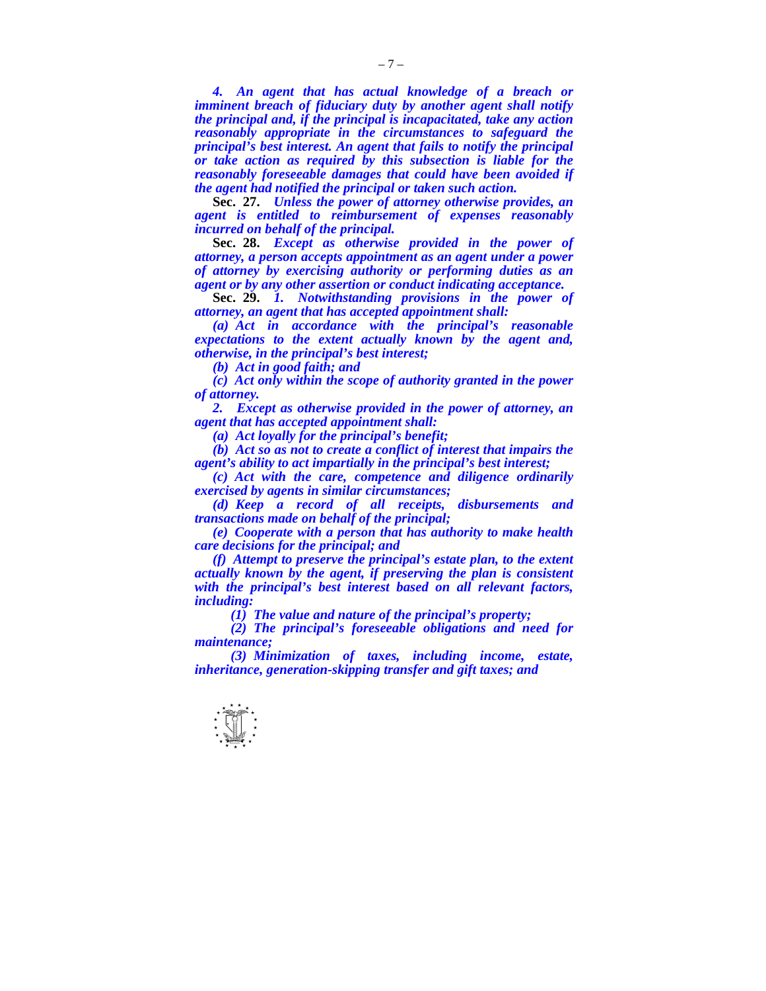*4. An agent that has actual knowledge of a breach or*  imminent breach of fiduciary duty by another agent shall notify *the principal and, if the principal is incapacitated, take any action reasonably appropriate in the circumstances to safeguard the principal's best interest. An agent that fails to notify the principal or take action as required by this subsection is liable for the reasonably foreseeable damages that could have been avoided if the agent had notified the principal or taken such action.* 

 **Sec. 27.** *Unless the power of attorney otherwise provides, an agent is entitled to reimbursement of expenses reasonably incurred on behalf of the principal.*

 **Sec. 28.** *Except as otherwise provided in the power of attorney, a person accepts appointment as an agent under a power of attorney by exercising authority or performing duties as an agent or by any other assertion or conduct indicating acceptance.* 

 **Sec. 29.** *1. Notwithstanding provisions in the power of attorney, an agent that has accepted appointment shall:* 

 *(a) Act in accordance with the principal's reasonable expectations to the extent actually known by the agent and, otherwise, in the principal's best interest;* 

 *(b) Act in good faith; and* 

 *(c) Act only within the scope of authority granted in the power of attorney.* 

 *2. Except as otherwise provided in the power of attorney, an agent that has accepted appointment shall:* 

 *(a) Act loyally for the principal's benefit;* 

 *(b) Act so as not to create a conflict of interest that impairs the agent's ability to act impartially in the principal's best interest;* 

 *(c) Act with the care, competence and diligence ordinarily exercised by agents in similar circumstances;* 

 *(d) Keep a record of all receipts, disbursements and transactions made on behalf of the principal;* 

 *(e) Cooperate with a person that has authority to make health care decisions for the principal; and* 

 *(f) Attempt to preserve the principal's estate plan, to the extent actually known by the agent, if preserving the plan is consistent with the principal's best interest based on all relevant factors, including:* 

 *(1) The value and nature of the principal's property;* 

 *(2) The principal's foreseeable obligations and need for maintenance;* 

 *(3) Minimization of taxes, including income, estate, inheritance, generation-skipping transfer and gift taxes; and*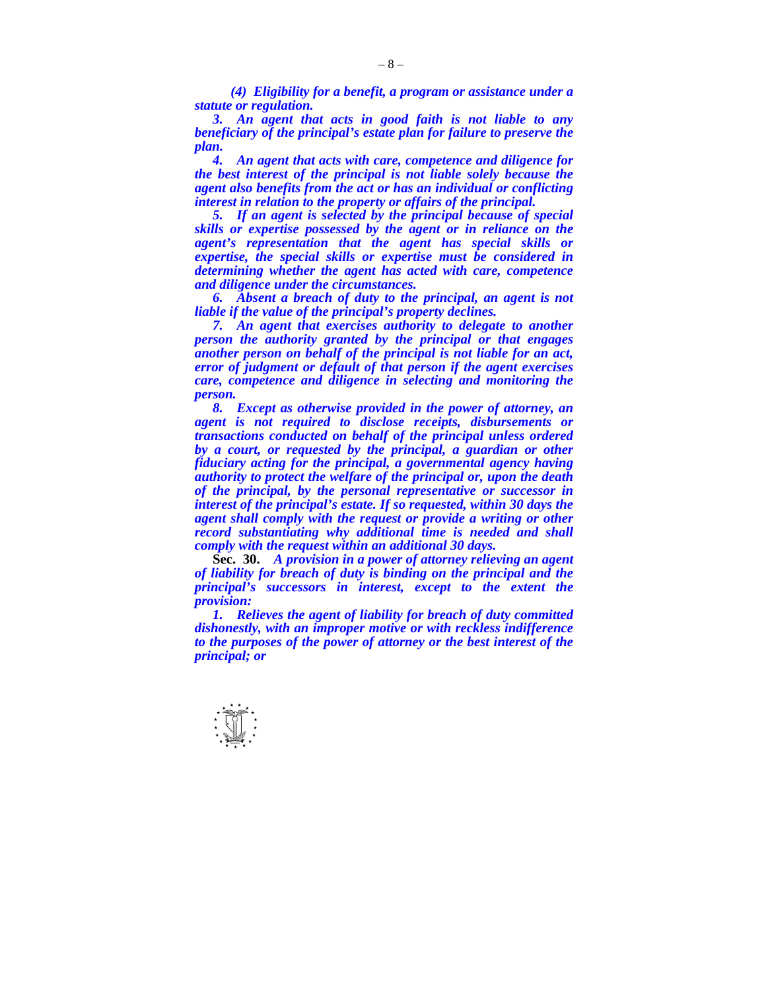*(4) Eligibility for a benefit, a program or assistance under a statute or regulation.* 

 *3. An agent that acts in good faith is not liable to any beneficiary of the principal's estate plan for failure to preserve the plan.* 

 *4. An agent that acts with care, competence and diligence for the best interest of the principal is not liable solely because the agent also benefits from the act or has an individual or conflicting interest in relation to the property or affairs of the principal.* 

 *5. If an agent is selected by the principal because of special skills or expertise possessed by the agent or in reliance on the agent's representation that the agent has special skills or expertise, the special skills or expertise must be considered in determining whether the agent has acted with care, competence and diligence under the circumstances.* 

 *6. Absent a breach of duty to the principal, an agent is not liable if the value of the principal's property declines.* 

 *7. An agent that exercises authority to delegate to another person the authority granted by the principal or that engages another person on behalf of the principal is not liable for an act, error of judgment or default of that person if the agent exercises care, competence and diligence in selecting and monitoring the person.* 

 *8. Except as otherwise provided in the power of attorney, an agent is not required to disclose receipts, disbursements or transactions conducted on behalf of the principal unless ordered by a court, or requested by the principal, a guardian or other fiduciary acting for the principal, a governmental agency having authority to protect the welfare of the principal or, upon the death of the principal, by the personal representative or successor in interest of the principal's estate. If so requested, within 30 days the agent shall comply with the request or provide a writing or other record substantiating why additional time is needed and shall comply with the request within an additional 30 days.* 

 **Sec. 30.** *A provision in a power of attorney relieving an agent of liability for breach of duty is binding on the principal and the principal's successors in interest, except to the extent the provision:* 

 *1. Relieves the agent of liability for breach of duty committed dishonestly, with an improper motive or with reckless indifference to the purposes of the power of attorney or the best interest of the principal; or* 

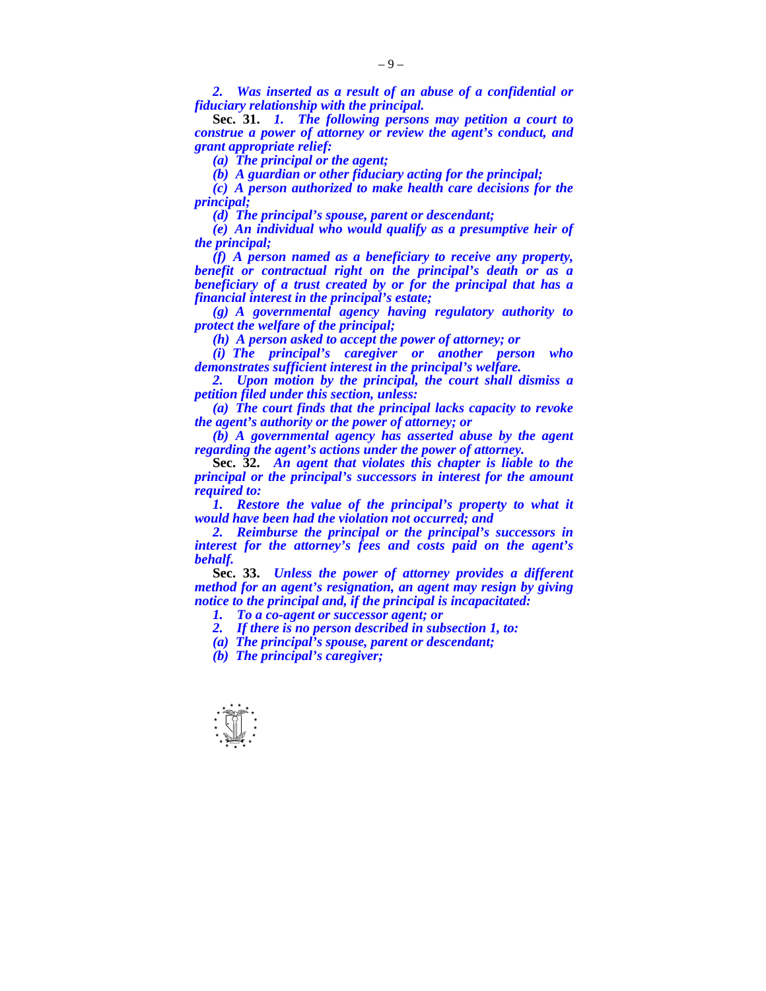*2. Was inserted as a result of an abuse of a confidential or fiduciary relationship with the principal.* 

 **Sec. 31.** *1. The following persons may petition a court to construe a power of attorney or review the agent's conduct, and grant appropriate relief:* 

 *(a) The principal or the agent;* 

 *(b) A guardian or other fiduciary acting for the principal;* 

 *(c) A person authorized to make health care decisions for the principal;* 

 *(d) The principal's spouse, parent or descendant;* 

 *(e) An individual who would qualify as a presumptive heir of the principal;* 

 *(f) A person named as a beneficiary to receive any property, benefit or contractual right on the principal's death or as a beneficiary of a trust created by or for the principal that has a financial interest in the principal's estate;* 

 *(g) A governmental agency having regulatory authority to protect the welfare of the principal;* 

 *(h) A person asked to accept the power of attorney; or* 

 *(i) The principal's caregiver or another person who demonstrates sufficient interest in the principal's welfare.* 

 *2. Upon motion by the principal, the court shall dismiss a petition filed under this section, unless:* 

 *(a) The court finds that the principal lacks capacity to revoke the agent's authority or the power of attorney; or* 

 *(b) A governmental agency has asserted abuse by the agent regarding the agent's actions under the power of attorney.*

 **Sec. 32.** *An agent that violates this chapter is liable to the principal or the principal's successors in interest for the amount required to:* 

1. Restore the value of the principal's property to what it *would have been had the violation not occurred; and* 

 *2. Reimburse the principal or the principal's successors in interest for the attorney's fees and costs paid on the agent's behalf.* 

 **Sec. 33.** *Unless the power of attorney provides a different method for an agent's resignation, an agent may resign by giving notice to the principal and, if the principal is incapacitated:* 

 *1. To a co-agent or successor agent; or* 

 *2. If there is no person described in subsection 1, to:* 

 *(a) The principal's spouse, parent or descendant;* 

 *(b) The principal's caregiver;* 

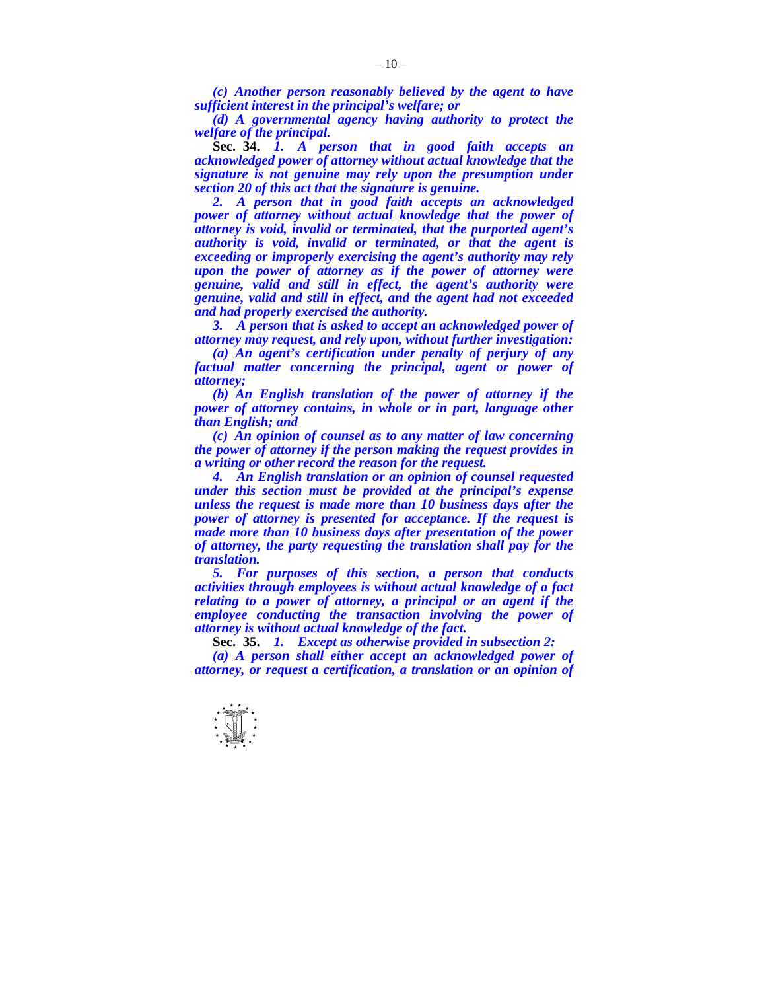*(c) Another person reasonably believed by the agent to have sufficient interest in the principal's welfare; or* 

 *(d) A governmental agency having authority to protect the welfare of the principal.* 

 **Sec. 34.** *1. A person that in good faith accepts an acknowledged power of attorney without actual knowledge that the signature is not genuine may rely upon the presumption under section 20 of this act that the signature is genuine.* 

 *2. A person that in good faith accepts an acknowledged power of attorney without actual knowledge that the power of attorney is void, invalid or terminated, that the purported agent's authority is void, invalid or terminated, or that the agent is exceeding or improperly exercising the agent's authority may rely upon the power of attorney as if the power of attorney were genuine, valid and still in effect, the agent's authority were genuine, valid and still in effect, and the agent had not exceeded and had properly exercised the authority.* 

 *3. A person that is asked to accept an acknowledged power of attorney may request, and rely upon, without further investigation:* 

 *(a) An agent's certification under penalty of perjury of any factual matter concerning the principal, agent or power of attorney;* 

 *(b) An English translation of the power of attorney if the power of attorney contains, in whole or in part, language other than English; and* 

 *(c) An opinion of counsel as to any matter of law concerning the power of attorney if the person making the request provides in a writing or other record the reason for the request.* 

 *4. An English translation or an opinion of counsel requested under this section must be provided at the principal's expense unless the request is made more than 10 business days after the power of attorney is presented for acceptance. If the request is made more than 10 business days after presentation of the power of attorney, the party requesting the translation shall pay for the translation.* 

 *5. For purposes of this section, a person that conducts activities through employees is without actual knowledge of a fact relating to a power of attorney, a principal or an agent if the employee conducting the transaction involving the power of attorney is without actual knowledge of the fact.* 

 **Sec. 35.** *1. Except as otherwise provided in subsection 2:* 

 *(a) A person shall either accept an acknowledged power of attorney, or request a certification, a translation or an opinion of* 

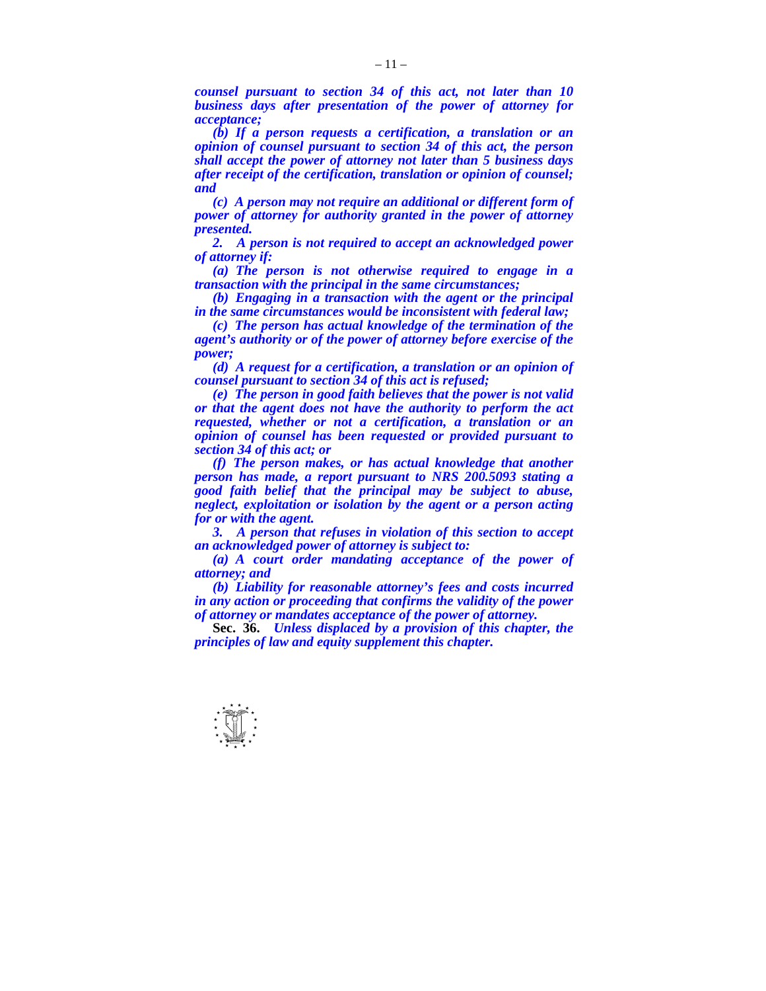*counsel pursuant to section 34 of this act, not later than 10 business days after presentation of the power of attorney for acceptance;* 

 *(b) If a person requests a certification, a translation or an opinion of counsel pursuant to section 34 of this act, the person shall accept the power of attorney not later than 5 business days after receipt of the certification, translation or opinion of counsel; and* 

 *(c) A person may not require an additional or different form of power of attorney for authority granted in the power of attorney presented.* 

 *2. A person is not required to accept an acknowledged power of attorney if:* 

 *(a) The person is not otherwise required to engage in a transaction with the principal in the same circumstances;* 

 *(b) Engaging in a transaction with the agent or the principal in the same circumstances would be inconsistent with federal law;* 

 *(c) The person has actual knowledge of the termination of the agent's authority or of the power of attorney before exercise of the power;* 

 *(d) A request for a certification, a translation or an opinion of counsel pursuant to section 34 of this act is refused;* 

 *(e) The person in good faith believes that the power is not valid or that the agent does not have the authority to perform the act requested, whether or not a certification, a translation or an opinion of counsel has been requested or provided pursuant to section 34 of this act; or* 

 *(f) The person makes, or has actual knowledge that another person has made, a report pursuant to NRS 200.5093 stating a good faith belief that the principal may be subject to abuse, neglect, exploitation or isolation by the agent or a person acting for or with the agent.* 

 *3. A person that refuses in violation of this section to accept an acknowledged power of attorney is subject to:* 

 *(a) A court order mandating acceptance of the power of attorney; and* 

 *(b) Liability for reasonable attorney's fees and costs incurred in any action or proceeding that confirms the validity of the power of attorney or mandates acceptance of the power of attorney.* 

 **Sec. 36.** *Unless displaced by a provision of this chapter, the principles of law and equity supplement this chapter.*

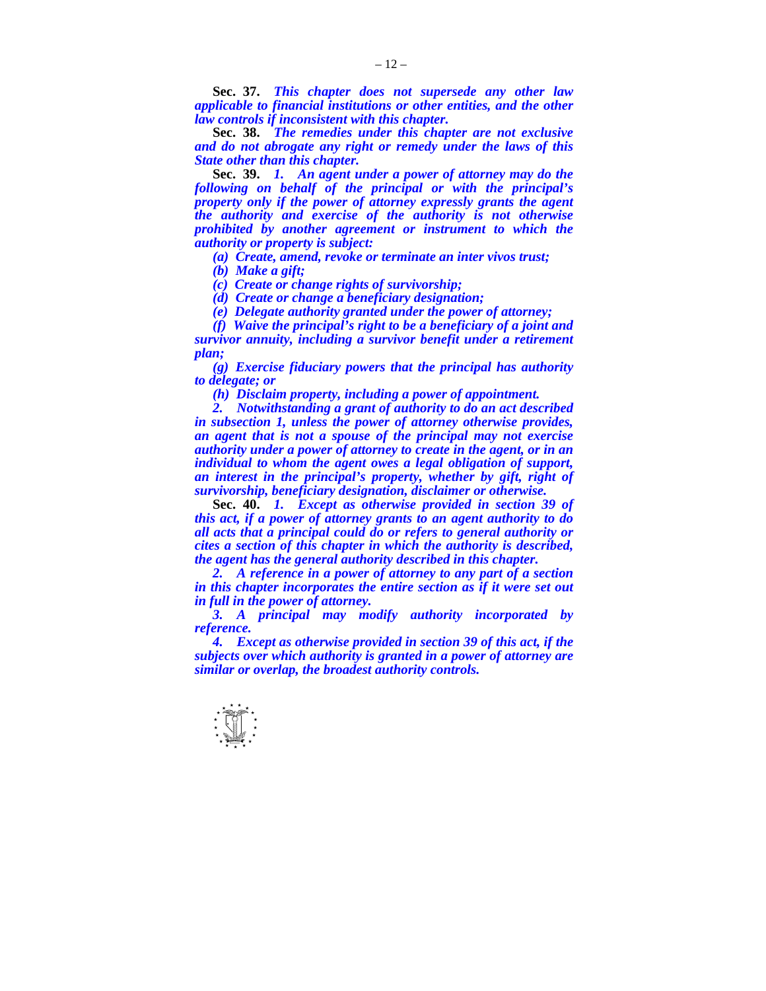**Sec. 37.** *This chapter does not supersede any other law applicable to financial institutions or other entities, and the other law controls if inconsistent with this chapter.* 

 **Sec. 38.** *The remedies under this chapter are not exclusive and do not abrogate any right or remedy under the laws of this State other than this chapter.* 

 **Sec. 39.** *1. An agent under a power of attorney may do the following on behalf of the principal or with the principal's property only if the power of attorney expressly grants the agent the authority and exercise of the authority is not otherwise prohibited by another agreement or instrument to which the authority or property is subject:* 

 *(a) Create, amend, revoke or terminate an inter vivos trust;* 

 *(b) Make a gift;* 

 *(c) Create or change rights of survivorship;* 

 *(d) Create or change a beneficiary designation;* 

 *(e) Delegate authority granted under the power of attorney;* 

 *(f) Waive the principal's right to be a beneficiary of a joint and survivor annuity, including a survivor benefit under a retirement plan;* 

 *(g) Exercise fiduciary powers that the principal has authority to delegate; or* 

 *(h) Disclaim property, including a power of appointment.* 

 *2. Notwithstanding a grant of authority to do an act described in subsection 1, unless the power of attorney otherwise provides, an agent that is not a spouse of the principal may not exercise authority under a power of attorney to create in the agent, or in an individual to whom the agent owes a legal obligation of support, an interest in the principal's property, whether by gift, right of survivorship, beneficiary designation, disclaimer or otherwise.* 

 **Sec. 40.** *1. Except as otherwise provided in section 39 of this act, if a power of attorney grants to an agent authority to do all acts that a principal could do or refers to general authority or cites a section of this chapter in which the authority is described, the agent has the general authority described in this chapter.* 

 *2. A reference in a power of attorney to any part of a section in this chapter incorporates the entire section as if it were set out in full in the power of attorney.* 

 *3. A principal may modify authority incorporated by reference.* 

 *4. Except as otherwise provided in section 39 of this act, if the subjects over which authority is granted in a power of attorney are similar or overlap, the broadest authority controls.* 

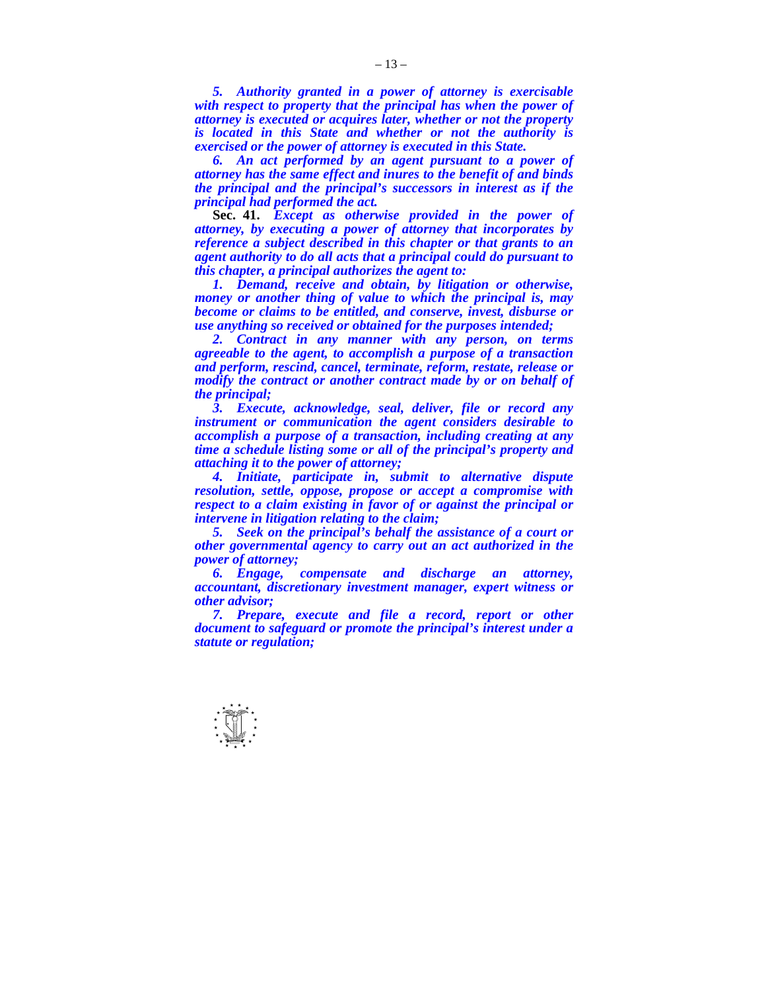*5. Authority granted in a power of attorney is exercisable with respect to property that the principal has when the power of attorney is executed or acquires later, whether or not the property is located in this State and whether or not the authority is exercised or the power of attorney is executed in this State.* 

 *6. An act performed by an agent pursuant to a power of attorney has the same effect and inures to the benefit of and binds the principal and the principal's successors in interest as if the principal had performed the act.*

 **Sec. 41.** *Except as otherwise provided in the power of attorney, by executing a power of attorney that incorporates by reference a subject described in this chapter or that grants to an agent authority to do all acts that a principal could do pursuant to this chapter, a principal authorizes the agent to:* 

 *1. Demand, receive and obtain, by litigation or otherwise, money or another thing of value to which the principal is, may become or claims to be entitled, and conserve, invest, disburse or use anything so received or obtained for the purposes intended;* 

 *2. Contract in any manner with any person, on terms agreeable to the agent, to accomplish a purpose of a transaction and perform, rescind, cancel, terminate, reform, restate, release or modify the contract or another contract made by or on behalf of the principal;* 

 *3. Execute, acknowledge, seal, deliver, file or record any instrument or communication the agent considers desirable to accomplish a purpose of a transaction, including creating at any time a schedule listing some or all of the principal's property and attaching it to the power of attorney;* 

 *4. Initiate, participate in, submit to alternative dispute resolution, settle, oppose, propose or accept a compromise with respect to a claim existing in favor of or against the principal or intervene in litigation relating to the claim;* 

 *5. Seek on the principal's behalf the assistance of a court or other governmental agency to carry out an act authorized in the power of attorney;* 

 *6. Engage, compensate and discharge an attorney, accountant, discretionary investment manager, expert witness or other advisor;* 

 *7. Prepare, execute and file a record, report or other document to safeguard or promote the principal's interest under a statute or regulation;* 

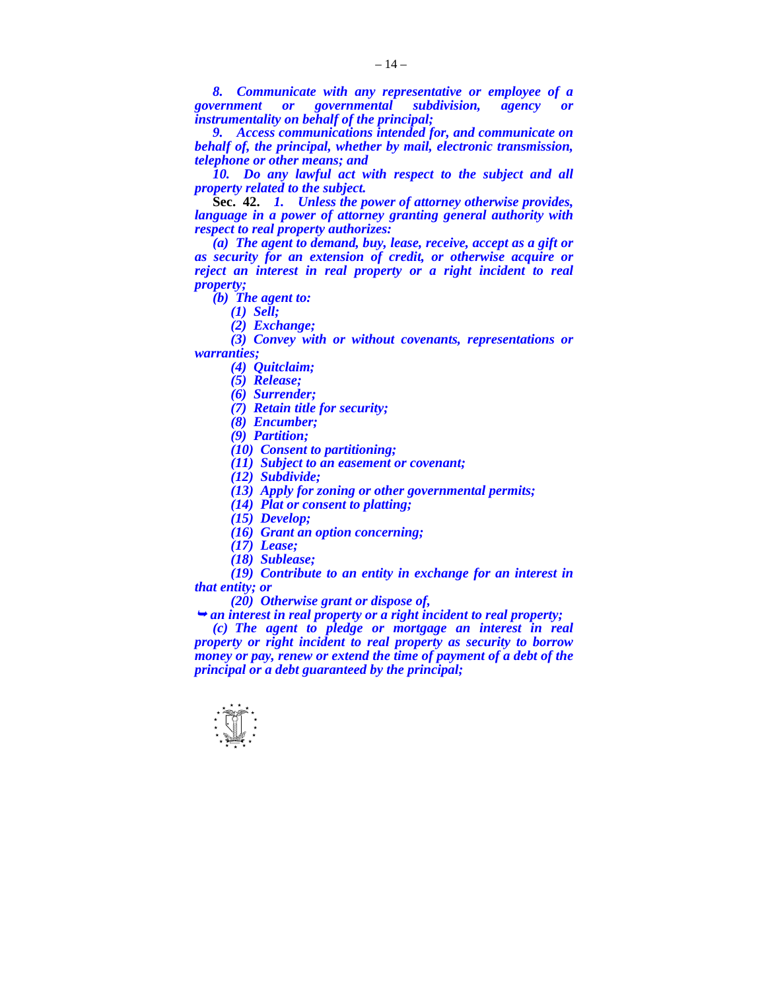*8. Communicate with any representative or employee of a government or governmental subdivision, agency or instrumentality on behalf of the principal;* 

 *9. Access communications intended for, and communicate on behalf of, the principal, whether by mail, electronic transmission, telephone or other means; and* 

 *10. Do any lawful act with respect to the subject and all property related to the subject.* 

 **Sec. 42.** *1. Unless the power of attorney otherwise provides, language in a power of attorney granting general authority with respect to real property authorizes:* 

 *(a) The agent to demand, buy, lease, receive, accept as a gift or as security for an extension of credit, or otherwise acquire or reject an interest in real property or a right incident to real property;* 

 *(b) The agent to:* 

 *(1) Sell;* 

 *(2) Exchange;* 

 *(3) Convey with or without covenants, representations or warranties;* 

 *(4) Quitclaim;* 

 *(5) Release;* 

 *(6) Surrender;* 

 *(7) Retain title for security;* 

 *(8) Encumber;* 

 *(9) Partition;* 

 *(10) Consent to partitioning;* 

 *(11) Subject to an easement or covenant;* 

 *(12) Subdivide;* 

 *(13) Apply for zoning or other governmental permits;* 

 *(14) Plat or consent to platting;* 

 *(15) Develop;* 

 *(16) Grant an option concerning;* 

 *(17) Lease;* 

 *(18) Sublease;* 

 *(19) Contribute to an entity in exchange for an interest in that entity; or* 

 *(20) Otherwise grant or dispose of,* 

 *an interest in real property or a right incident to real property;* 

 *(c) The agent to pledge or mortgage an interest in real property or right incident to real property as security to borrow money or pay, renew or extend the time of payment of a debt of the principal or a debt guaranteed by the principal;* 

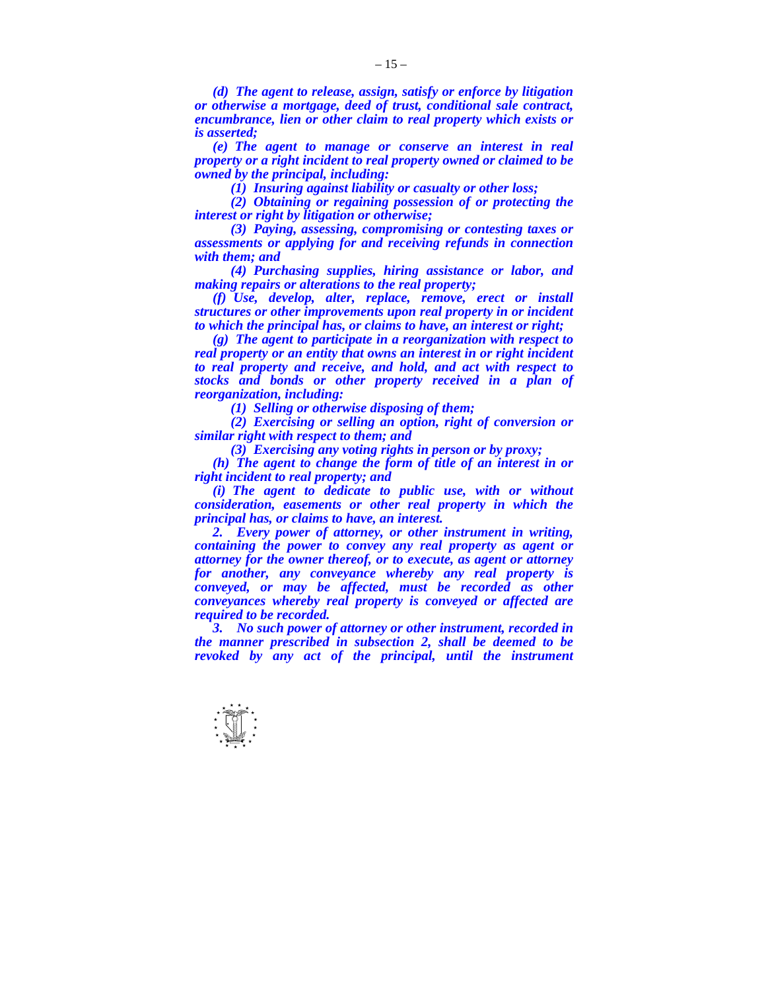*(d) The agent to release, assign, satisfy or enforce by litigation or otherwise a mortgage, deed of trust, conditional sale contract, encumbrance, lien or other claim to real property which exists or is asserted;* 

 *(e) The agent to manage or conserve an interest in real property or a right incident to real property owned or claimed to be owned by the principal, including:* 

 *(1) Insuring against liability or casualty or other loss;* 

 *(2) Obtaining or regaining possession of or protecting the interest or right by litigation or otherwise;* 

 *(3) Paying, assessing, compromising or contesting taxes or assessments or applying for and receiving refunds in connection with them; and* 

 *(4) Purchasing supplies, hiring assistance or labor, and making repairs or alterations to the real property;* 

 *(f) Use, develop, alter, replace, remove, erect or install structures or other improvements upon real property in or incident to which the principal has, or claims to have, an interest or right;* 

 *(g) The agent to participate in a reorganization with respect to real property or an entity that owns an interest in or right incident to real property and receive, and hold, and act with respect to stocks and bonds or other property received in a plan of reorganization, including:* 

 *(1) Selling or otherwise disposing of them;* 

 *(2) Exercising or selling an option, right of conversion or similar right with respect to them; and* 

 *(3) Exercising any voting rights in person or by proxy;* 

 *(h) The agent to change the form of title of an interest in or right incident to real property; and* 

 *(i) The agent to dedicate to public use, with or without consideration, easements or other real property in which the principal has, or claims to have, an interest.* 

 *2. Every power of attorney, or other instrument in writing, containing the power to convey any real property as agent or attorney for the owner thereof, or to execute, as agent or attorney for another, any conveyance whereby any real property is conveyed, or may be affected, must be recorded as other conveyances whereby real property is conveyed or affected are required to be recorded.* 

 *3. No such power of attorney or other instrument, recorded in the manner prescribed in subsection 2, shall be deemed to be revoked by any act of the principal, until the instrument* 

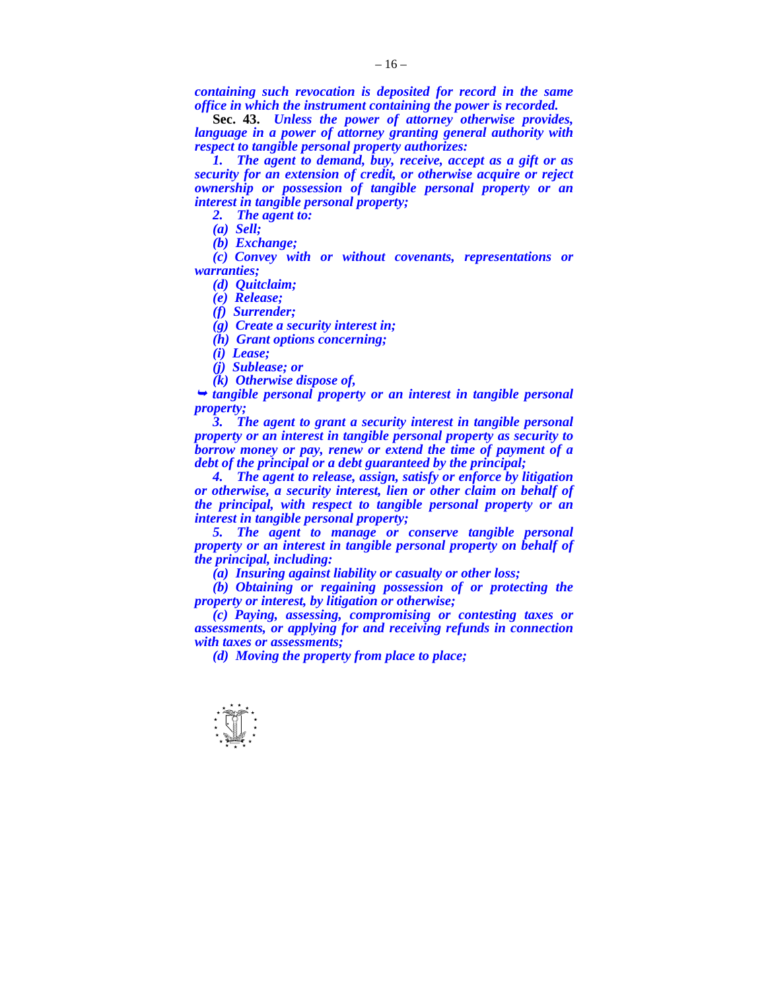*containing such revocation is deposited for record in the same office in which the instrument containing the power is recorded.* 

 **Sec. 43.** *Unless the power of attorney otherwise provides, language in a power of attorney granting general authority with respect to tangible personal property authorizes:* 

 *1. The agent to demand, buy, receive, accept as a gift or as security for an extension of credit, or otherwise acquire or reject ownership or possession of tangible personal property or an interest in tangible personal property;* 

 *2. The agent to:* 

 *(a) Sell;* 

 *(b) Exchange;* 

 *(c) Convey with or without covenants, representations or warranties;* 

 *(d) Quitclaim;* 

 *(e) Release;* 

 *(f) Surrender;* 

 *(g) Create a security interest in;* 

 *(h) Grant options concerning;* 

 *(i) Lease;* 

 *(j) Sublease; or* 

 *(k) Otherwise dispose of,* 

 *tangible personal property or an interest in tangible personal property;* 

*The agent to grant a security interest in tangible personal property or an interest in tangible personal property as security to borrow money or pay, renew or extend the time of payment of a debt of the principal or a debt guaranteed by the principal;* 

 *4. The agent to release, assign, satisfy or enforce by litigation or otherwise, a security interest, lien or other claim on behalf of the principal, with respect to tangible personal property or an interest in tangible personal property;* 

 *5. The agent to manage or conserve tangible personal property or an interest in tangible personal property on behalf of the principal, including:* 

 *(a) Insuring against liability or casualty or other loss;* 

 *(b) Obtaining or regaining possession of or protecting the property or interest, by litigation or otherwise;* 

 *(c) Paying, assessing, compromising or contesting taxes or assessments, or applying for and receiving refunds in connection with taxes or assessments;* 

 *(d) Moving the property from place to place;* 

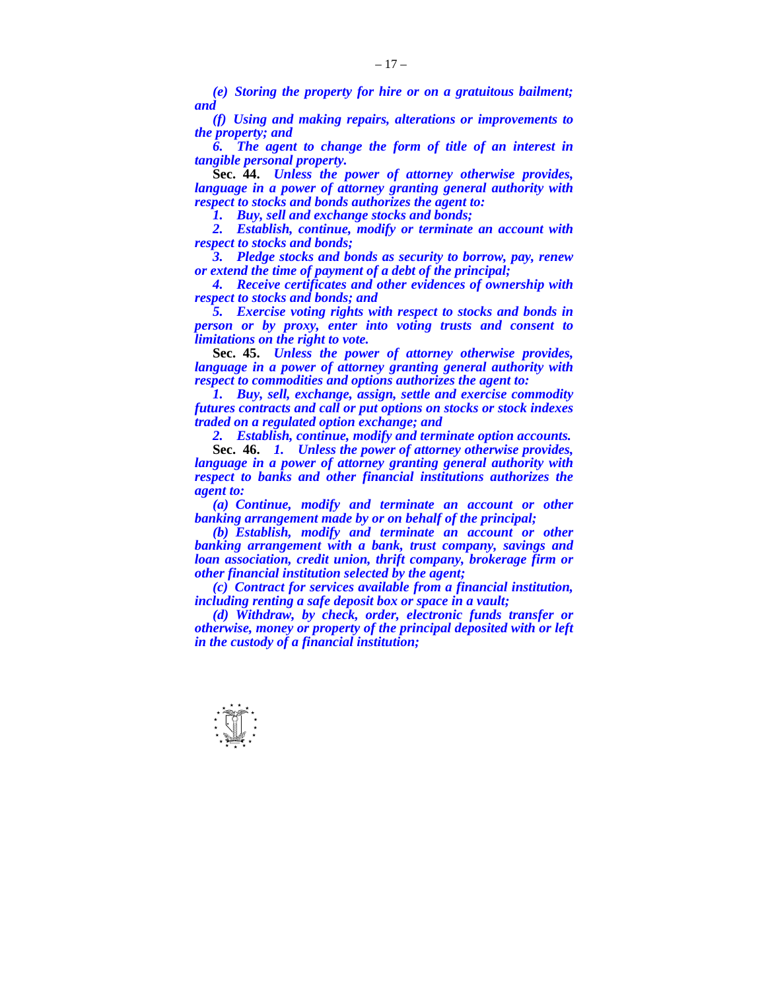*(e) Storing the property for hire or on a gratuitous bailment; and* 

 *(f) Using and making repairs, alterations or improvements to the property; and* 

 *6. The agent to change the form of title of an interest in tangible personal property.* 

 **Sec. 44.** *Unless the power of attorney otherwise provides, language in a power of attorney granting general authority with respect to stocks and bonds authorizes the agent to:* 

 *1. Buy, sell and exchange stocks and bonds;* 

 *2. Establish, continue, modify or terminate an account with respect to stocks and bonds;* 

 *3. Pledge stocks and bonds as security to borrow, pay, renew or extend the time of payment of a debt of the principal;* 

 *4. Receive certificates and other evidences of ownership with respect to stocks and bonds; and* 

 *5. Exercise voting rights with respect to stocks and bonds in person or by proxy, enter into voting trusts and consent to limitations on the right to vote.* 

 **Sec. 45.** *Unless the power of attorney otherwise provides, language in a power of attorney granting general authority with respect to commodities and options authorizes the agent to:* 

 *1. Buy, sell, exchange, assign, settle and exercise commodity futures contracts and call or put options on stocks or stock indexes traded on a regulated option exchange; and* 

 *2. Establish, continue, modify and terminate option accounts.* 

 **Sec. 46.** *1. Unless the power of attorney otherwise provides, language in a power of attorney granting general authority with respect to banks and other financial institutions authorizes the agent to:* 

 *(a) Continue, modify and terminate an account or other banking arrangement made by or on behalf of the principal;* 

 *(b) Establish, modify and terminate an account or other banking arrangement with a bank, trust company, savings and loan association, credit union, thrift company, brokerage firm or other financial institution selected by the agent;* 

 *(c) Contract for services available from a financial institution, including renting a safe deposit box or space in a vault;* 

 *(d) Withdraw, by check, order, electronic funds transfer or otherwise, money or property of the principal deposited with or left in the custody of a financial institution;* 

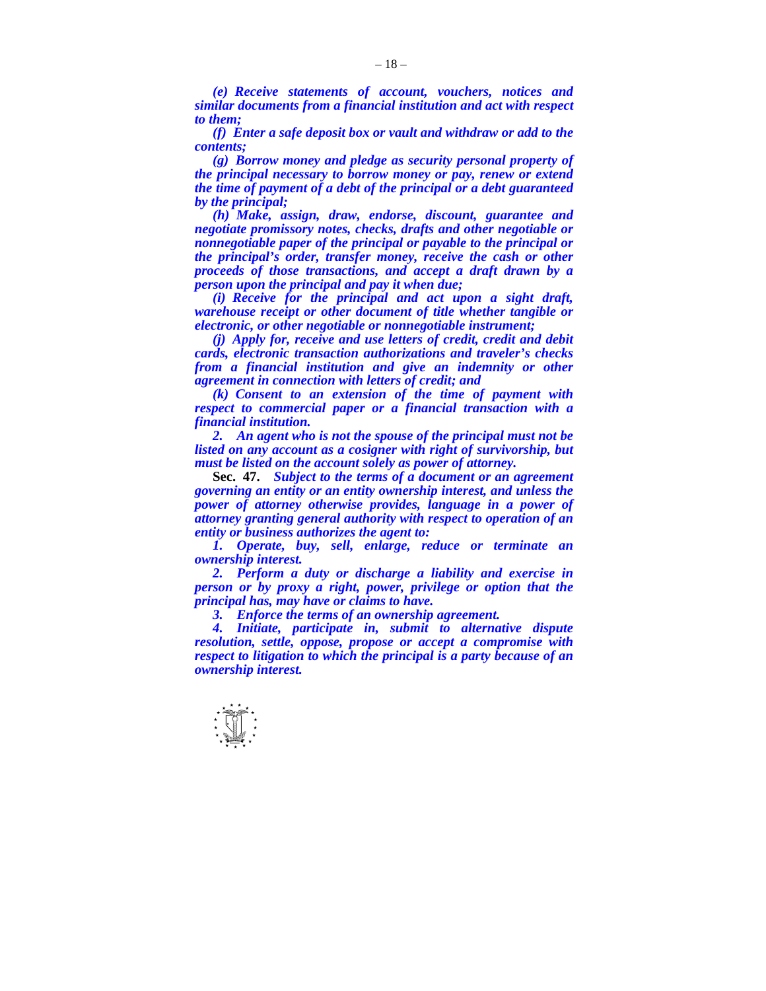*(e) Receive statements of account, vouchers, notices and similar documents from a financial institution and act with respect to them;* 

 *(f) Enter a safe deposit box or vault and withdraw or add to the contents;* 

 *(g) Borrow money and pledge as security personal property of the principal necessary to borrow money or pay, renew or extend the time of payment of a debt of the principal or a debt guaranteed by the principal;* 

 *(h) Make, assign, draw, endorse, discount, guarantee and negotiate promissory notes, checks, drafts and other negotiable or nonnegotiable paper of the principal or payable to the principal or the principal's order, transfer money, receive the cash or other proceeds of those transactions, and accept a draft drawn by a person upon the principal and pay it when due;* 

 *(i) Receive for the principal and act upon a sight draft, warehouse receipt or other document of title whether tangible or electronic, or other negotiable or nonnegotiable instrument;* 

 *(j) Apply for, receive and use letters of credit, credit and debit cards, electronic transaction authorizations and traveler's checks from a financial institution and give an indemnity or other agreement in connection with letters of credit; and* 

 *(k) Consent to an extension of the time of payment with respect to commercial paper or a financial transaction with a financial institution.* 

 *2. An agent who is not the spouse of the principal must not be listed on any account as a cosigner with right of survivorship, but must be listed on the account solely as power of attorney.* 

 **Sec. 47.** *Subject to the terms of a document or an agreement governing an entity or an entity ownership interest, and unless the power of attorney otherwise provides, language in a power of attorney granting general authority with respect to operation of an entity or business authorizes the agent to:* 

 *1. Operate, buy, sell, enlarge, reduce or terminate an ownership interest.* 

 *2. Perform a duty or discharge a liability and exercise in person or by proxy a right, power, privilege or option that the principal has, may have or claims to have.* 

 *3. Enforce the terms of an ownership agreement.* 

*Initiate, participate in, submit to alternative dispute resolution, settle, oppose, propose or accept a compromise with respect to litigation to which the principal is a party because of an ownership interest.* 

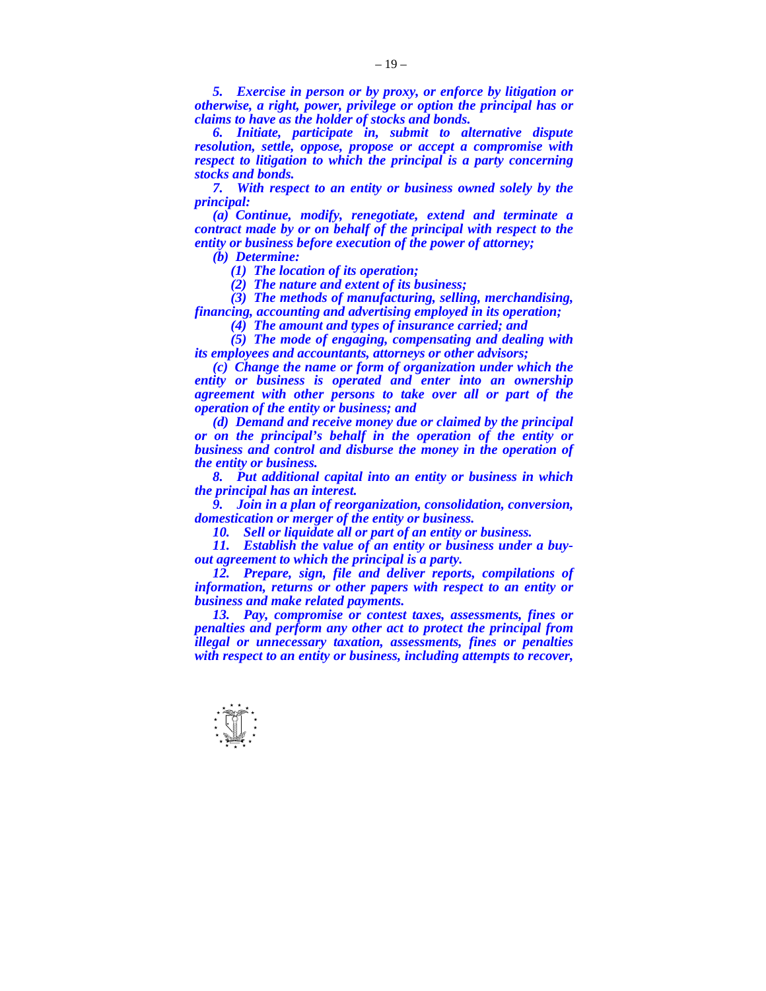*5. Exercise in person or by proxy, or enforce by litigation or otherwise, a right, power, privilege or option the principal has or claims to have as the holder of stocks and bonds.* 

 *6. Initiate, participate in, submit to alternative dispute resolution, settle, oppose, propose or accept a compromise with respect to litigation to which the principal is a party concerning stocks and bonds.* 

 *7. With respect to an entity or business owned solely by the principal:* 

 *(a) Continue, modify, renegotiate, extend and terminate a contract made by or on behalf of the principal with respect to the entity or business before execution of the power of attorney;* 

 *(b) Determine:* 

 *(1) The location of its operation;* 

 *(2) The nature and extent of its business;* 

 *(3) The methods of manufacturing, selling, merchandising, financing, accounting and advertising employed in its operation;* 

 *(4) The amount and types of insurance carried; and* 

 *(5) The mode of engaging, compensating and dealing with its employees and accountants, attorneys or other advisors;* 

 *(c) Change the name or form of organization under which the entity or business is operated and enter into an ownership agreement with other persons to take over all or part of the operation of the entity or business; and* 

 *(d) Demand and receive money due or claimed by the principal or on the principal's behalf in the operation of the entity or business and control and disburse the money in the operation of the entity or business.* 

 *8. Put additional capital into an entity or business in which the principal has an interest.* 

 *9. Join in a plan of reorganization, consolidation, conversion, domestication or merger of the entity or business.* 

 *10. Sell or liquidate all or part of an entity or business.* 

 *11. Establish the value of an entity or business under a buyout agreement to which the principal is a party.* 

 *12. Prepare, sign, file and deliver reports, compilations of information, returns or other papers with respect to an entity or business and make related payments.* 

 *13. Pay, compromise or contest taxes, assessments, fines or penalties and perform any other act to protect the principal from illegal or unnecessary taxation, assessments, fines or penalties with respect to an entity or business, including attempts to recover,* 

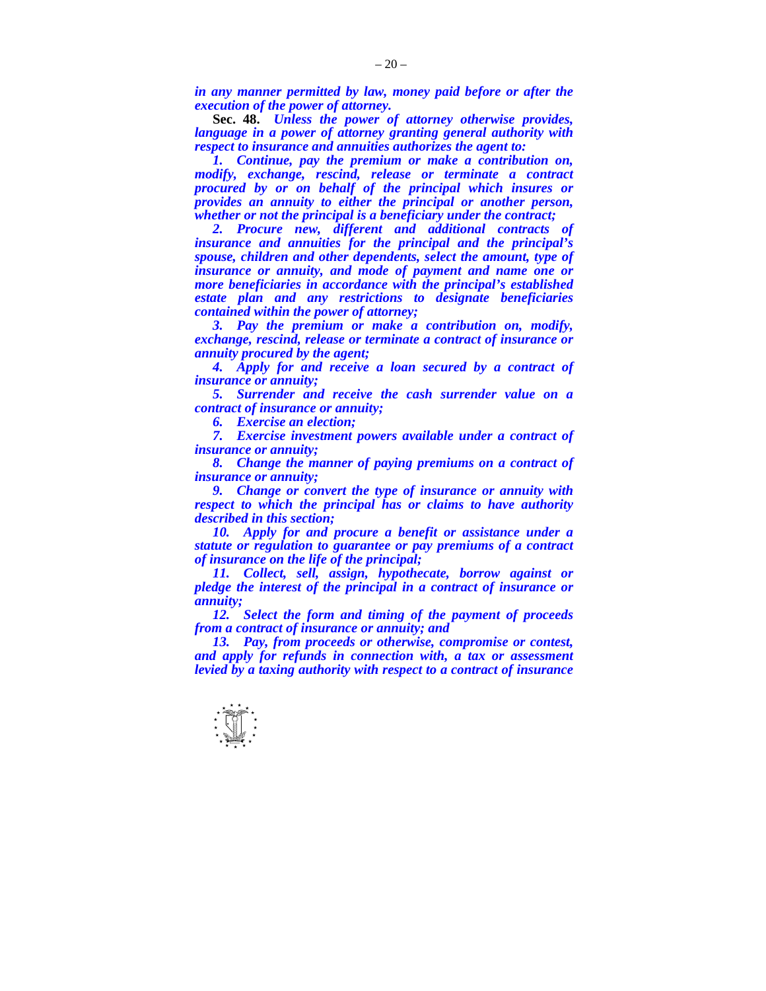*in any manner permitted by law, money paid before or after the execution of the power of attorney.* 

 **Sec. 48.** *Unless the power of attorney otherwise provides, language in a power of attorney granting general authority with respect to insurance and annuities authorizes the agent to:* 

 *1. Continue, pay the premium or make a contribution on, modify, exchange, rescind, release or terminate a contract procured by or on behalf of the principal which insures or provides an annuity to either the principal or another person, whether or not the principal is a beneficiary under the contract;* 

 *2. Procure new, different and additional contracts of insurance and annuities for the principal and the principal's spouse, children and other dependents, select the amount, type of insurance or annuity, and mode of payment and name one or more beneficiaries in accordance with the principal's established estate plan and any restrictions to designate beneficiaries contained within the power of attorney;* 

 *3. Pay the premium or make a contribution on, modify, exchange, rescind, release or terminate a contract of insurance or annuity procured by the agent;* 

 *4. Apply for and receive a loan secured by a contract of insurance or annuity;* 

 *5. Surrender and receive the cash surrender value on a contract of insurance or annuity;* 

 *6. Exercise an election;* 

 *7. Exercise investment powers available under a contract of insurance or annuity;* 

 *8. Change the manner of paying premiums on a contract of insurance or annuity;* 

 *9. Change or convert the type of insurance or annuity with respect to which the principal has or claims to have authority described in this section;* 

 *10. Apply for and procure a benefit or assistance under a statute or regulation to guarantee or pay premiums of a contract of insurance on the life of the principal;* 

 *11. Collect, sell, assign, hypothecate, borrow against or pledge the interest of the principal in a contract of insurance or annuity;* 

 *12. Select the form and timing of the payment of proceeds from a contract of insurance or annuity; and* 

 *13. Pay, from proceeds or otherwise, compromise or contest, and apply for refunds in connection with, a tax or assessment levied by a taxing authority with respect to a contract of insurance*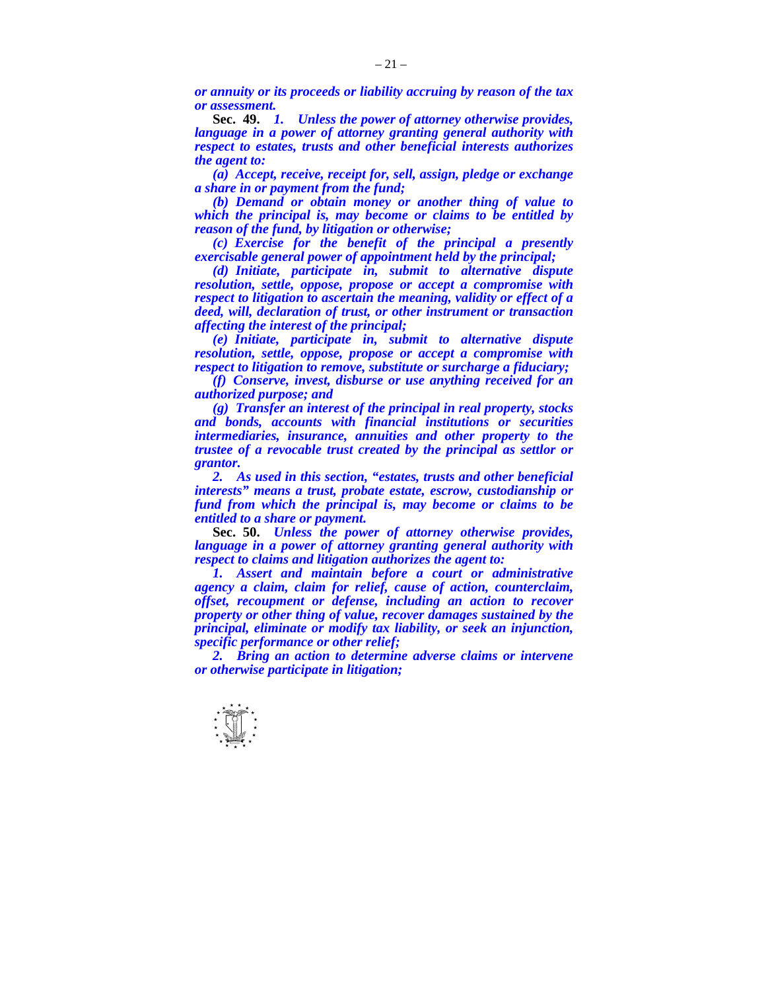*or annuity or its proceeds or liability accruing by reason of the tax or assessment.*

 **Sec. 49.** *1. Unless the power of attorney otherwise provides, language in a power of attorney granting general authority with respect to estates, trusts and other beneficial interests authorizes the agent to:* 

 *(a) Accept, receive, receipt for, sell, assign, pledge or exchange a share in or payment from the fund;* 

 *(b) Demand or obtain money or another thing of value to which the principal is, may become or claims to be entitled by reason of the fund, by litigation or otherwise;* 

 *(c) Exercise for the benefit of the principal a presently exercisable general power of appointment held by the principal;* 

 *(d) Initiate, participate in, submit to alternative dispute resolution, settle, oppose, propose or accept a compromise with respect to litigation to ascertain the meaning, validity or effect of a deed, will, declaration of trust, or other instrument or transaction affecting the interest of the principal;* 

 *(e) Initiate, participate in, submit to alternative dispute resolution, settle, oppose, propose or accept a compromise with respect to litigation to remove, substitute or surcharge a fiduciary;* 

 *(f) Conserve, invest, disburse or use anything received for an authorized purpose; and* 

 *(g) Transfer an interest of the principal in real property, stocks and bonds, accounts with financial institutions or securities intermediaries, insurance, annuities and other property to the trustee of a revocable trust created by the principal as settlor or grantor.* 

 *2. As used in this section, "estates, trusts and other beneficial interests" means a trust, probate estate, escrow, custodianship or fund from which the principal is, may become or claims to be entitled to a share or payment.*

 **Sec. 50.** *Unless the power of attorney otherwise provides,*  language in a power of attorney granting general authority with *respect to claims and litigation authorizes the agent to:* 

 *1. Assert and maintain before a court or administrative agency a claim, claim for relief, cause of action, counterclaim, offset, recoupment or defense, including an action to recover property or other thing of value, recover damages sustained by the principal, eliminate or modify tax liability, or seek an injunction, specific performance or other relief;* 

 *2. Bring an action to determine adverse claims or intervene or otherwise participate in litigation;* 

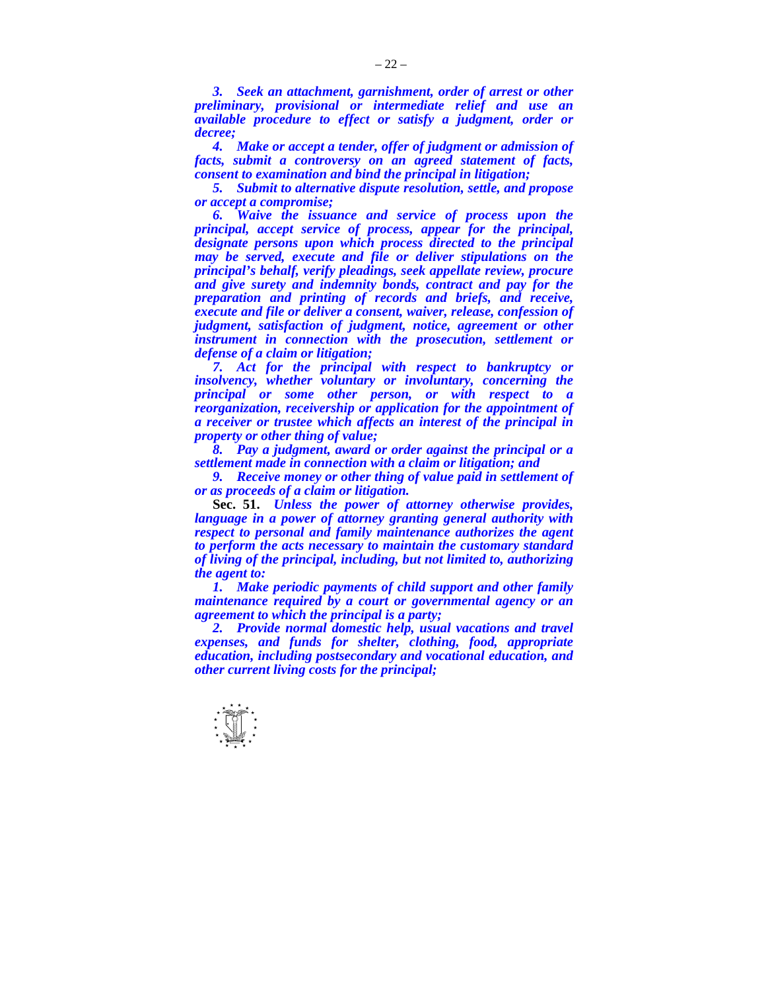*3. Seek an attachment, garnishment, order of arrest or other preliminary, provisional or intermediate relief and use an available procedure to effect or satisfy a judgment, order or decree;* 

 *4. Make or accept a tender, offer of judgment or admission of facts, submit a controversy on an agreed statement of facts, consent to examination and bind the principal in litigation;* 

 *5. Submit to alternative dispute resolution, settle, and propose or accept a compromise;* 

 *6. Waive the issuance and service of process upon the principal, accept service of process, appear for the principal, designate persons upon which process directed to the principal may be served, execute and file or deliver stipulations on the principal's behalf, verify pleadings, seek appellate review, procure and give surety and indemnity bonds, contract and pay for the preparation and printing of records and briefs, and receive, execute and file or deliver a consent, waiver, release, confession of judgment, satisfaction of judgment, notice, agreement or other instrument in connection with the prosecution, settlement or defense of a claim or litigation;* 

 *7. Act for the principal with respect to bankruptcy or insolvency, whether voluntary or involuntary, concerning the principal or some other person, or with respect to a reorganization, receivership or application for the appointment of a receiver or trustee which affects an interest of the principal in property or other thing of value;* 

 *8. Pay a judgment, award or order against the principal or a settlement made in connection with a claim or litigation; and* 

 *9. Receive money or other thing of value paid in settlement of or as proceeds of a claim or litigation.* 

 **Sec. 51.** *Unless the power of attorney otherwise provides, language in a power of attorney granting general authority with respect to personal and family maintenance authorizes the agent to perform the acts necessary to maintain the customary standard of living of the principal, including, but not limited to, authorizing the agent to:* 

 *1. Make periodic payments of child support and other family maintenance required by a court or governmental agency or an agreement to which the principal is a party;* 

 *2. Provide normal domestic help, usual vacations and travel expenses, and funds for shelter, clothing, food, appropriate education, including postsecondary and vocational education, and other current living costs for the principal;* 

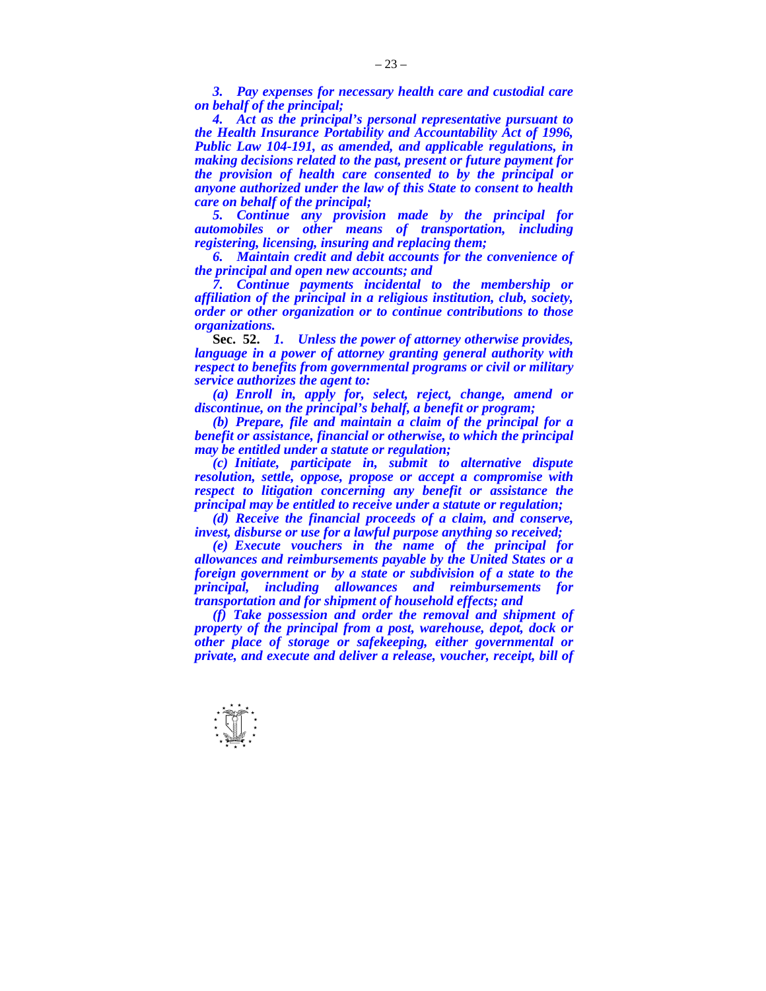*3. Pay expenses for necessary health care and custodial care on behalf of the principal;* 

 *4. Act as the principal's personal representative pursuant to the Health Insurance Portability and Accountability Act of 1996, Public Law 104-191, as amended, and applicable regulations, in making decisions related to the past, present or future payment for the provision of health care consented to by the principal or anyone authorized under the law of this State to consent to health care on behalf of the principal;* 

 *5. Continue any provision made by the principal for automobiles or other means of transportation, including registering, licensing, insuring and replacing them;* 

 *6. Maintain credit and debit accounts for the convenience of the principal and open new accounts; and* 

 *7. Continue payments incidental to the membership or affiliation of the principal in a religious institution, club, society, order or other organization or to continue contributions to those organizations.*

 **Sec. 52.** *1. Unless the power of attorney otherwise provides, language in a power of attorney granting general authority with respect to benefits from governmental programs or civil or military service authorizes the agent to:* 

 *(a) Enroll in, apply for, select, reject, change, amend or discontinue, on the principal's behalf, a benefit or program;* 

 *(b) Prepare, file and maintain a claim of the principal for a benefit or assistance, financial or otherwise, to which the principal may be entitled under a statute or regulation;* 

 *(c) Initiate, participate in, submit to alternative dispute resolution, settle, oppose, propose or accept a compromise with respect to litigation concerning any benefit or assistance the principal may be entitled to receive under a statute or regulation;* 

 *(d) Receive the financial proceeds of a claim, and conserve, invest, disburse or use for a lawful purpose anything so received;* 

 *(e) Execute vouchers in the name of the principal for allowances and reimbursements payable by the United States or a foreign government or by a state or subdivision of a state to the principal, including allowances and reimbursements for transportation and for shipment of household effects; and* 

 *(f) Take possession and order the removal and shipment of property of the principal from a post, warehouse, depot, dock or other place of storage or safekeeping, either governmental or private, and execute and deliver a release, voucher, receipt, bill of* 

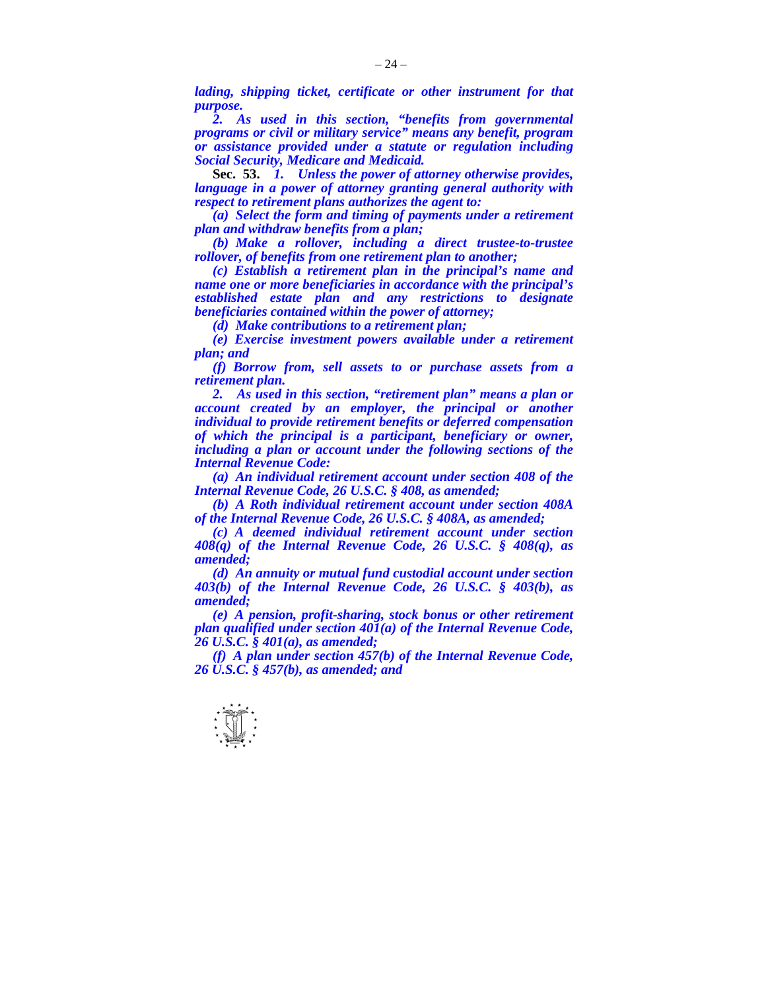*lading, shipping ticket, certificate or other instrument for that purpose.* 

 *2. As used in this section, "benefits from governmental programs or civil or military service" means any benefit, program or assistance provided under a statute or regulation including Social Security, Medicare and Medicaid.* 

 **Sec. 53.** *1. Unless the power of attorney otherwise provides, language in a power of attorney granting general authority with respect to retirement plans authorizes the agent to:* 

 *(a) Select the form and timing of payments under a retirement plan and withdraw benefits from a plan;* 

 *(b) Make a rollover, including a direct trustee-to-trustee rollover, of benefits from one retirement plan to another;* 

 *(c) Establish a retirement plan in the principal's name and name one or more beneficiaries in accordance with the principal's established estate plan and any restrictions to designate beneficiaries contained within the power of attorney;* 

 *(d) Make contributions to a retirement plan;* 

 *(e) Exercise investment powers available under a retirement plan; and* 

 *(f) Borrow from, sell assets to or purchase assets from a retirement plan.* 

*2. As used in this section, "retirement plan" means a plan or account created by an employer, the principal or another individual to provide retirement benefits or deferred compensation of which the principal is a participant, beneficiary or owner, including a plan or account under the following sections of the Internal Revenue Code:* 

 *(a) An individual retirement account under section 408 of the Internal Revenue Code, 26 U.S.C. § 408, as amended;* 

 *(b) A Roth individual retirement account under section 408A of the Internal Revenue Code, 26 U.S.C. § 408A, as amended;* 

 *(c) A deemed individual retirement account under section 408(q) of the Internal Revenue Code, 26 U.S.C. § 408(q), as amended;* 

 *(d) An annuity or mutual fund custodial account under section 403(b) of the Internal Revenue Code, 26 U.S.C. § 403(b), as amended;* 

 *(e) A pension, profit-sharing, stock bonus or other retirement plan qualified under section 401(a) of the Internal Revenue Code, 26 U.S.C. § 401(a), as amended;* 

 *(f) A plan under section 457(b) of the Internal Revenue Code, 26 U.S.C. § 457(b), as amended; and* 

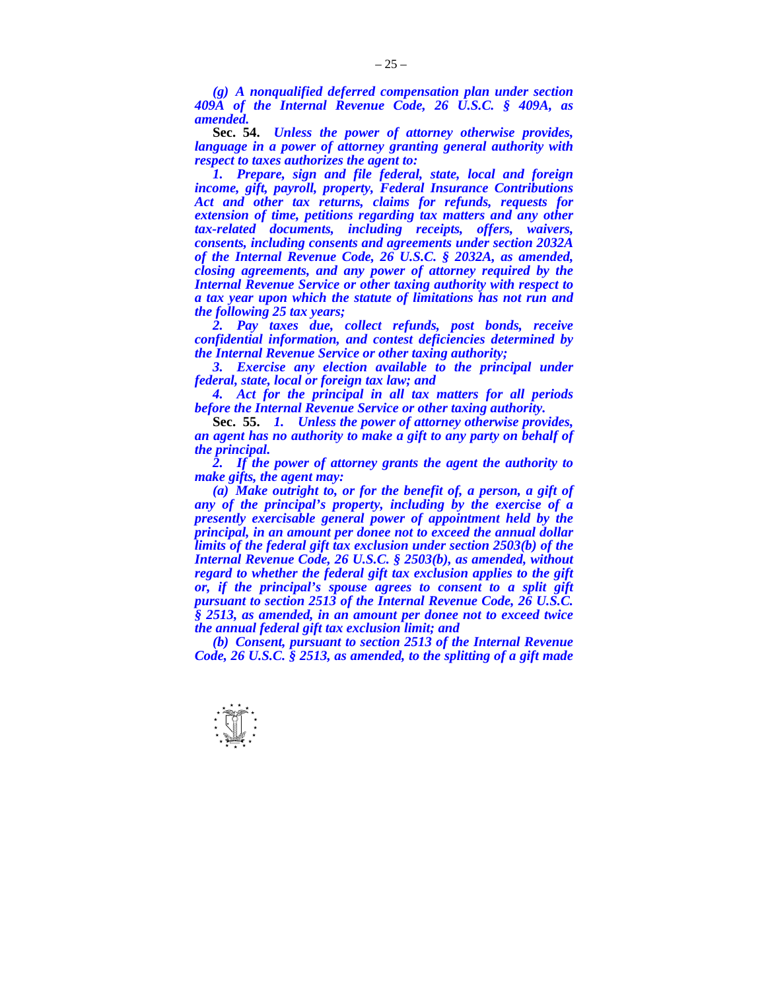*(g) A nonqualified deferred compensation plan under section 409A of the Internal Revenue Code, 26 U.S.C. § 409A, as amended.*

 **Sec. 54.** *Unless the power of attorney otherwise provides, language in a power of attorney granting general authority with respect to taxes authorizes the agent to:* 

 *1. Prepare, sign and file federal, state, local and foreign income, gift, payroll, property, Federal Insurance Contributions Act and other tax returns, claims for refunds, requests for extension of time, petitions regarding tax matters and any other tax-related documents, including receipts, offers, waivers, consents, including consents and agreements under section 2032A of the Internal Revenue Code, 26 U.S.C. § 2032A, as amended, closing agreements, and any power of attorney required by the Internal Revenue Service or other taxing authority with respect to a tax year upon which the statute of limitations has not run and the following 25 tax years;* 

 *2. Pay taxes due, collect refunds, post bonds, receive confidential information, and contest deficiencies determined by the Internal Revenue Service or other taxing authority;* 

 *3. Exercise any election available to the principal under federal, state, local or foreign tax law; and* 

 *4. Act for the principal in all tax matters for all periods before the Internal Revenue Service or other taxing authority.* 

 **Sec. 55.** *1. Unless the power of attorney otherwise provides, an agent has no authority to make a gift to any party on behalf of the principal.* 

 *2. If the power of attorney grants the agent the authority to make gifts, the agent may:* 

 *(a) Make outright to, or for the benefit of, a person, a gift of any of the principal's property, including by the exercise of a presently exercisable general power of appointment held by the principal, in an amount per donee not to exceed the annual dollar limits of the federal gift tax exclusion under section 2503(b) of the Internal Revenue Code, 26 U.S.C. § 2503(b), as amended, without regard to whether the federal gift tax exclusion applies to the gift or, if the principal's spouse agrees to consent to a split gift pursuant to section 2513 of the Internal Revenue Code, 26 U.S.C. § 2513, as amended, in an amount per donee not to exceed twice the annual federal gift tax exclusion limit; and* 

 *(b) Consent, pursuant to section 2513 of the Internal Revenue Code, 26 U.S.C. § 2513, as amended, to the splitting of a gift made* 

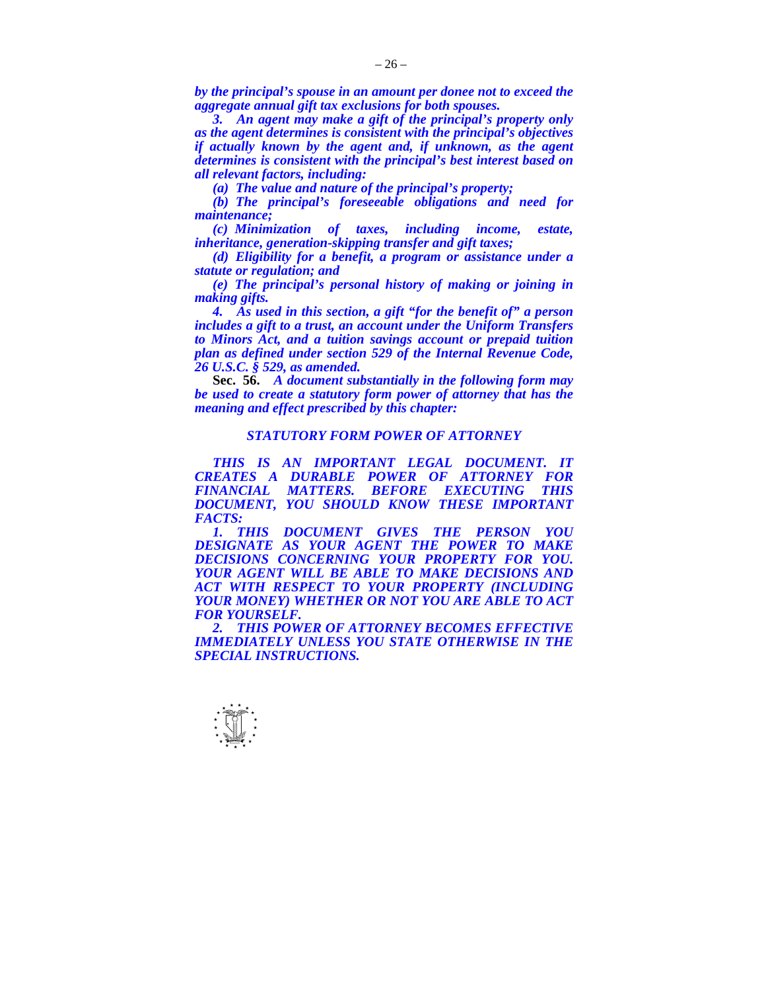*by the principal's spouse in an amount per donee not to exceed the aggregate annual gift tax exclusions for both spouses.* 

 *3. An agent may make a gift of the principal's property only as the agent determines is consistent with the principal's objectives if actually known by the agent and, if unknown, as the agent determines is consistent with the principal's best interest based on all relevant factors, including:* 

 *(a) The value and nature of the principal's property;* 

 *(b) The principal's foreseeable obligations and need for maintenance;* 

 *(c) Minimization of taxes, including income, estate, inheritance, generation-skipping transfer and gift taxes;* 

 *(d) Eligibility for a benefit, a program or assistance under a statute or regulation; and* 

 *(e) The principal's personal history of making or joining in making gifts.* 

*4. As used in this section, a gift "for the benefit of" a person includes a gift to a trust, an account under the Uniform Transfers to Minors Act, and a tuition savings account or prepaid tuition plan as defined under section 529 of the Internal Revenue Code, 26 U.S.C. § 529, as amended.*

 **Sec. 56.** *A document substantially in the following form may be used to create a statutory form power of attorney that has the meaning and effect prescribed by this chapter:* 

#### *STATUTORY FORM POWER OF ATTORNEY*

 *THIS IS AN IMPORTANT LEGAL DOCUMENT. IT CREATES A DURABLE POWER OF ATTORNEY FOR FINANCIAL MATTERS. BEFORE EXECUTING THIS DOCUMENT, YOU SHOULD KNOW THESE IMPORTANT FACTS:* 

 *1. THIS DOCUMENT GIVES THE PERSON YOU DESIGNATE AS YOUR AGENT THE POWER TO MAKE DECISIONS CONCERNING YOUR PROPERTY FOR YOU. YOUR AGENT WILL BE ABLE TO MAKE DECISIONS AND ACT WITH RESPECT TO YOUR PROPERTY (INCLUDING YOUR MONEY) WHETHER OR NOT YOU ARE ABLE TO ACT FOR YOURSELF.* 

 *2. THIS POWER OF ATTORNEY BECOMES EFFECTIVE IMMEDIATELY UNLESS YOU STATE OTHERWISE IN THE SPECIAL INSTRUCTIONS.* 

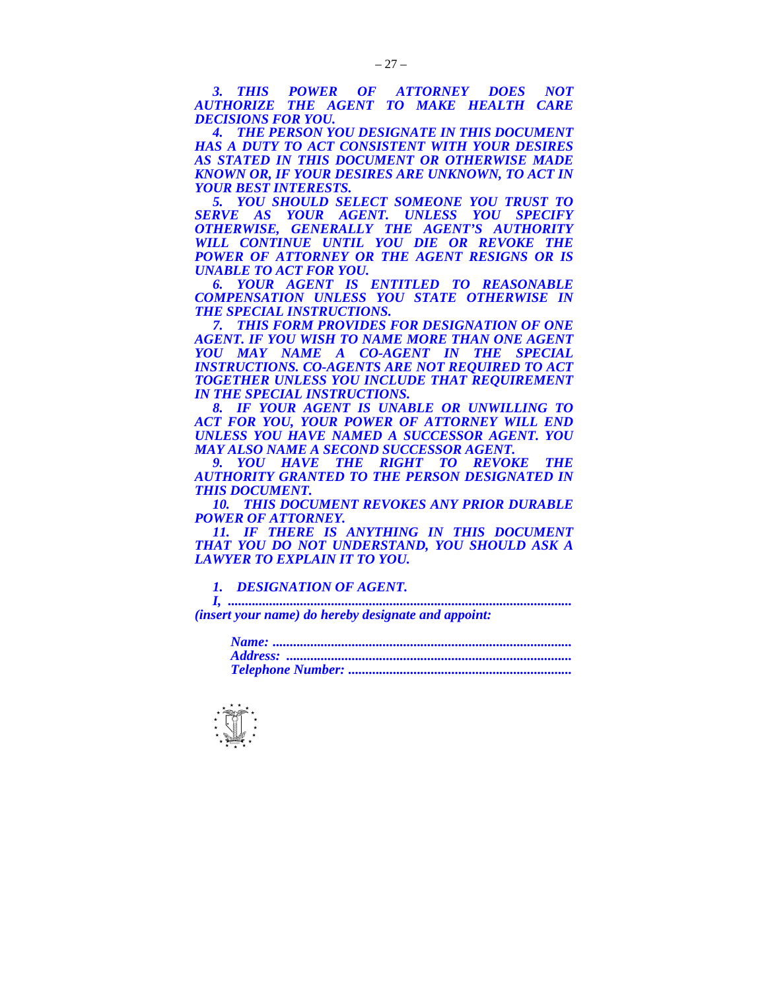*3. THIS POWER OF ATTORNEY DOES NOT AUTHORIZE THE AGENT TO MAKE HEALTH CARE DECISIONS FOR YOU.* 

 *4. THE PERSON YOU DESIGNATE IN THIS DOCUMENT HAS A DUTY TO ACT CONSISTENT WITH YOUR DESIRES AS STATED IN THIS DOCUMENT OR OTHERWISE MADE KNOWN OR, IF YOUR DESIRES ARE UNKNOWN, TO ACT IN YOUR BEST INTERESTS.* 

 *5. YOU SHOULD SELECT SOMEONE YOU TRUST TO SERVE AS YOUR AGENT. UNLESS YOU SPECIFY OTHERWISE, GENERALLY THE AGENT'S AUTHORITY WILL CONTINUE UNTIL YOU DIE OR REVOKE THE POWER OF ATTORNEY OR THE AGENT RESIGNS OR IS UNABLE TO ACT FOR YOU.* 

 *6. YOUR AGENT IS ENTITLED TO REASONABLE COMPENSATION UNLESS YOU STATE OTHERWISE IN THE SPECIAL INSTRUCTIONS.* 

 *7. THIS FORM PROVIDES FOR DESIGNATION OF ONE AGENT. IF YOU WISH TO NAME MORE THAN ONE AGENT YOU MAY NAME A CO-AGENT IN THE SPECIAL INSTRUCTIONS. CO-AGENTS ARE NOT REQUIRED TO ACT TOGETHER UNLESS YOU INCLUDE THAT REQUIREMENT IN THE SPECIAL INSTRUCTIONS.* 

 *8. IF YOUR AGENT IS UNABLE OR UNWILLING TO ACT FOR YOU, YOUR POWER OF ATTORNEY WILL END UNLESS YOU HAVE NAMED A SUCCESSOR AGENT. YOU MAY ALSO NAME A SECOND SUCCESSOR AGENT.* 

 *9. YOU HAVE THE RIGHT TO REVOKE THE AUTHORITY GRANTED TO THE PERSON DESIGNATED IN THIS DOCUMENT.* 

 *10. THIS DOCUMENT REVOKES ANY PRIOR DURABLE POWER OF ATTORNEY.* 

 *11. IF THERE IS ANYTHING IN THIS DOCUMENT THAT YOU DO NOT UNDERSTAND, YOU SHOULD ASK A LAWYER TO EXPLAIN IT TO YOU.* 

 *1. DESIGNATION OF AGENT.* 

 *I, .................................................................................................... (insert your name) do hereby designate and appoint:* 

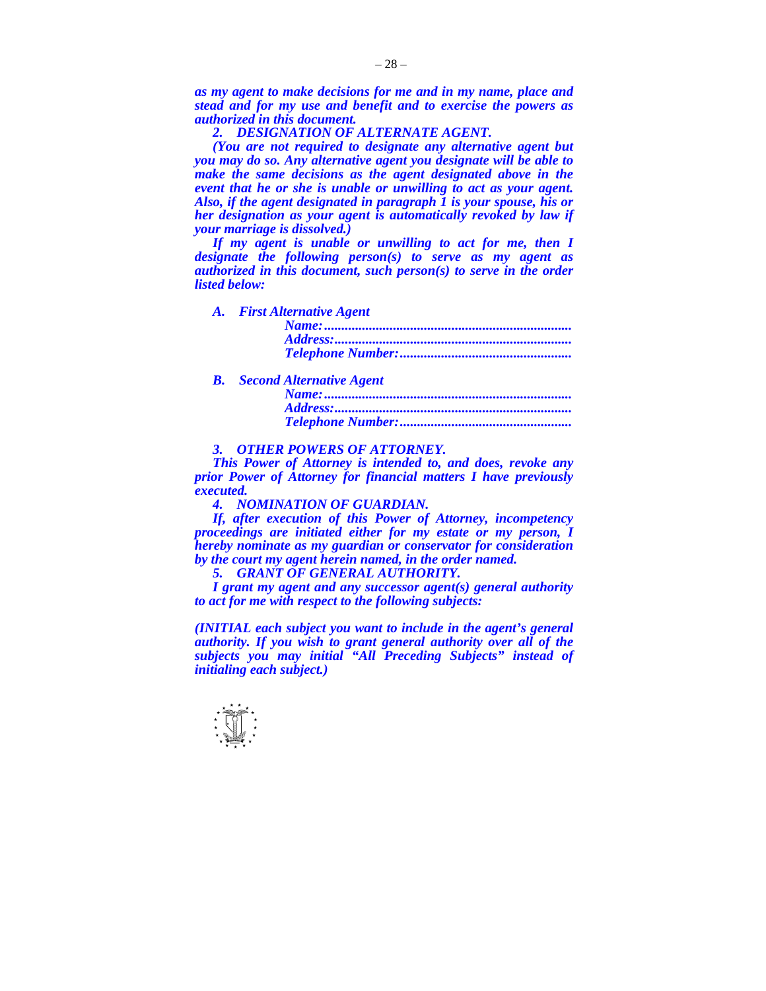*as my agent to make decisions for me and in my name, place and stead and for my use and benefit and to exercise the powers as authorized in this document.* 

 *2. DESIGNATION OF ALTERNATE AGENT.* 

 *(You are not required to designate any alternative agent but you may do so. Any alternative agent you designate will be able to make the same decisions as the agent designated above in the event that he or she is unable or unwilling to act as your agent. Also, if the agent designated in paragraph 1 is your spouse, his or her designation as your agent is automatically revoked by law if your marriage is dissolved.)* 

 *If my agent is unable or unwilling to act for me, then I designate the following person(s) to serve as my agent as authorized in this document, such person(s) to serve in the order listed below:* 

 *A. First Alternative Agent* 

 *B. Second Alternative Agent* 

#### *3. OTHER POWERS OF ATTORNEY.*

 *This Power of Attorney is intended to, and does, revoke any prior Power of Attorney for financial matters I have previously executed.* 

 *4. NOMINATION OF GUARDIAN.* 

 *If, after execution of this Power of Attorney, incompetency proceedings are initiated either for my estate or my person, I hereby nominate as my guardian or conservator for consideration by the court my agent herein named, in the order named.* 

 *5. GRANT OF GENERAL AUTHORITY.* 

 *I grant my agent and any successor agent(s) general authority to act for me with respect to the following subjects:* 

*(INITIAL each subject you want to include in the agent's general authority. If you wish to grant general authority over all of the subjects you may initial "All Preceding Subjects" instead of initialing each subject.)* 

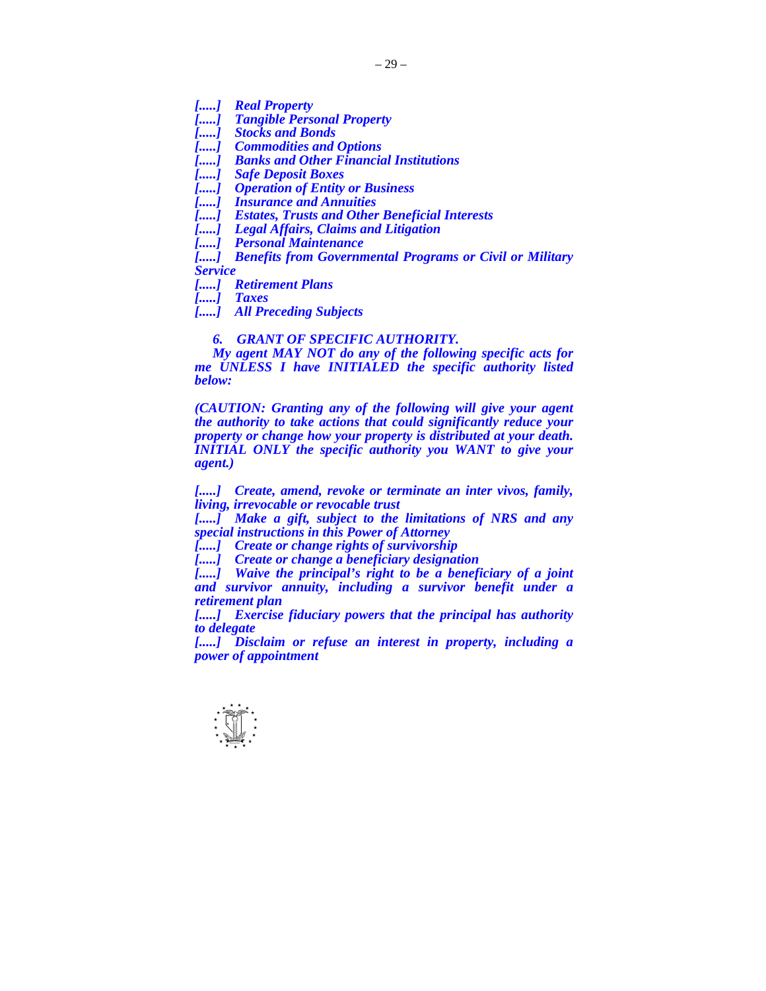*[.....] Real Property* 

*[.....] Tangible Personal Property* 

*[.....] Stocks and Bonds* 

*[.....] Commodities and Options* 

*[.....] Banks and Other Financial Institutions* 

*[.....] Safe Deposit Boxes* 

*[.....] Operation of Entity or Business* 

*[.....] Insurance and Annuities* 

*[.....] Estates, Trusts and Other Beneficial Interests* 

*[.....] Legal Affairs, Claims and Litigation* 

*[.....] Personal Maintenance* 

*[.....] Benefits from Governmental Programs or Civil or Military Service* 

*[.....] Retirement Plans* 

*[.....] Taxes* 

*[.....] All Preceding Subjects* 

 *6. GRANT OF SPECIFIC AUTHORITY.* 

 *My agent MAY NOT do any of the following specific acts for me UNLESS I have INITIALED the specific authority listed below:* 

*(CAUTION: Granting any of the following will give your agent the authority to take actions that could significantly reduce your property or change how your property is distributed at your death. INITIAL ONLY the specific authority you WANT to give your agent.)* 

*[.....] Create, amend, revoke or terminate an inter vivos, family, living, irrevocable or revocable trust* 

*[.....] Make a gift, subject to the limitations of NRS and any special instructions in this Power of Attorney* 

*[.....] Create or change rights of survivorship* 

*[.....] Create or change a beneficiary designation* 

[.....] Waive the principal's right to be a beneficiary of a joint *and survivor annuity, including a survivor benefit under a retirement plan* 

[.....] Exercise fiduciary powers that the principal has authority *to delegate* 

*[.....] Disclaim or refuse an interest in property, including a power of appointment* 

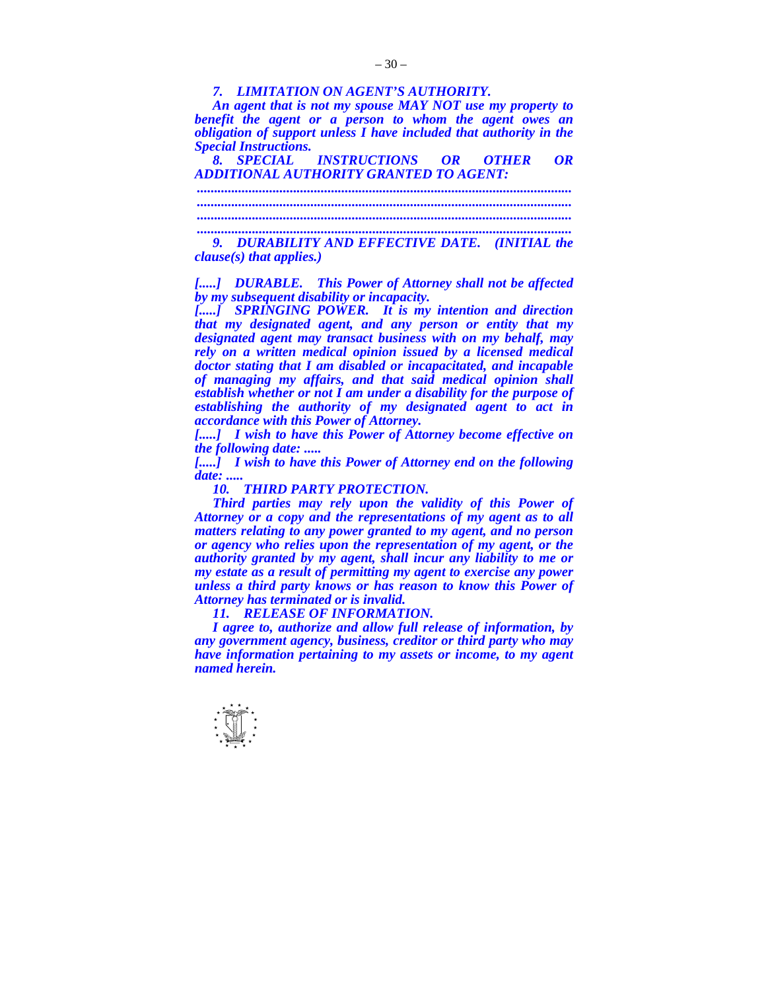*7. LIMITATION ON AGENT'S AUTHORITY.* 

 *An agent that is not my spouse MAY NOT use my property to benefit the agent or a person to whom the agent owes an obligation of support unless I have included that authority in the Special Instructions.* 

 *8. SPECIAL INSTRUCTIONS OR OTHER OR ADDITIONAL AUTHORITY GRANTED TO AGENT:* 

*............................................................................................................. .............................................................................................................* 

*.............................................................................................................* 

*............................................................................................................. 9. DURABILITY AND EFFECTIVE DATE. (INITIAL the clause(s) that applies.)* 

*[.....] DURABLE. This Power of Attorney shall not be affected by my subsequent disability or incapacity.* 

[.....] SPRINGING POWER. It is my intention and direction *that my designated agent, and any person or entity that my designated agent may transact business with on my behalf, may rely on a written medical opinion issued by a licensed medical doctor stating that I am disabled or incapacitated, and incapable of managing my affairs, and that said medical opinion shall establish whether or not I am under a disability for the purpose of establishing the authority of my designated agent to act in accordance with this Power of Attorney.* 

*[.....] I wish to have this Power of Attorney become effective on the following date: .....* 

*[.....] I wish to have this Power of Attorney end on the following date: .....* 

 *10. THIRD PARTY PROTECTION.* 

 *Third parties may rely upon the validity of this Power of Attorney or a copy and the representations of my agent as to all matters relating to any power granted to my agent, and no person or agency who relies upon the representation of my agent, or the authority granted by my agent, shall incur any liability to me or my estate as a result of permitting my agent to exercise any power unless a third party knows or has reason to know this Power of Attorney has terminated or is invalid.* 

 *11. RELEASE OF INFORMATION.* 

 *I agree to, authorize and allow full release of information, by any government agency, business, creditor or third party who may have information pertaining to my assets or income, to my agent named herein.* 

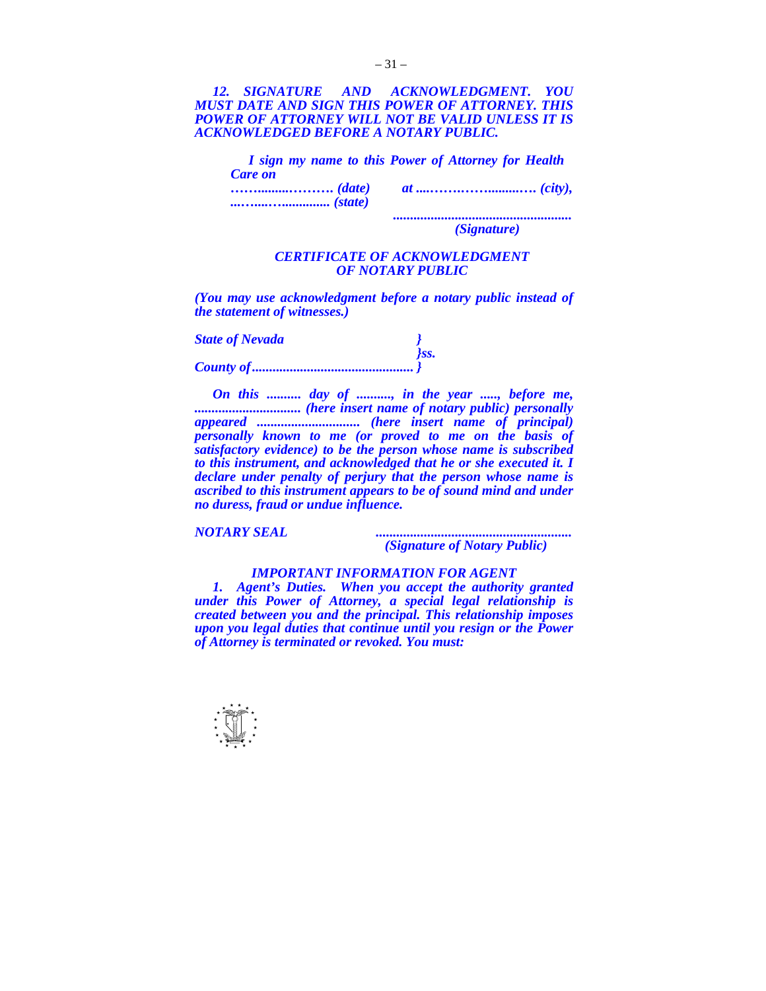*12. SIGNATURE AND ACKNOWLEDGMENT. YOU MUST DATE AND SIGN THIS POWER OF ATTORNEY. THIS POWER OF ATTORNEY WILL NOT BE VALID UNLESS IT IS ACKNOWLEDGED BEFORE A NOTARY PUBLIC.* 

 *I sign my name to this Power of Attorney for Health Care on* 

*...…....….............. (state)* 

*…….........………. (date) at ....…….…….........…. (city),* 

 *....................................................* 

 *(Signature)* 

# *CERTIFICATE OF ACKNOWLEDGMENT OF NOTARY PUBLIC*

*(You may use acknowledgment before a notary public instead of the statement of witnesses.)* 

**State of Nevada**  $\begin{array}{c} \n} \n} \n$  **3ss.**  *}ss. County of............................................... }* 

 *On this .......... day of .........., in the year ....., before me, ............................... (here insert name of notary public) personally appeared .............................. (here insert name of principal) personally known to me (or proved to me on the basis of satisfactory evidence) to be the person whose name is subscribed to this instrument, and acknowledged that he or she executed it. I declare under penalty of perjury that the person whose name is ascribed to this instrument appears to be of sound mind and under no duress, fraud or undue influence.* 

*NOTARY SEAL .........................................................* 

 *(Signature of Notary Public)* 

# *IMPORTANT INFORMATION FOR AGENT*

 *1. Agent's Duties. When you accept the authority granted under this Power of Attorney, a special legal relationship is created between you and the principal. This relationship imposes upon you legal duties that continue until you resign or the Power of Attorney is terminated or revoked. You must:* 

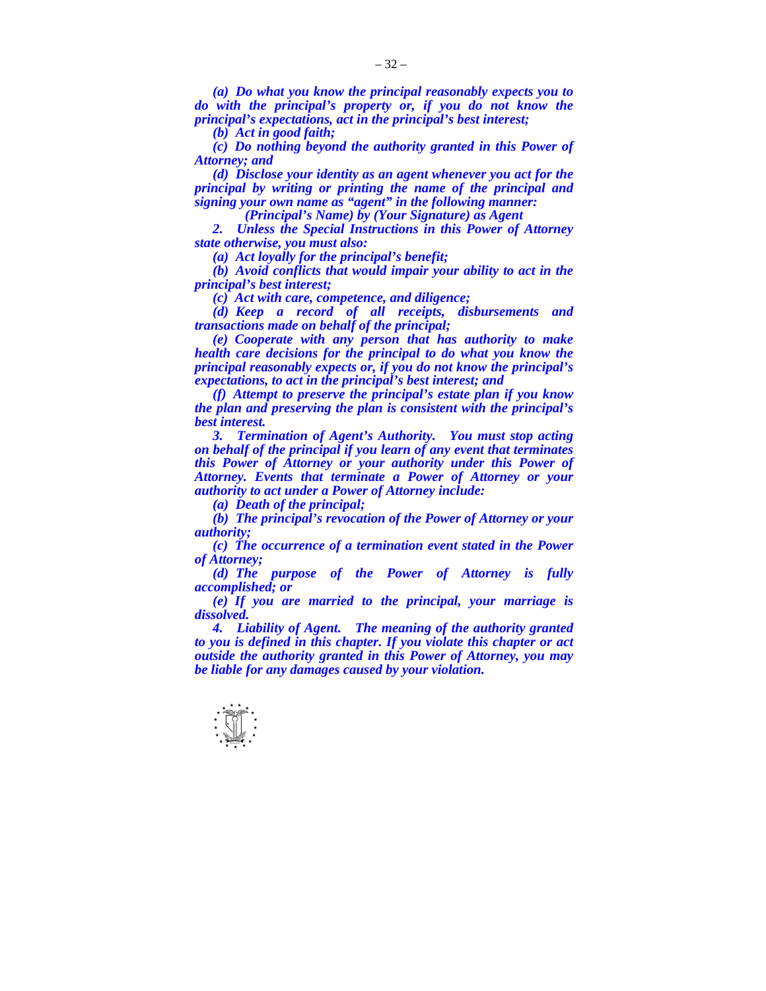*(a) Do what you know the principal reasonably expects you to do with the principal's property or, if you do not know the principal's expectations, act in the principal's best interest;* 

 *(b) Act in good faith;* 

 *(c) Do nothing beyond the authority granted in this Power of Attorney; and* 

 *(d) Disclose your identity as an agent whenever you act for the principal by writing or printing the name of the principal and signing your own name as "agent" in the following manner:* 

*(Principal's Name) by (Your Signature) as Agent* 

 *2. Unless the Special Instructions in this Power of Attorney state otherwise, you must also:* 

 *(a) Act loyally for the principal's benefit;* 

 *(b) Avoid conflicts that would impair your ability to act in the principal's best interest;* 

 *(c) Act with care, competence, and diligence;* 

 *(d) Keep a record of all receipts, disbursements and transactions made on behalf of the principal;* 

 *(e) Cooperate with any person that has authority to make health care decisions for the principal to do what you know the principal reasonably expects or, if you do not know the principal's expectations, to act in the principal's best interest; and* 

 *(f) Attempt to preserve the principal's estate plan if you know the plan and preserving the plan is consistent with the principal's best interest.* 

 *3. Termination of Agent's Authority. You must stop acting on behalf of the principal if you learn of any event that terminates this Power of Attorney or your authority under this Power of Attorney. Events that terminate a Power of Attorney or your authority to act under a Power of Attorney include:* 

 *(a) Death of the principal;* 

 *(b) The principal's revocation of the Power of Attorney or your authority;* 

 *(c) The occurrence of a termination event stated in the Power of Attorney;* 

 *(d) The purpose of the Power of Attorney is fully accomplished; or* 

 *(e) If you are married to the principal, your marriage is dissolved.* 

 *4. Liability of Agent. The meaning of the authority granted to you is defined in this chapter. If you violate this chapter or act outside the authority granted in this Power of Attorney, you may be liable for any damages caused by your violation.* 

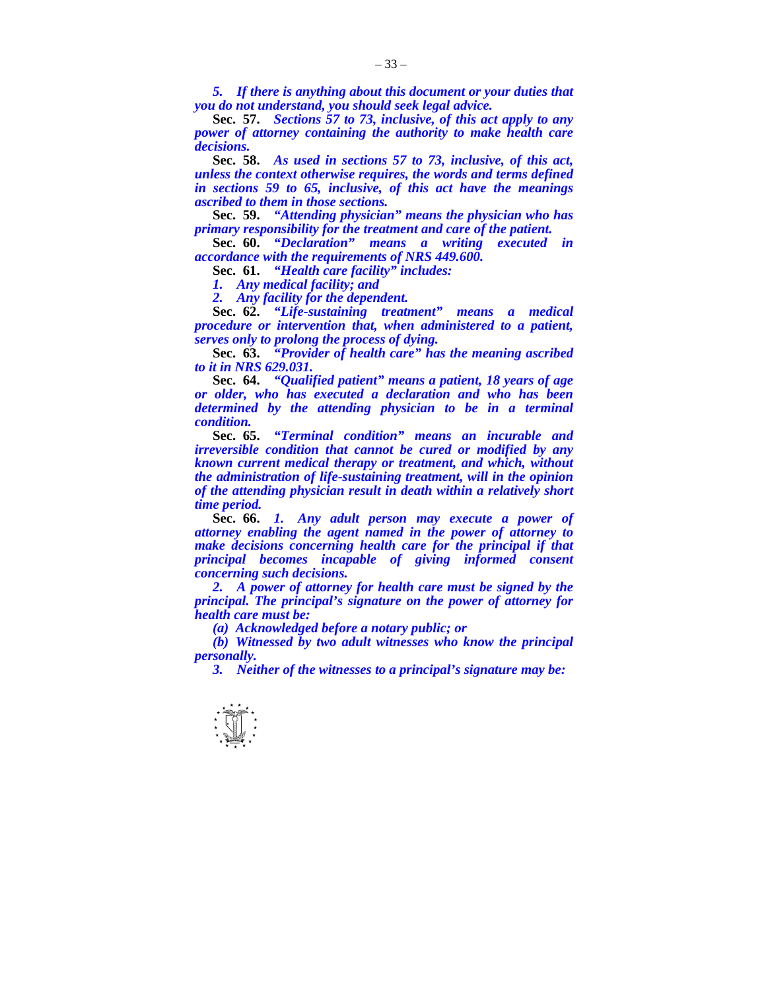*5. If there is anything about this document or your duties that you do not understand, you should seek legal advice.*

 **Sec. 57.** *Sections 57 to 73, inclusive, of this act apply to any power of attorney containing the authority to make health care decisions.* 

 **Sec. 58.** *As used in sections 57 to 73, inclusive, of this act, unless the context otherwise requires, the words and terms defined in sections 59 to 65, inclusive, of this act have the meanings ascribed to them in those sections.* 

 **Sec. 59.** *"Attending physician" means the physician who has primary responsibility for the treatment and care of the patient.* 

 **Sec. 60.** *"Declaration" means a writing executed in accordance with the requirements of NRS 449.600.* 

 **Sec. 61.** *"Health care facility" includes:* 

 *1. Any medical facility; and* 

 *2. Any facility for the dependent.* 

 **Sec. 62.** *"Life-sustaining treatment" means a medical procedure or intervention that, when administered to a patient, serves only to prolong the process of dying.* 

 **Sec. 63.** *"Provider of health care" has the meaning ascribed to it in NRS 629.031.* 

 **Sec. 64.** *"Qualified patient" means a patient, 18 years of age or older, who has executed a declaration and who has been determined by the attending physician to be in a terminal condition.* 

 **Sec. 65.** *"Terminal condition" means an incurable and irreversible condition that cannot be cured or modified by any known current medical therapy or treatment, and which, without the administration of life-sustaining treatment, will in the opinion of the attending physician result in death within a relatively short time period.* 

 **Sec. 66.** *1. Any adult person may execute a power of attorney enabling the agent named in the power of attorney to make decisions concerning health care for the principal if that principal becomes incapable of giving informed consent concerning such decisions.* 

 *2. A power of attorney for health care must be signed by the principal. The principal's signature on the power of attorney for health care must be:* 

 *(a) Acknowledged before a notary public; or* 

 *(b) Witnessed by two adult witnesses who know the principal personally.* 

 *3. Neither of the witnesses to a principal's signature may be:* 

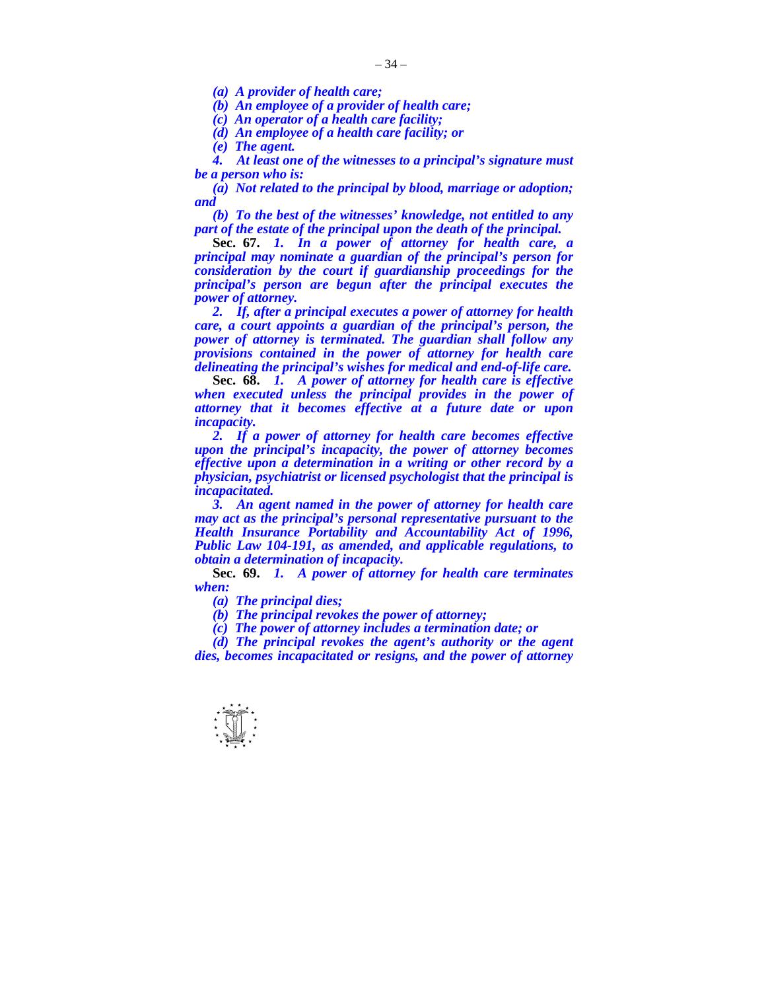*(a) A provider of health care;* 

 *(b) An employee of a provider of health care;* 

 *(c) An operator of a health care facility;* 

 *(d) An employee of a health care facility; or* 

 *(e) The agent.* 

 *4. At least one of the witnesses to a principal's signature must be a person who is:* 

 *(a) Not related to the principal by blood, marriage or adoption; and* 

 *(b) To the best of the witnesses' knowledge, not entitled to any part of the estate of the principal upon the death of the principal.*

 **Sec. 67.** *1. In a power of attorney for health care, a principal may nominate a guardian of the principal's person for consideration by the court if guardianship proceedings for the principal's person are begun after the principal executes the power of attorney.* 

 *2. If, after a principal executes a power of attorney for health care, a court appoints a guardian of the principal's person, the power of attorney is terminated. The guardian shall follow any provisions contained in the power of attorney for health care delineating the principal's wishes for medical and end-of-life care.*

 **Sec. 68.** *1. A power of attorney for health care is effective when executed unless the principal provides in the power of attorney that it becomes effective at a future date or upon incapacity.* 

 *2. If a power of attorney for health care becomes effective upon the principal's incapacity, the power of attorney becomes effective upon a determination in a writing or other record by a physician, psychiatrist or licensed psychologist that the principal is incapacitated.* 

 *3. An agent named in the power of attorney for health care may act as the principal's personal representative pursuant to the Health Insurance Portability and Accountability Act of 1996, Public Law 104-191, as amended, and applicable regulations, to obtain a determination of incapacity.*

 **Sec. 69.** *1. A power of attorney for health care terminates when:* 

 *(a) The principal dies;* 

 *(b) The principal revokes the power of attorney;* 

 *(c) The power of attorney includes a termination date; or* 

 *(d) The principal revokes the agent's authority or the agent dies, becomes incapacitated or resigns, and the power of attorney* 

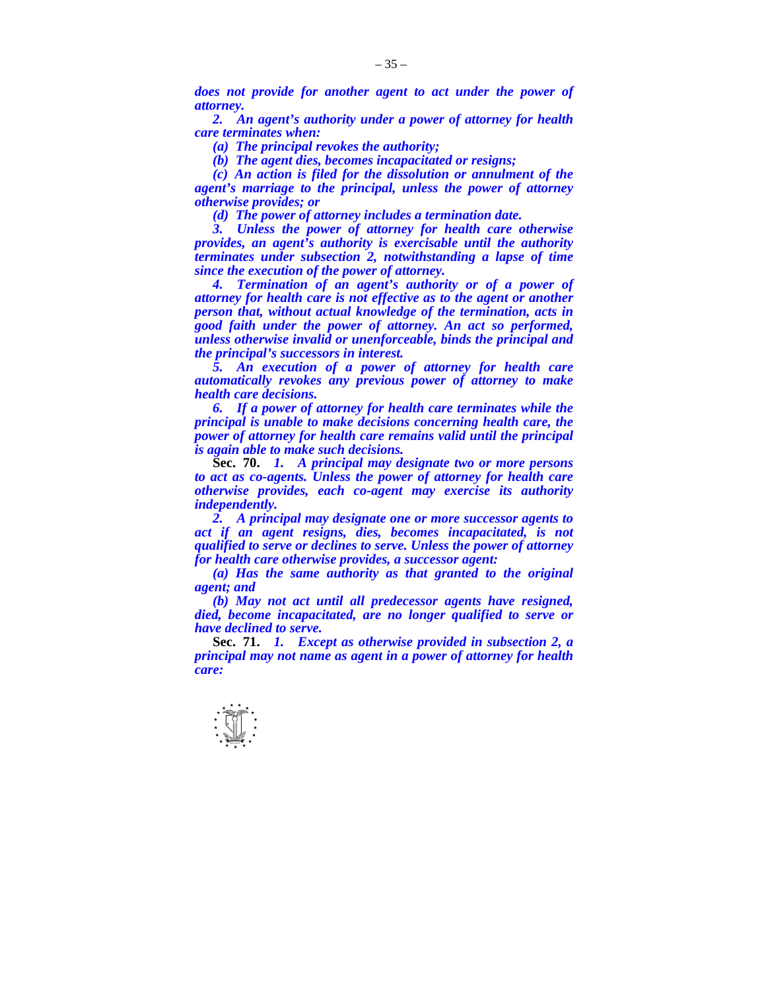*does not provide for another agent to act under the power of attorney.* 

 *2. An agent's authority under a power of attorney for health care terminates when:* 

 *(a) The principal revokes the authority;* 

 *(b) The agent dies, becomes incapacitated or resigns;* 

 *(c) An action is filed for the dissolution or annulment of the agent's marriage to the principal, unless the power of attorney otherwise provides; or* 

 *(d) The power of attorney includes a termination date.* 

 *3. Unless the power of attorney for health care otherwise provides, an agent's authority is exercisable until the authority terminates under subsection 2, notwithstanding a lapse of time since the execution of the power of attorney.* 

 *4. Termination of an agent's authority or of a power of attorney for health care is not effective as to the agent or another person that, without actual knowledge of the termination, acts in good faith under the power of attorney. An act so performed, unless otherwise invalid or unenforceable, binds the principal and the principal's successors in interest.* 

 *5. An execution of a power of attorney for health care automatically revokes any previous power of attorney to make health care decisions.* 

 *6. If a power of attorney for health care terminates while the principal is unable to make decisions concerning health care, the power of attorney for health care remains valid until the principal is again able to make such decisions.*

 **Sec. 70.** *1. A principal may designate two or more persons to act as co-agents. Unless the power of attorney for health care otherwise provides, each co-agent may exercise its authority independently.* 

 *2. A principal may designate one or more successor agents to act if an agent resigns, dies, becomes incapacitated, is not qualified to serve or declines to serve. Unless the power of attorney for health care otherwise provides, a successor agent:* 

 *(a) Has the same authority as that granted to the original agent; and* 

 *(b) May not act until all predecessor agents have resigned, died, become incapacitated, are no longer qualified to serve or have declined to serve.*

 **Sec. 71.** *1. Except as otherwise provided in subsection 2, a principal may not name as agent in a power of attorney for health care:* 

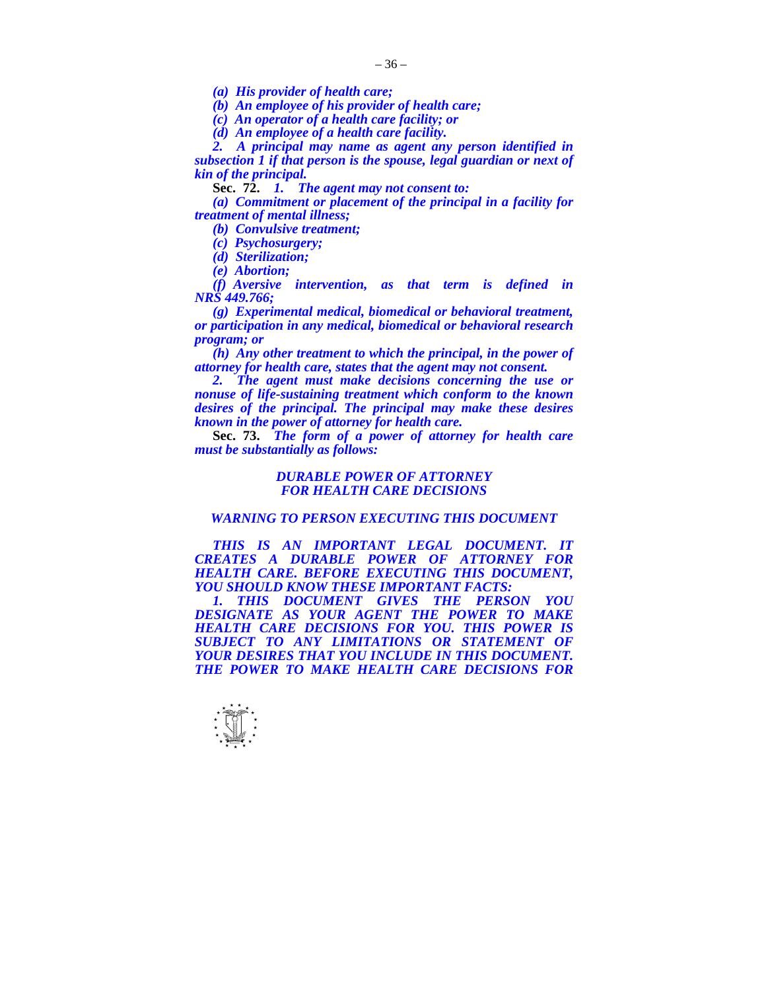*(a) His provider of health care;* 

 *(b) An employee of his provider of health care;* 

 *(c) An operator of a health care facility; or* 

 *(d) An employee of a health care facility.* 

 *2. A principal may name as agent any person identified in subsection 1 if that person is the spouse, legal guardian or next of kin of the principal.*

 **Sec. 72.** *1. The agent may not consent to:* 

 *(a) Commitment or placement of the principal in a facility for treatment of mental illness;* 

 *(b) Convulsive treatment;* 

 *(c) Psychosurgery;* 

 *(d) Sterilization;* 

 *(e) Abortion;* 

 *(f) Aversive intervention, as that term is defined in NRS 449.766;* 

 *(g) Experimental medical, biomedical or behavioral treatment, or participation in any medical, biomedical or behavioral research program; or* 

 *(h) Any other treatment to which the principal, in the power of attorney for health care, states that the agent may not consent.* 

 *2. The agent must make decisions concerning the use or nonuse of life-sustaining treatment which conform to the known desires of the principal. The principal may make these desires known in the power of attorney for health care.*

 **Sec. 73.** *The form of a power of attorney for health care must be substantially as follows:* 

## *DURABLE POWER OF ATTORNEY FOR HEALTH CARE DECISIONS*

#### *WARNING TO PERSON EXECUTING THIS DOCUMENT*

 *THIS IS AN IMPORTANT LEGAL DOCUMENT. IT CREATES A DURABLE POWER OF ATTORNEY FOR HEALTH CARE. BEFORE EXECUTING THIS DOCUMENT, YOU SHOULD KNOW THESE IMPORTANT FACTS:* 

 *1. THIS DOCUMENT GIVES THE PERSON YOU DESIGNATE AS YOUR AGENT THE POWER TO MAKE HEALTH CARE DECISIONS FOR YOU. THIS POWER IS SUBJECT TO ANY LIMITATIONS OR STATEMENT OF YOUR DESIRES THAT YOU INCLUDE IN THIS DOCUMENT. THE POWER TO MAKE HEALTH CARE DECISIONS FOR* 

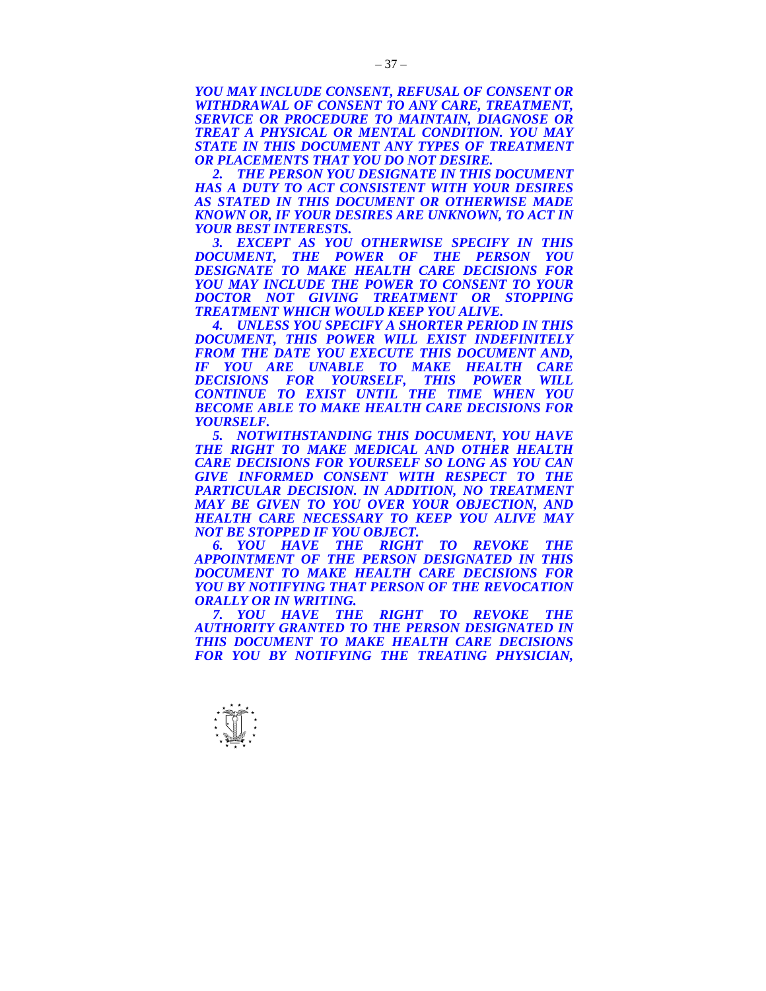*YOU MAY INCLUDE CONSENT, REFUSAL OF CONSENT OR WITHDRAWAL OF CONSENT TO ANY CARE, TREATMENT, SERVICE OR PROCEDURE TO MAINTAIN, DIAGNOSE OR TREAT A PHYSICAL OR MENTAL CONDITION. YOU MAY STATE IN THIS DOCUMENT ANY TYPES OF TREATMENT OR PLACEMENTS THAT YOU DO NOT DESIRE.* 

 *2. THE PERSON YOU DESIGNATE IN THIS DOCUMENT HAS A DUTY TO ACT CONSISTENT WITH YOUR DESIRES AS STATED IN THIS DOCUMENT OR OTHERWISE MADE KNOWN OR, IF YOUR DESIRES ARE UNKNOWN, TO ACT IN YOUR BEST INTERESTS.* 

 *3. EXCEPT AS YOU OTHERWISE SPECIFY IN THIS DOCUMENT, THE POWER OF THE PERSON YOU DESIGNATE TO MAKE HEALTH CARE DECISIONS FOR YOU MAY INCLUDE THE POWER TO CONSENT TO YOUR DOCTOR NOT GIVING TREATMENT OR STOPPING TREATMENT WHICH WOULD KEEP YOU ALIVE.* 

 *4. UNLESS YOU SPECIFY A SHORTER PERIOD IN THIS DOCUMENT, THIS POWER WILL EXIST INDEFINITELY FROM THE DATE YOU EXECUTE THIS DOCUMENT AND, IF YOU ARE UNABLE TO MAKE HEALTH CARE DECISIONS FOR YOURSELF, THIS POWER CONTINUE TO EXIST UNTIL THE TIME WHEN YOU BECOME ABLE TO MAKE HEALTH CARE DECISIONS FOR YOURSELF.* 

 *5. NOTWITHSTANDING THIS DOCUMENT, YOU HAVE THE RIGHT TO MAKE MEDICAL AND OTHER HEALTH CARE DECISIONS FOR YOURSELF SO LONG AS YOU CAN GIVE INFORMED CONSENT WITH RESPECT TO THE PARTICULAR DECISION. IN ADDITION, NO TREATMENT MAY BE GIVEN TO YOU OVER YOUR OBJECTION, AND HEALTH CARE NECESSARY TO KEEP YOU ALIVE MAY NOT BE STOPPED IF YOU OBJECT.* 

 *6. YOU HAVE THE RIGHT TO REVOKE THE APPOINTMENT OF THE PERSON DESIGNATED IN THIS DOCUMENT TO MAKE HEALTH CARE DECISIONS FOR YOU BY NOTIFYING THAT PERSON OF THE REVOCATION ORALLY OR IN WRITING.* 

 *7. YOU HAVE THE RIGHT TO REVOKE THE AUTHORITY GRANTED TO THE PERSON DESIGNATED IN THIS DOCUMENT TO MAKE HEALTH CARE DECISIONS FOR YOU BY NOTIFYING THE TREATING PHYSICIAN,* 

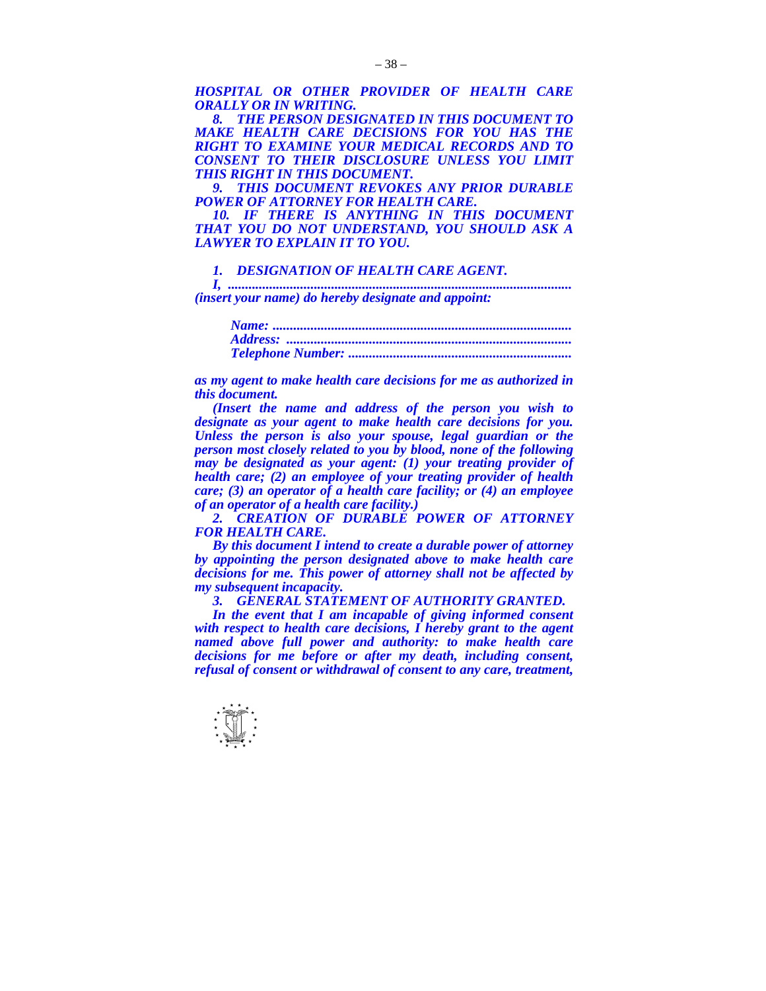*HOSPITAL OR OTHER PROVIDER OF HEALTH CARE ORALLY OR IN WRITING.* 

 *8. THE PERSON DESIGNATED IN THIS DOCUMENT TO MAKE HEALTH CARE DECISIONS FOR YOU HAS THE RIGHT TO EXAMINE YOUR MEDICAL RECORDS AND TO CONSENT TO THEIR DISCLOSURE UNLESS YOU LIMIT THIS RIGHT IN THIS DOCUMENT.* 

 *9. THIS DOCUMENT REVOKES ANY PRIOR DURABLE POWER OF ATTORNEY FOR HEALTH CARE.* 

 *10. IF THERE IS ANYTHING IN THIS DOCUMENT THAT YOU DO NOT UNDERSTAND, YOU SHOULD ASK A LAWYER TO EXPLAIN IT TO YOU.* 

 *1. DESIGNATION OF HEALTH CARE AGENT.* 

 *I, .................................................................................................... (insert your name) do hereby designate and appoint:* 

*as my agent to make health care decisions for me as authorized in this document.* 

 *(Insert the name and address of the person you wish to designate as your agent to make health care decisions for you. Unless the person is also your spouse, legal guardian or the person most closely related to you by blood, none of the following may be designated as your agent: (1) your treating provider of health care; (2) an employee of your treating provider of health care; (3) an operator of a health care facility; or (4) an employee of an operator of a health care facility.)* 

 *2. CREATION OF DURABLE POWER OF ATTORNEY FOR HEALTH CARE.* 

 *By this document I intend to create a durable power of attorney by appointing the person designated above to make health care decisions for me. This power of attorney shall not be affected by my subsequent incapacity.* 

 *3. GENERAL STATEMENT OF AUTHORITY GRANTED.* 

 *In the event that I am incapable of giving informed consent*  with respect to health care decisions, I hereby grant to the agent *named above full power and authority: to make health care decisions for me before or after my death, including consent, refusal of consent or withdrawal of consent to any care, treatment,* 

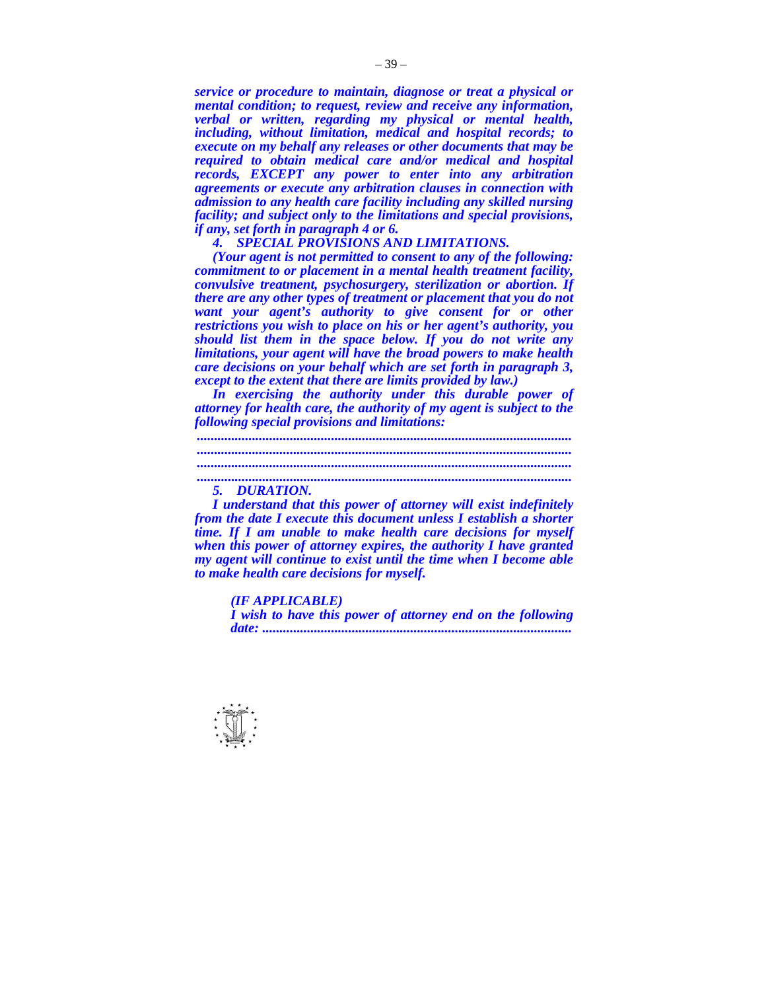*service or procedure to maintain, diagnose or treat a physical or mental condition; to request, review and receive any information, verbal or written, regarding my physical or mental health, including, without limitation, medical and hospital records; to execute on my behalf any releases or other documents that may be required to obtain medical care and/or medical and hospital records, EXCEPT any power to enter into any arbitration agreements or execute any arbitration clauses in connection with admission to any health care facility including any skilled nursing facility; and subject only to the limitations and special provisions, if any, set forth in paragraph 4 or 6.* 

 *4. SPECIAL PROVISIONS AND LIMITATIONS.* 

 *(Your agent is not permitted to consent to any of the following: commitment to or placement in a mental health treatment facility, convulsive treatment, psychosurgery, sterilization or abortion. If there are any other types of treatment or placement that you do not want your agent's authority to give consent for or other restrictions you wish to place on his or her agent's authority, you should list them in the space below. If you do not write any limitations, your agent will have the broad powers to make health care decisions on your behalf which are set forth in paragraph 3, except to the extent that there are limits provided by law.)* 

 *In exercising the authority under this durable power of attorney for health care, the authority of my agent is subject to the following special provisions and limitations:* 

*............................................................................................................. ............................................................................................................. ............................................................................................................. .............................................................................................................* 

 *5. DURATION.* 

 *I understand that this power of attorney will exist indefinitely from the date I execute this document unless I establish a shorter time. If I am unable to make health care decisions for myself when this power of attorney expires, the authority I have granted my agent will continue to exist until the time when I become able to make health care decisions for myself.* 

*(IF APPLICABLE) I wish to have this power of attorney end on the following date: ..........................................................................................* 

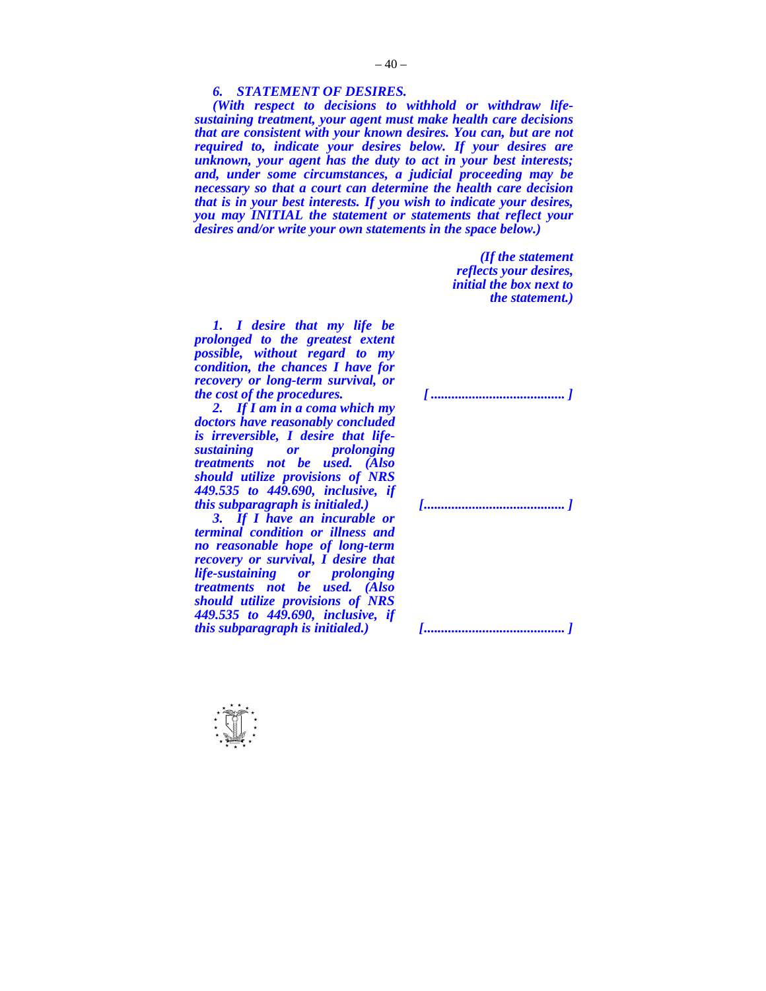## *6. STATEMENT OF DESIRES.*

 *(With respect to decisions to withhold or withdraw lifesustaining treatment, your agent must make health care decisions that are consistent with your known desires. You can, but are not required to, indicate your desires below. If your desires are unknown, your agent has the duty to act in your best interests; and, under some circumstances, a judicial proceeding may be necessary so that a court can determine the health care decision that is in your best interests. If you wish to indicate your desires, you may INITIAL the statement or statements that reflect your desires and/or write your own statements in the space below.)* 

 *1. I desire that my life be prolonged to the greatest extent possible, without regard to my condition, the chances I have for recovery or long-term survival, or the cost of the procedures. [ ....................................... ]* 

 *2. If I am in a coma which my doctors have reasonably concluded is irreversible, I desire that lifesustaining or prolonging treatments not be used. (Also should utilize provisions of NRS 449.535 to 449.690, inclusive, if this subparagraph is initialed.) [......................................... ]* 

 *3. If I have an incurable or terminal condition or illness and no reasonable hope of long-term recovery or survival, I desire that life-sustaining or prolonging treatments not be used. (Also should utilize provisions of NRS 449.535 to 449.690, inclusive, if this subparagraph is initialed.) [......................................... ]* 

*(If the statement reflects your desires, initial the box next to the statement.)* 

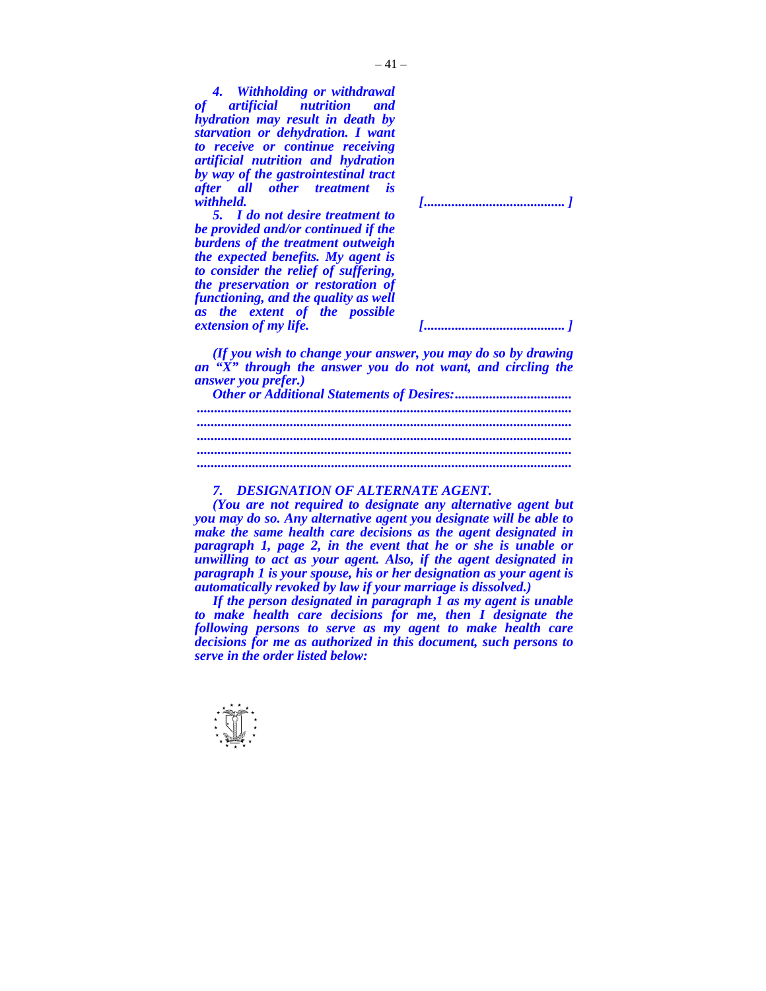*4. Withholding or withdrawal of artificial nutrition and hydration may result in death by starvation or dehydration. I want to receive or continue receiving artificial nutrition and hydration by way of the gastrointestinal tract after all other treatment is* 

 *5. I do not desire treatment to be provided and/or continued if the burdens of the treatment outweigh the expected benefits. My agent is to consider the relief of suffering, the preservation or restoration of functioning, and the quality as well as the extent of the possible extension of my life. [......................................... ]* 

*withheld. [......................................... ]* 

 *(If you wish to change your answer, you may do so by drawing an "X" through the answer you do not want, and circling the answer you prefer.)* 

 *Other or Additional Statements of Desires:..................................* 

*............................................................................................................. ............................................................................................................. ............................................................................................................. ............................................................................................................. .............................................................................................................* 

#### *7. DESIGNATION OF ALTERNATE AGENT.*

 *(You are not required to designate any alternative agent but you may do so. Any alternative agent you designate will be able to make the same health care decisions as the agent designated in paragraph 1, page 2, in the event that he or she is unable or unwilling to act as your agent. Also, if the agent designated in paragraph 1 is your spouse, his or her designation as your agent is automatically revoked by law if your marriage is dissolved.)* 

 *If the person designated in paragraph 1 as my agent is unable to make health care decisions for me, then I designate the following persons to serve as my agent to make health care decisions for me as authorized in this document, such persons to serve in the order listed below:* 

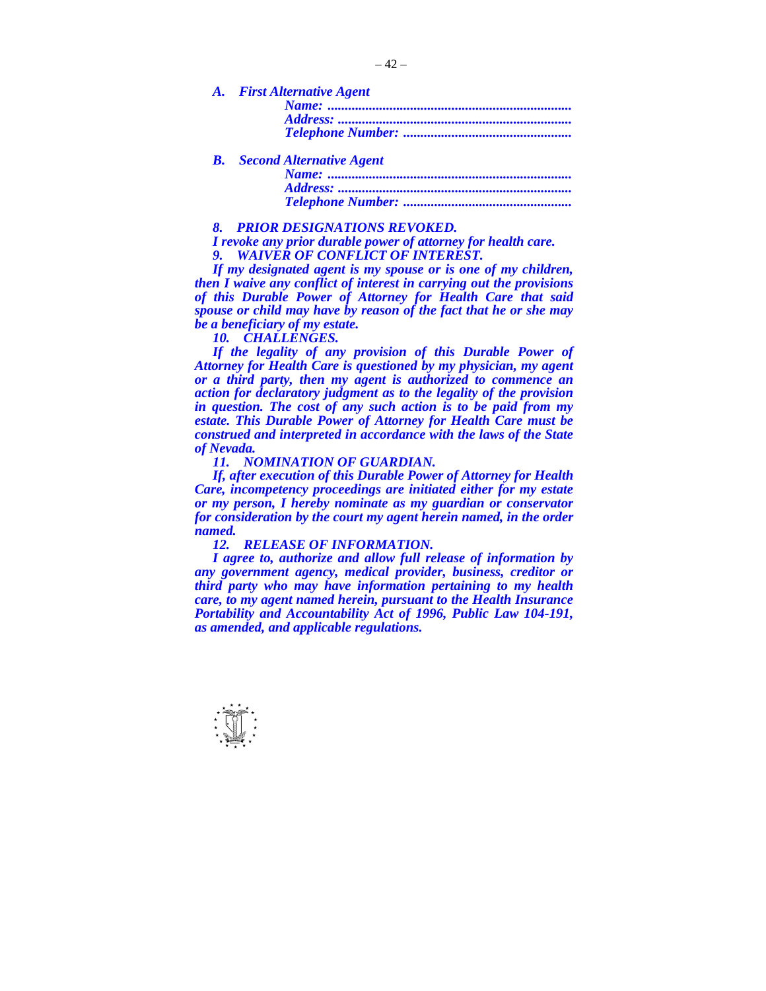| A. First Alternative Agent |
|----------------------------|
|                            |
|                            |
|                            |

 *B. Second Alternative Agent* 

#### *8. PRIOR DESIGNATIONS REVOKED.*

 *I revoke any prior durable power of attorney for health care. 9. WAIVER OF CONFLICT OF INTEREST.* 

 *If my designated agent is my spouse or is one of my children, then I waive any conflict of interest in carrying out the provisions of this Durable Power of Attorney for Health Care that said spouse or child may have by reason of the fact that he or she may be a beneficiary of my estate.* 

 *10. CHALLENGES.* 

 *If the legality of any provision of this Durable Power of Attorney for Health Care is questioned by my physician, my agent or a third party, then my agent is authorized to commence an action for declaratory judgment as to the legality of the provision in question. The cost of any such action is to be paid from my estate. This Durable Power of Attorney for Health Care must be construed and interpreted in accordance with the laws of the State of Nevada.* 

 *11. NOMINATION OF GUARDIAN.* 

 *If, after execution of this Durable Power of Attorney for Health Care, incompetency proceedings are initiated either for my estate or my person, I hereby nominate as my guardian or conservator for consideration by the court my agent herein named, in the order named.* 

#### *12. RELEASE OF INFORMATION.*

 *I agree to, authorize and allow full release of information by any government agency, medical provider, business, creditor or third party who may have information pertaining to my health care, to my agent named herein, pursuant to the Health Insurance Portability and Accountability Act of 1996, Public Law 104-191, as amended, and applicable regulations.* 

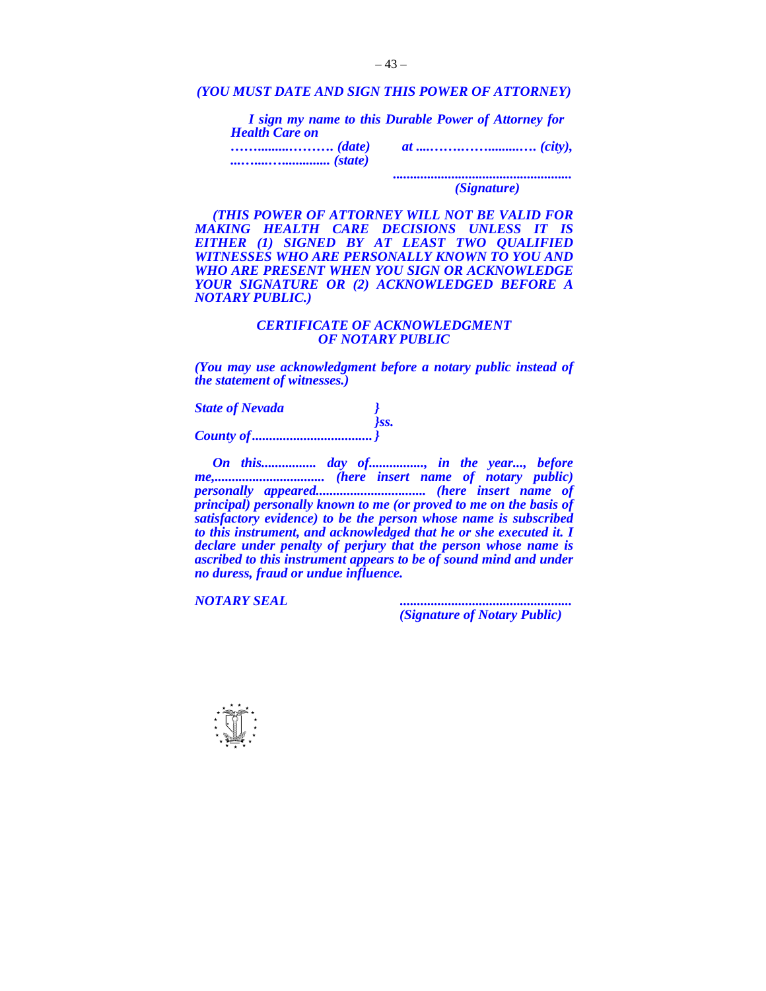*(YOU MUST DATE AND SIGN THIS POWER OF ATTORNEY)* 

 *I sign my name to this Durable Power of Attorney for Health Care on* 

*...…....….............. (state)* 

*…….........………. (date) at ....…….…….........…. (city),* 

 *.................................................... (Signature)* 

 *(THIS POWER OF ATTORNEY WILL NOT BE VALID FOR MAKING HEALTH CARE DECISIONS UNLESS IT IS EITHER (1) SIGNED BY AT LEAST TWO QUALIFIED WITNESSES WHO ARE PERSONALLY KNOWN TO YOU AND WHO ARE PRESENT WHEN YOU SIGN OR ACKNOWLEDGE YOUR SIGNATURE OR (2) ACKNOWLEDGED BEFORE A NOTARY PUBLIC.)* 

#### *CERTIFICATE OF ACKNOWLEDGMENT OF NOTARY PUBLIC*

*(You may use acknowledgment before a notary public instead of the statement of witnesses.)* 

*State of Nevada }*<br>*} ss.* 

 *}ss. County of................................... }* 

 *On this................ day of................, in the year..., before me,................................ (here insert name of notary public) personally appeared................................ (here insert name of principal) personally known to me (or proved to me on the basis of satisfactory evidence) to be the person whose name is subscribed to this instrument, and acknowledged that he or she executed it. I declare under penalty of perjury that the person whose name is ascribed to this instrument appears to be of sound mind and under no duress, fraud or undue influence.* 

 $NOTARY SEL$ 

 *(Signature of Notary Public)* 

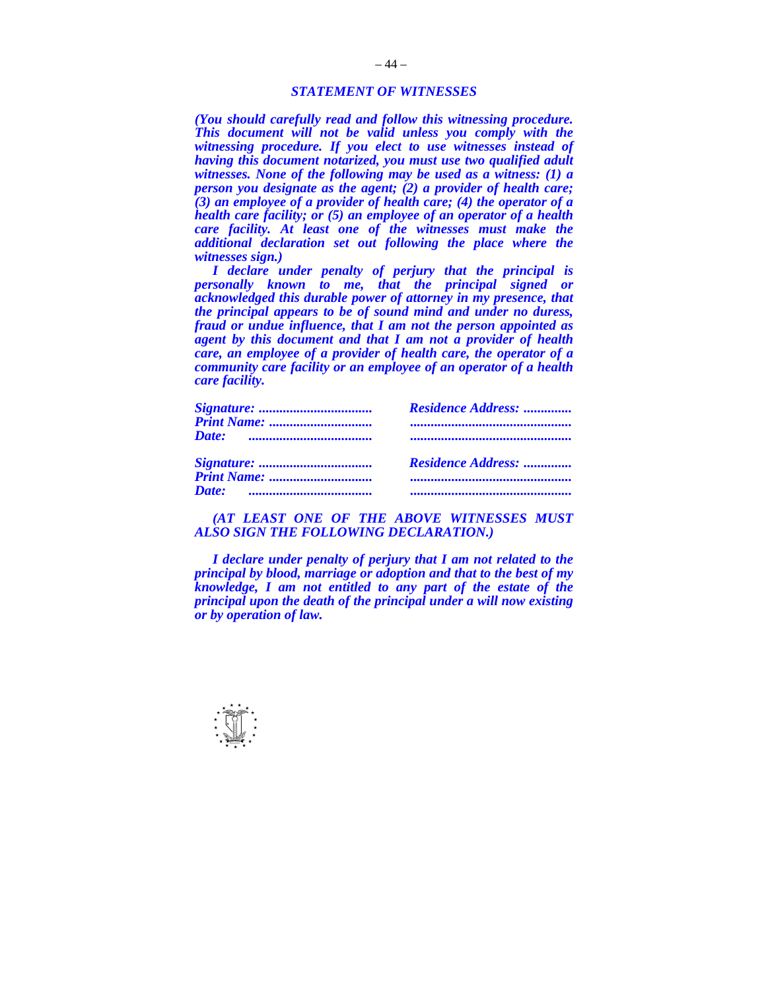## *STATEMENT OF WITNESSES*

*(You should carefully read and follow this witnessing procedure. This document will not be valid unless you comply with the witnessing procedure. If you elect to use witnesses instead of having this document notarized, you must use two qualified adult witnesses. None of the following may be used as a witness: (1) a person you designate as the agent; (2) a provider of health care; (3) an employee of a provider of health care; (4) the operator of a health care facility; or (5) an employee of an operator of a health care facility. At least one of the witnesses must make the additional declaration set out following the place where the witnesses sign.)* 

 *I declare under penalty of perjury that the principal is personally known to me, that the principal signed or acknowledged this durable power of attorney in my presence, that the principal appears to be of sound mind and under no duress, fraud or undue influence, that I am not the person appointed as agent by this document and that I am not a provider of health care, an employee of a provider of health care, the operator of a community care facility or an employee of an operator of a health care facility.* 

| <b>Residence Address: </b> |
|----------------------------|
|                            |
|                            |
| <b>Residence Address: </b> |
|                            |
|                            |

 *(AT LEAST ONE OF THE ABOVE WITNESSES MUST ALSO SIGN THE FOLLOWING DECLARATION.)* 

 *I declare under penalty of perjury that I am not related to the principal by blood, marriage or adoption and that to the best of my knowledge, I am not entitled to any part of the estate of the principal upon the death of the principal under a will now existing or by operation of law.* 

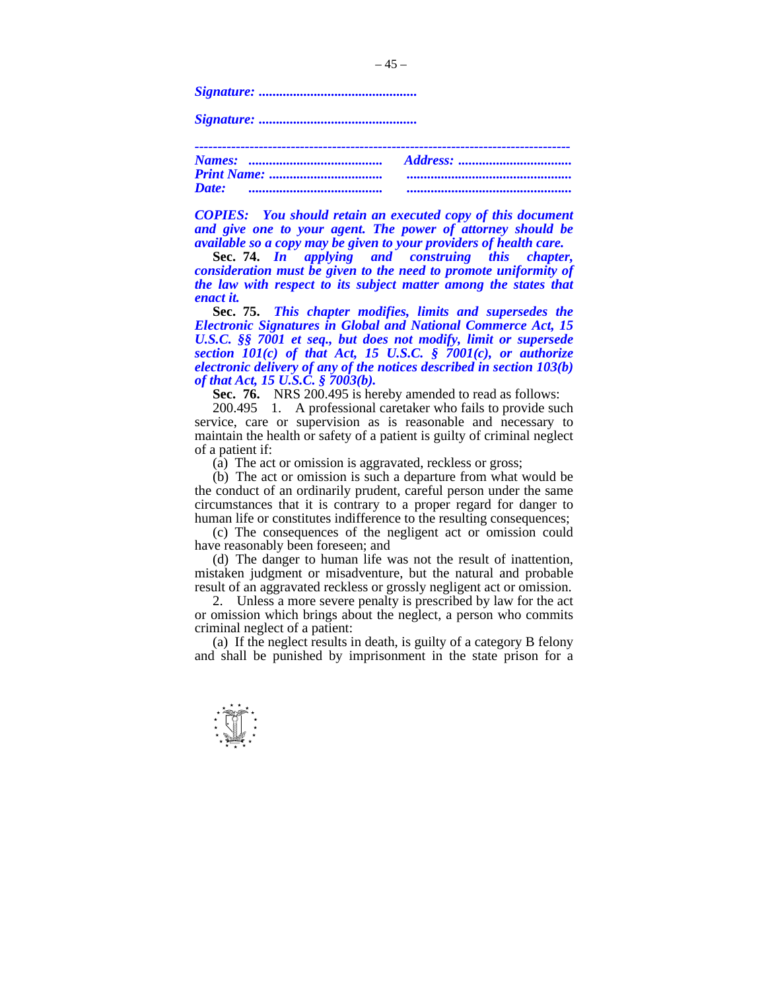*Signature: ..............................................* 

*Signature: ..............................................* 

 $-45-$ 

*COPIES: You should retain an executed copy of this document and give one to your agent. The power of attorney should be available so a copy may be given to your providers of health care.*

*<u>Applying and construing</u> consideration must be given to the need to promote uniformity of the law with respect to its subject matter among the states that enact it.*

 **Sec. 75.** *This chapter modifies, limits and supersedes the Electronic Signatures in Global and National Commerce Act, 15 U.S.C. §§ 7001 et seq., but does not modify, limit or supersede section 101(c) of that Act, 15 U.S.C. § 7001(c), or authorize electronic delivery of any of the notices described in section 103(b) of that Act, 15 U.S.C. § 7003(b).* 

**Sec. 76.** NRS 200.495 is hereby amended to read as follows:

 200.495 1. A professional caretaker who fails to provide such service, care or supervision as is reasonable and necessary to maintain the health or safety of a patient is guilty of criminal neglect of a patient if:

(a) The act or omission is aggravated, reckless or gross;

 (b) The act or omission is such a departure from what would be the conduct of an ordinarily prudent, careful person under the same circumstances that it is contrary to a proper regard for danger to human life or constitutes indifference to the resulting consequences;

 (c) The consequences of the negligent act or omission could have reasonably been foreseen; and

 (d) The danger to human life was not the result of inattention, mistaken judgment or misadventure, but the natural and probable result of an aggravated reckless or grossly negligent act or omission.

 2. Unless a more severe penalty is prescribed by law for the act or omission which brings about the neglect, a person who commits criminal neglect of a patient:

 (a) If the neglect results in death, is guilty of a category B felony and shall be punished by imprisonment in the state prison for a

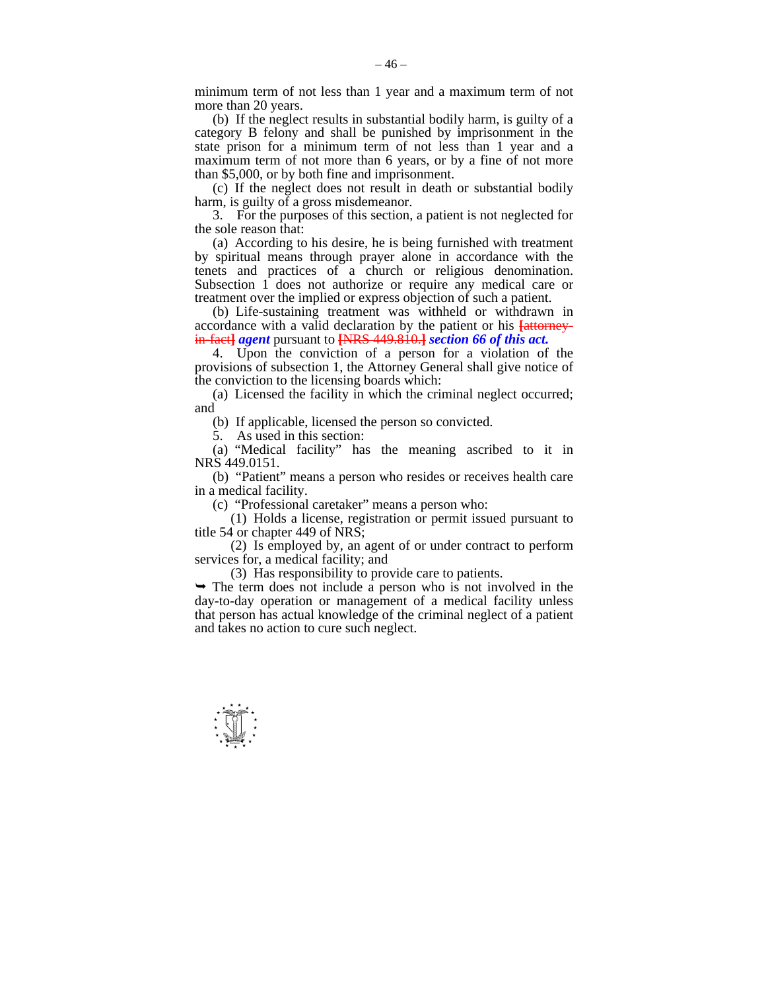minimum term of not less than 1 year and a maximum term of not more than 20 years.

 (b) If the neglect results in substantial bodily harm, is guilty of a category B felony and shall be punished by imprisonment in the state prison for a minimum term of not less than 1 year and a maximum term of not more than 6 years, or by a fine of not more than \$5,000, or by both fine and imprisonment.

 (c) If the neglect does not result in death or substantial bodily harm, is guilty of a gross misdemeanor.

 3. For the purposes of this section, a patient is not neglected for the sole reason that:

 (a) According to his desire, he is being furnished with treatment by spiritual means through prayer alone in accordance with the tenets and practices of a church or religious denomination. Subsection 1 does not authorize or require any medical care or treatment over the implied or express objection of such a patient.

 (b) Life-sustaining treatment was withheld or withdrawn in accordance with a valid declaration by the patient or his **[**attorney- in-fact**]** *agent* pursuant to **[**NRS 449.810.**]** *section 66 of this act.*

 4. Upon the conviction of a person for a violation of the provisions of subsection 1, the Attorney General shall give notice of the conviction to the licensing boards which:

 (a) Licensed the facility in which the criminal neglect occurred; and

(b) If applicable, licensed the person so convicted.

5. As used in this section:

 (a) "Medical facility" has the meaning ascribed to it in NRS 449.0151.

 (b) "Patient" means a person who resides or receives health care in a medical facility.

(c) "Professional caretaker" means a person who:

 (1) Holds a license, registration or permit issued pursuant to title 54 or chapter 449 of NRS;

 (2) Is employed by, an agent of or under contract to perform services for, a medical facility; and

(3) Has responsibility to provide care to patients.

 $\rightarrow$  The term does not include a person who is not involved in the day-to-day operation or management of a medical facility unless that person has actual knowledge of the criminal neglect of a patient and takes no action to cure such neglect.

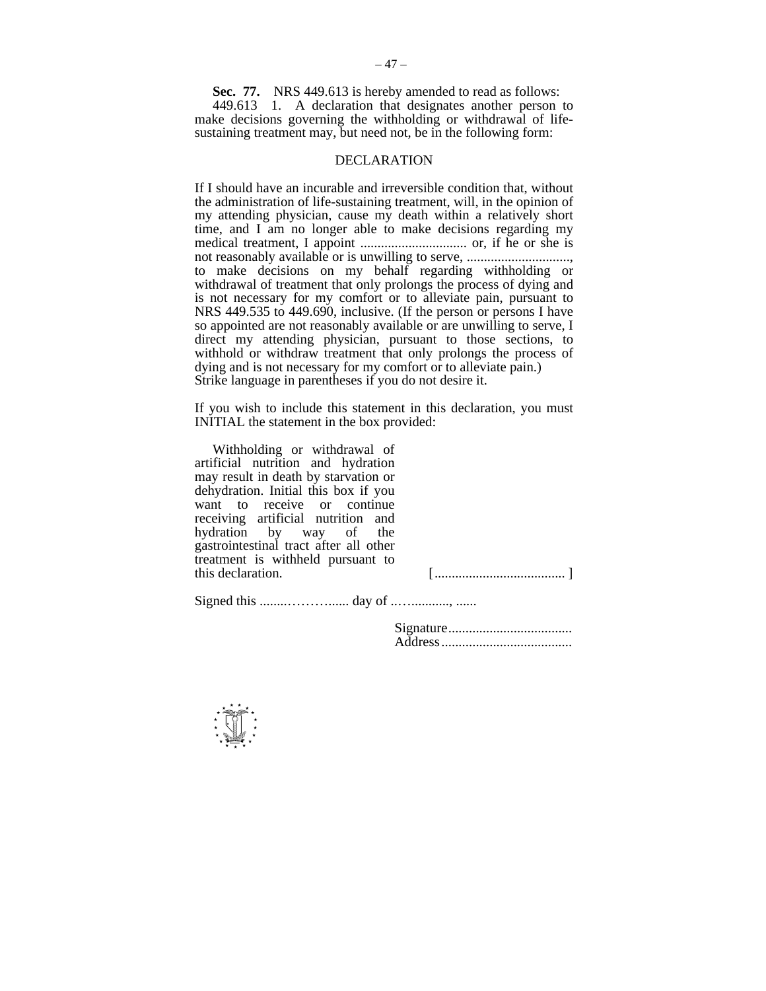**Sec. 77.** NRS 449.613 is hereby amended to read as follows:

 449.613 1. A declaration that designates another person to make decisions governing the withholding or withdrawal of lifesustaining treatment may, but need not, be in the following form:

## DECLARATION

If I should have an incurable and irreversible condition that, without the administration of life-sustaining treatment, will, in the opinion of my attending physician, cause my death within a relatively short time, and I am no longer able to make decisions regarding my medical treatment, I appoint ............................... or, if he or she is not reasonably available or is unwilling to serve, ............................. to make decisions on my behalf regarding withholding or withdrawal of treatment that only prolongs the process of dying and is not necessary for my comfort or to alleviate pain, pursuant to NRS 449.535 to 449.690, inclusive. (If the person or persons I have so appointed are not reasonably available or are unwilling to serve, I direct my attending physician, pursuant to those sections, to withhold or withdraw treatment that only prolongs the process of dying and is not necessary for my comfort or to alleviate pain.) Strike language in parentheses if you do not desire it.

If you wish to include this statement in this declaration, you must INITIAL the statement in the box provided:

 Withholding or withdrawal of artificial nutrition and hydration may result in death by starvation or dehydration. Initial this box if you want to receive or continue receiving artificial nutrition and hydration by way of the gastrointestinal tract after all other treatment is withheld pursuant to<br>this declaration.

this declaration. [...................................... ]

Signed this ........………...... day of ..…..........., ......

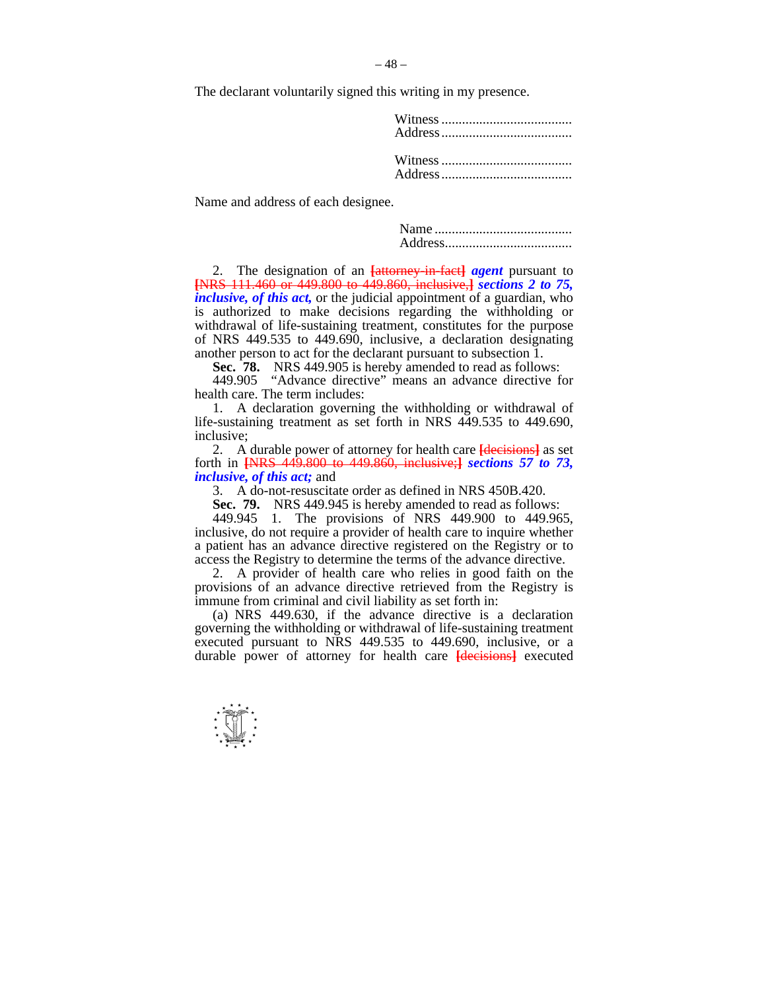The declarant voluntarily signed this writing in my presence.

| $\lambda$ 11 |
|--------------|

Name and address of each designee.

 2. The designation of an **[**attorney-in-fact**]** *agent* pursuant to **[**NRS 111.460 or 449.800 to 449.860, inclusive,**]** *sections 2 to 75, inclusive, of this act,* or the judicial appointment of a guardian, who is authorized to make decisions regarding the withholding or withdrawal of life-sustaining treatment, constitutes for the purpose of NRS 449.535 to 449.690, inclusive, a declaration designating another person to act for the declarant pursuant to subsection 1.

 **Sec. 78.** NRS 449.905 is hereby amended to read as follows:

 449.905 "Advance directive" means an advance directive for health care. The term includes:

 1. A declaration governing the withholding or withdrawal of life-sustaining treatment as set forth in NRS 449.535 to 449.690, inclusive;

 2. A durable power of attorney for health care **[**decisions**]** as set forth in **[**NRS 449.800 to 449.860, inclusive;**]** *sections 57 to 73, inclusive, of this act;* and

3. A do-not-resuscitate order as defined in NRS 450B.420.

 **Sec. 79.** NRS 449.945 is hereby amended to read as follows:

 449.945 1. The provisions of NRS 449.900 to 449.965, inclusive, do not require a provider of health care to inquire whether a patient has an advance directive registered on the Registry or to access the Registry to determine the terms of the advance directive.

 2. A provider of health care who relies in good faith on the provisions of an advance directive retrieved from the Registry is immune from criminal and civil liability as set forth in:

 (a) NRS 449.630, if the advance directive is a declaration governing the withholding or withdrawal of life-sustaining treatment executed pursuant to NRS 449.535 to 449.690, inclusive, or a durable power of attorney for health care **[**decisions**]** executed

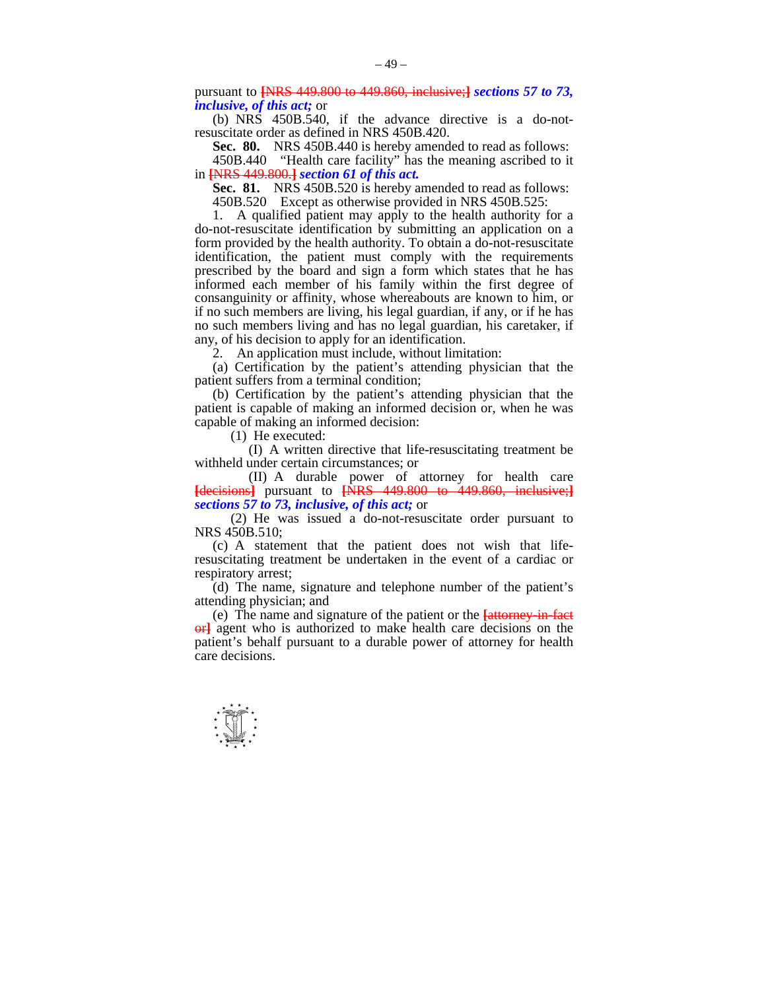pursuant to **[**NRS 449.800 to 449.860, inclusive;**]** *sections 57 to 73, inclusive, of this act;* or

 (b) NRS 450B.540, if the advance directive is a do-notresuscitate order as defined in NRS 450B.420.

 **Sec. 80.** NRS 450B.440 is hereby amended to read as follows:

 450B.440 "Health care facility" has the meaning ascribed to it in **[**NRS 449.800.**]** *section 61 of this act.* 

**Sec. 81.** NRS 450B.520 is hereby amended to read as follows: 450B.520 Except as otherwise provided in NRS 450B.525:

 1. A qualified patient may apply to the health authority for a do-not-resuscitate identification by submitting an application on a form provided by the health authority. To obtain a do-not-resuscitate identification, the patient must comply with the requirements prescribed by the board and sign a form which states that he has informed each member of his family within the first degree of consanguinity or affinity, whose whereabouts are known to him, or if no such members are living, his legal guardian, if any, or if he has no such members living and has no legal guardian, his caretaker, if any, of his decision to apply for an identification.

2. An application must include, without limitation:

 (a) Certification by the patient's attending physician that the patient suffers from a terminal condition;

 (b) Certification by the patient's attending physician that the patient is capable of making an informed decision or, when he was capable of making an informed decision:

(1) He executed:

 (I) A written directive that life-resuscitating treatment be withheld under certain circumstances; or

 (II) A durable power of attorney for health care **[**decisions**]** pursuant to **[**NRS 449.800 to 449.860, inclusive;**]** *sections 57 to 73, inclusive, of this act;* or

 (2) He was issued a do-not-resuscitate order pursuant to NRS 450B.510;

 (c) A statement that the patient does not wish that liferesuscitating treatment be undertaken in the event of a cardiac or respiratory arrest;

 (d) The name, signature and telephone number of the patient's attending physician; and

 (e) The name and signature of the patient or the **[**attorney-in-fact **or** agent who is authorized to make health care decisions on the patient's behalf pursuant to a durable power of attorney for health care decisions.

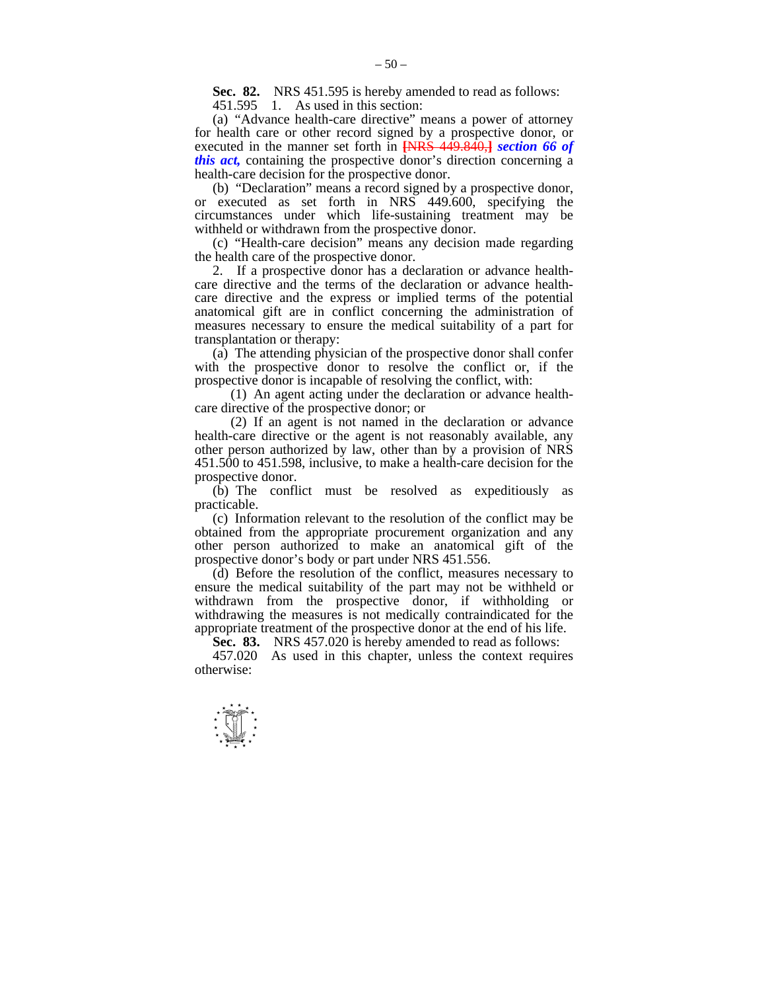**Sec. 82.** NRS 451.595 is hereby amended to read as follows:

451.595 1. As used in this section:

 (a) "Advance health-care directive" means a power of attorney for health care or other record signed by a prospective donor, or executed in the manner set forth in **[**NRS 449.840,**]** *section 66 of this act,* containing the prospective donor's direction concerning a health-care decision for the prospective donor.

 (b) "Declaration" means a record signed by a prospective donor, or executed as set forth in NRS 449.600, specifying the circumstances under which life-sustaining treatment may be withheld or withdrawn from the prospective donor.

 (c) "Health-care decision" means any decision made regarding the health care of the prospective donor.

 2. If a prospective donor has a declaration or advance healthcare directive and the terms of the declaration or advance healthcare directive and the express or implied terms of the potential anatomical gift are in conflict concerning the administration of measures necessary to ensure the medical suitability of a part for transplantation or therapy:

 (a) The attending physician of the prospective donor shall confer with the prospective donor to resolve the conflict or, if the prospective donor is incapable of resolving the conflict, with:

 (1) An agent acting under the declaration or advance healthcare directive of the prospective donor; or

 (2) If an agent is not named in the declaration or advance health-care directive or the agent is not reasonably available, any other person authorized by law, other than by a provision of NRS 451.500 to 451.598, inclusive, to make a health-care decision for the prospective donor.

 (b) The conflict must be resolved as expeditiously as practicable.

 (c) Information relevant to the resolution of the conflict may be obtained from the appropriate procurement organization and any other person authorized to make an anatomical gift of the prospective donor's body or part under NRS 451.556.

 (d) Before the resolution of the conflict, measures necessary to ensure the medical suitability of the part may not be withheld or withdrawn from the prospective donor, if withholding or withdrawing the measures is not medically contraindicated for the appropriate treatment of the prospective donor at the end of his life.

**Sec. 83.** NRS 457.020 is hereby amended to read as follows: 457.020 As used in this chapter, unless the context required

As used in this chapter, unless the context requires otherwise:

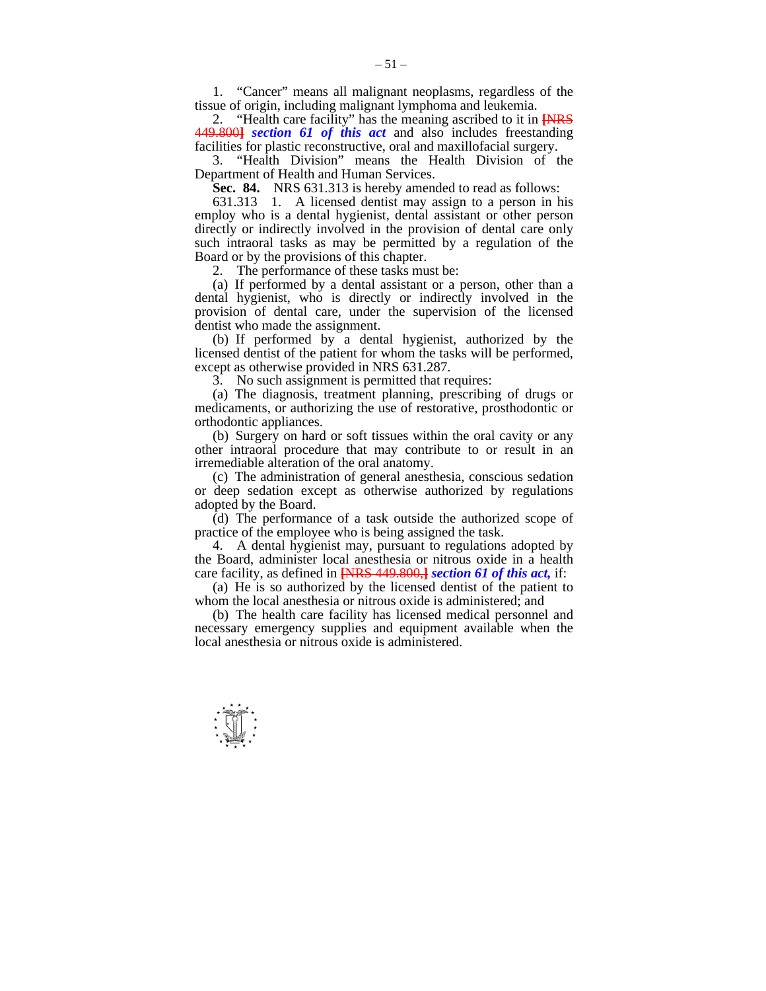1. "Cancer" means all malignant neoplasms, regardless of the tissue of origin, including malignant lymphoma and leukemia.

 2. "Health care facility" has the meaning ascribed to it in **[**NRS 449.800**]** *section 61 of this act* and also includes freestanding facilities for plastic reconstructive, oral and maxillofacial surgery.

 3. "Health Division" means the Health Division of the Department of Health and Human Services.

**Sec. 84.** NRS 631.313 is hereby amended to read as follows:

 631.313 1. A licensed dentist may assign to a person in his employ who is a dental hygienist, dental assistant or other person directly or indirectly involved in the provision of dental care only such intraoral tasks as may be permitted by a regulation of the Board or by the provisions of this chapter.

2. The performance of these tasks must be:

 (a) If performed by a dental assistant or a person, other than a dental hygienist, who is directly or indirectly involved in the provision of dental care, under the supervision of the licensed dentist who made the assignment.

 (b) If performed by a dental hygienist, authorized by the licensed dentist of the patient for whom the tasks will be performed, except as otherwise provided in NRS 631.287.

3. No such assignment is permitted that requires:

 (a) The diagnosis, treatment planning, prescribing of drugs or medicaments, or authorizing the use of restorative, prosthodontic or orthodontic appliances.

 (b) Surgery on hard or soft tissues within the oral cavity or any other intraoral procedure that may contribute to or result in an irremediable alteration of the oral anatomy.

 (c) The administration of general anesthesia, conscious sedation or deep sedation except as otherwise authorized by regulations adopted by the Board.

 (d) The performance of a task outside the authorized scope of practice of the employee who is being assigned the task.

 4. A dental hygienist may, pursuant to regulations adopted by the Board, administer local anesthesia or nitrous oxide in a health care facility, as defined in **[**NRS 449.800,**]** *section 61 of this act,* if:

 (a) He is so authorized by the licensed dentist of the patient to whom the local anesthesia or nitrous oxide is administered; and

 (b) The health care facility has licensed medical personnel and necessary emergency supplies and equipment available when the local anesthesia or nitrous oxide is administered.